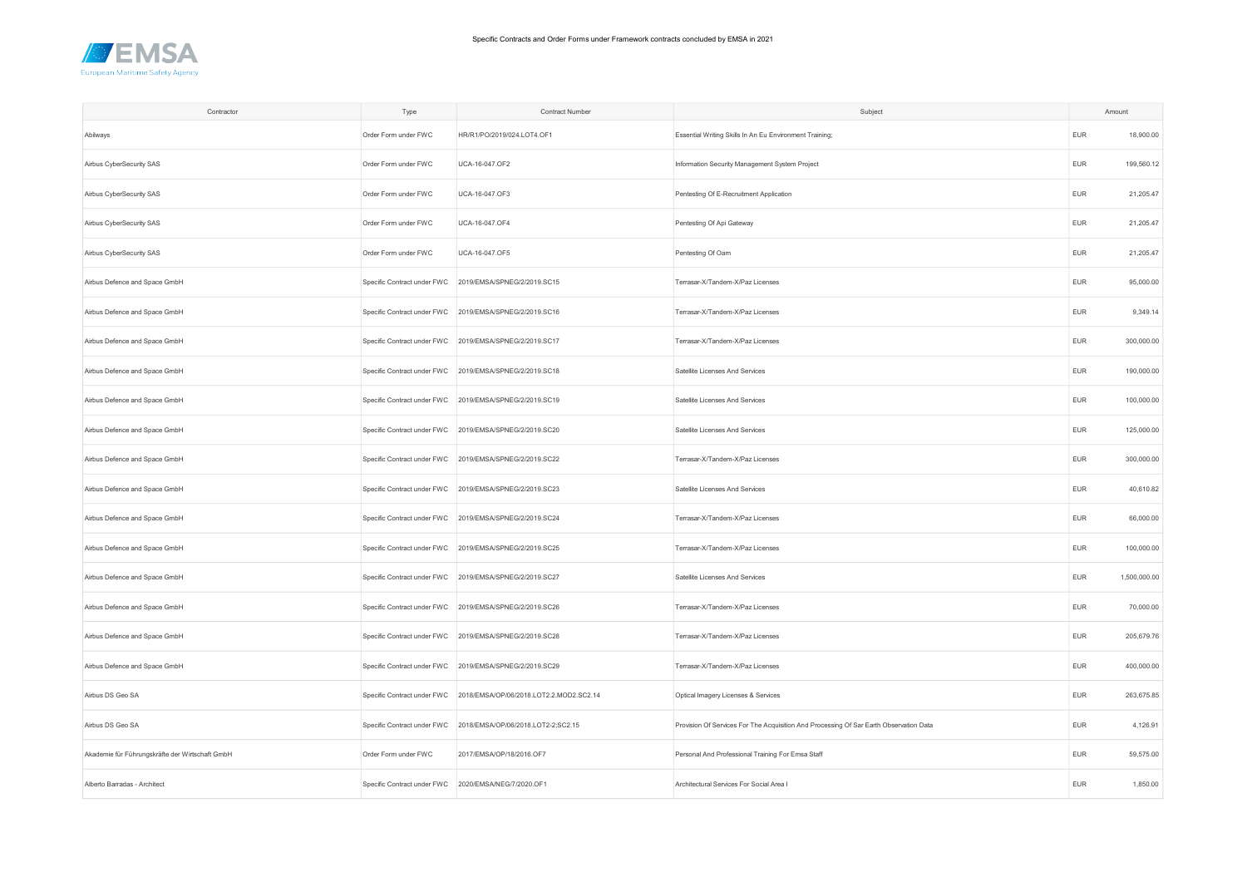

| Contractor                                      | Type                                                 | Contract Number                                                     | Subject                                                                                |            | Amount       |
|-------------------------------------------------|------------------------------------------------------|---------------------------------------------------------------------|----------------------------------------------------------------------------------------|------------|--------------|
| Abilways                                        | Order Form under FWC                                 | HR/R1/PO/2019/024.LOT4.OF1                                          | Essential Writing Skills In An Eu Environment Training;                                | <b>EUR</b> | 18,900.00    |
| Airbus CyberSecurity SAS                        | Order Form under FWC                                 | UCA-16-047.OF2                                                      | Information Security Management System Project                                         | <b>EUR</b> | 199,560.12   |
| Airbus CyberSecurity SAS                        | Order Form under FWC                                 | UCA-16-047.OF3                                                      | Pentesting Of E-Recruitment Application                                                | <b>EUR</b> | 21,205.47    |
| Airbus CyberSecurity SAS                        | Order Form under FWC                                 | UCA-16-047.OF4                                                      | Pentesting Of Api Gateway                                                              | <b>EUR</b> | 21,205.47    |
| Airbus CyberSecurity SAS                        | Order Form under FWC                                 | UCA-16-047.OF5                                                      | Pentesting Of Oam                                                                      | EUR        | 21,205.47    |
| Airbus Defence and Space GmbH                   |                                                      | Specific Contract under FWC 2019/EMSA/SPNEG/2/2019.SC15             | Terrasar-X/Tandem-X/Paz Licenses                                                       | <b>EUR</b> | 95,000.00    |
| Airbus Defence and Space GmbH                   | Specific Contract under FWC                          | 2019/EMSA/SPNEG/2/2019.SC16                                         | Terrasar-X/Tandem-X/Paz Licenses                                                       | <b>EUR</b> | 9,349.14     |
| Airbus Defence and Space GmbH                   | Specific Contract under FWC                          | 2019/EMSA/SPNEG/2/2019.SC17                                         | Terrasar-X/Tandem-X/Paz Licenses                                                       | <b>EUR</b> | 300,000.00   |
| Airbus Defence and Space GmbH                   |                                                      | Specific Contract under FWC 2019/EMSA/SPNEG/2/2019.SC18             | Satellite Licenses And Services                                                        | <b>EUR</b> | 190,000.00   |
| Airbus Defence and Space GmbH                   |                                                      | Specific Contract under FWC 2019/EMSA/SPNEG/2/2019.SC19             | Satellite Licenses And Services                                                        | <b>EUR</b> | 100,000.00   |
| Airbus Defence and Space GmbH                   |                                                      | Specific Contract under FWC 2019/EMSA/SPNEG/2/2019.SC20             | Satellite Licenses And Services                                                        | <b>EUR</b> | 125,000.00   |
| Airbus Defence and Space GmbH                   |                                                      | Specific Contract under FWC 2019/EMSA/SPNEG/2/2019.SC22             | Terrasar-X/Tandem-X/Paz Licenses                                                       | <b>EUR</b> | 300,000.00   |
| Airbus Defence and Space GmbH                   | Specific Contract under FWC                          | 2019/EMSA/SPNEG/2/2019.SC23                                         | Satellite Licenses And Services                                                        | <b>EUR</b> | 40,610.82    |
| Airbus Defence and Space GmbH                   |                                                      | Specific Contract under FWC 2019/EMSA/SPNEG/2/2019.SC24             | Terrasar-X/Tandem-X/Paz Licenses                                                       | <b>EUR</b> | 66,000.00    |
| Airbus Defence and Space GmbH                   |                                                      | Specific Contract under FWC 2019/EMSA/SPNEG/2/2019.SC25             | Terrasar-X/Tandem-X/Paz Licenses                                                       | <b>EUR</b> | 100,000.00   |
| Airbus Defence and Space GmbH                   |                                                      | Specific Contract under FWC 2019/EMSA/SPNEG/2/2019.SC27             | Satellite Licenses And Services                                                        | <b>EUR</b> | 1,500,000.00 |
| Airbus Defence and Space GmbH                   |                                                      | Specific Contract under FWC 2019/EMSA/SPNEG/2/2019.SC26             | Terrasar-X/Tandem-X/Paz Licenses                                                       | <b>EUR</b> | 70,000.00    |
| Airbus Defence and Space GmbH                   | Specific Contract under FWC                          | 2019/EMSA/SPNEG/2/2019.SC28                                         | Terrasar-X/Tandem-X/Paz Licenses                                                       | <b>EUR</b> | 205,679.76   |
| Airbus Defence and Space GmbH                   |                                                      | Specific Contract under FWC 2019/EMSA/SPNEG/2/2019.SC29             | Terrasar-X/Tandem-X/Paz Licenses                                                       | <b>EUR</b> | 400,000.00   |
| Airbus DS Geo SA                                |                                                      | Specific Contract under FWC 2018/EMSA/OP/06/2018.LOT2.2.MOD2.SC2.14 | Optical Imagery Licenses & Services                                                    | <b>EUR</b> | 263,675.85   |
| Airbus DS Geo SA                                | Specific Contract under FWC                          | 2018/EMSA/OP/06/2018.LOT2-2;SC2.15                                  | Provision Of Services For The Acquisition And Processing Of Sar Earth Observation Data | <b>EUR</b> | 4,126.91     |
| Akademie für Führungskräfte der Wirtschaft GmbH | Order Form under FWC                                 | 2017/EMSA/OP/18/2016.OF7                                            | Personal And Professional Training For Emsa Staff                                      | <b>EUR</b> | 59,575.00    |
| Alberto Barradas - Architect                    | Specific Contract under FWC 2020/EMSA/NEG/7/2020.OF1 |                                                                     | Architectural Services For Social Area I                                               | <b>EUR</b> | 1,850.00     |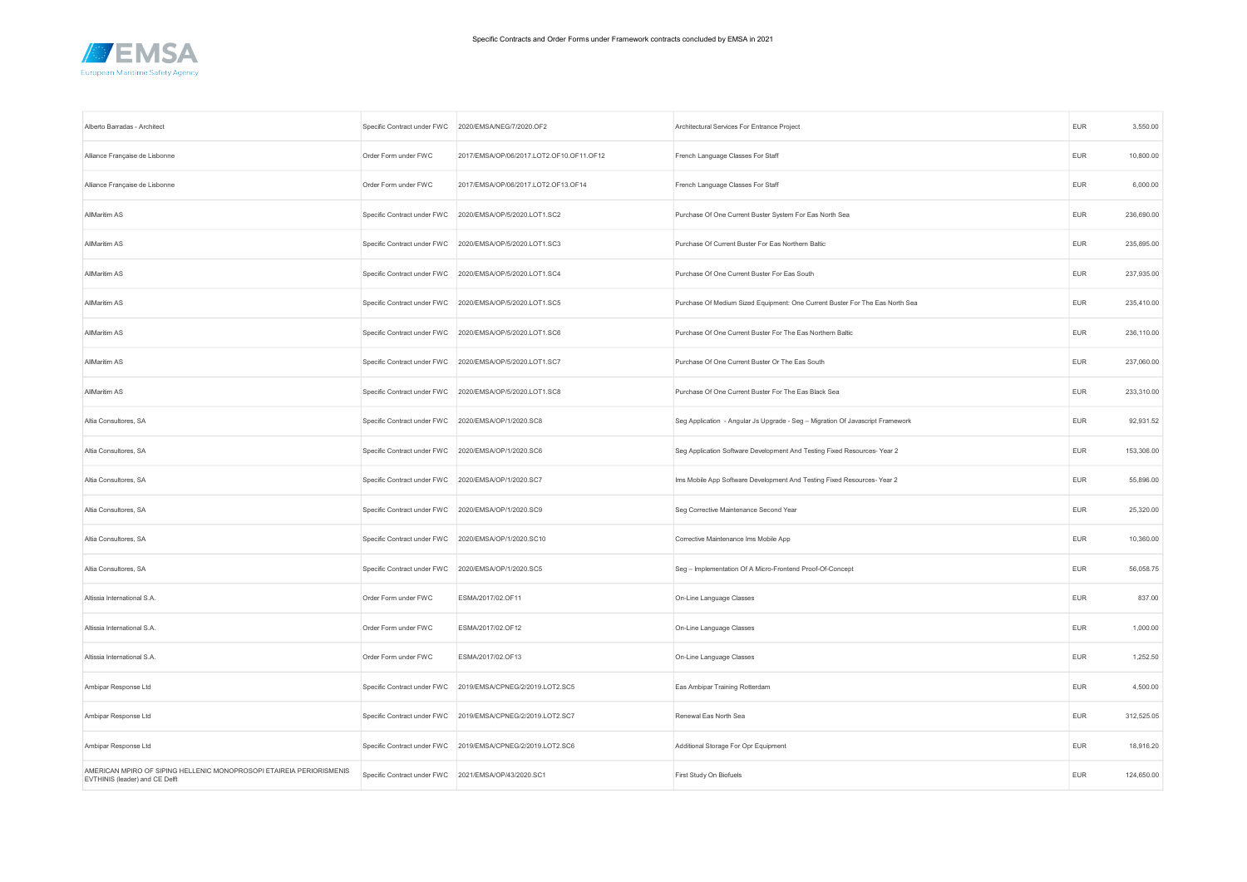

| Alberto Barradas - Architect                                                                           |                                                      | Specific Contract under FWC 2020/EMSA/NEG/7/2020.OF2        | Architectural Services For Entrance Project                                    | EUR        | 3,550.00   |
|--------------------------------------------------------------------------------------------------------|------------------------------------------------------|-------------------------------------------------------------|--------------------------------------------------------------------------------|------------|------------|
| Alliance Française de Lisbonne                                                                         | Order Form under FWC                                 | 2017/EMSA/OP/06/2017.LOT2.OF10.OF11.OF12                    | French Language Classes For Staff                                              | <b>EUR</b> | 10,800.00  |
| Alliance Française de Lisbonne                                                                         | Order Form under FWC                                 | 2017/EMSA/OP/06/2017.LOT2.OF13.OF14                         | French Language Classes For Staff                                              | <b>EUR</b> | 6,000.00   |
| AllMaritim AS                                                                                          |                                                      | Specific Contract under FWC 2020/EMSA/OP/5/2020.LOT1.SC2    | Purchase Of One Current Buster System For Eas North Sea                        | <b>EUR</b> | 236,690.00 |
| AllMaritim AS                                                                                          |                                                      | Specific Contract under FWC 2020/EMSA/OP/5/2020.LOT1.SC3    | Purchase Of Current Buster For Eas Northern Baltic                             | <b>EUR</b> | 235,895.00 |
| AllMaritim AS                                                                                          |                                                      | Specific Contract under FWC 2020/EMSA/OP/5/2020.LOT1.SC4    | Purchase Of One Current Buster For Eas South                                   | <b>EUR</b> | 237,935.00 |
| AllMaritim AS                                                                                          |                                                      | Specific Contract under FWC 2020/EMSA/OP/5/2020.LOT1.SC5    | Purchase Of Medium Sized Equipment: One Current Buster For The Eas North Sea   | <b>EUR</b> | 235,410.00 |
| AllMaritim AS                                                                                          |                                                      | Specific Contract under FWC 2020/EMSA/OP/5/2020.LOT1.SC6    | Purchase Of One Current Buster For The Eas Northern Baltic                     | <b>EUR</b> | 236,110.00 |
| AllMaritim AS                                                                                          |                                                      | Specific Contract under FWC 2020/EMSA/OP/5/2020.LOT1.SC7    | Purchase Of One Current Buster Or The Eas South                                | <b>EUR</b> | 237,060.00 |
| AllMaritim AS                                                                                          |                                                      | Specific Contract under FWC 2020/EMSA/OP/5/2020.LOT1.SC8    | Purchase Of One Current Buster For The Eas Black Sea                           | <b>EUR</b> | 233,310.00 |
| Altia Consultores, SA                                                                                  | Specific Contract under FWC 2020/EMSA/OP/1/2020.SC8  |                                                             | Seg Application - Angular Js Upgrade - Seg - Migration Of Javascript Framework | <b>EUR</b> | 92,931.52  |
| Altia Consultores, SA                                                                                  | Specific Contract under FWC 2020/EMSA/OP/1/2020.SC6  |                                                             | Seg Application Software Development And Testing Fixed Resources-Year 2        | <b>EUR</b> | 153,306.00 |
| Altia Consultores, SA                                                                                  | Specific Contract under FWC 2020/EMSA/OP/1/2020.SC7  |                                                             | Ims Mobile App Software Development And Testing Fixed Resources-Year 2         | <b>EUR</b> | 55,896.00  |
| Altia Consultores, SA                                                                                  | Specific Contract under FWC 2020/EMSA/OP/1/2020.SC9  |                                                             | Seg Corrective Maintenance Second Year                                         | <b>EUR</b> | 25,320.00  |
| Altia Consultores, SA                                                                                  |                                                      | Specific Contract under FWC 2020/EMSA/OP/1/2020.SC10        | Corrective Maintenance Ims Mobile App                                          | <b>EUR</b> | 10,360.00  |
| Altia Consultores, SA                                                                                  | Specific Contract under FWC 2020/EMSA/OP/1/2020.SC5  |                                                             | Seg - Implementation Of A Micro-Frontend Proof-Of-Concept                      | <b>EUR</b> | 56,058.75  |
| Altissia International S.A.                                                                            | Order Form under FWC                                 | ESMA/2017/02.OF11                                           | On-Line Language Classes                                                       | <b>EUR</b> | 837.00     |
| Altissia International S.A.                                                                            | Order Form under FWC                                 | ESMA/2017/02.OF12                                           | On-Line Language Classes                                                       | <b>EUR</b> | 1,000.00   |
| Altissia International S.A.                                                                            | Order Form under FWC                                 | ESMA/2017/02.OF13                                           | On-Line Language Classes                                                       | <b>EUR</b> | 1,252.50   |
| Ambipar Response Ltd                                                                                   | Specific Contract under FWC                          | 2019/EMSA/CPNEG/2/2019.LOT2.SC5                             | Eas Ambipar Training Rotterdam                                                 | <b>EUR</b> | 4,500.00   |
| Ambipar Response Ltd                                                                                   |                                                      | Specific Contract under FWC 2019/EMSA/CPNEG/2/2019.LOT2.SC7 | Renewal Eas North Sea                                                          | <b>EUR</b> | 312,525.05 |
| Ambipar Response Ltd                                                                                   |                                                      | Specific Contract under FWC 2019/EMSA/CPNEG/2/2019.LOT2.SC6 | Additional Storage For Opr Equipment                                           | EUR        | 18,916.20  |
| AMERICAN MPIRO OF SIPING HELLENIC MONOPROSOPI ETAIREIA PERIORISMENIS<br>EVTHINIS (leader) and CE Delft | Specific Contract under FWC 2021/EMSA/OP/43/2020.SC1 |                                                             | First Study On Biofuels                                                        | <b>EUR</b> | 124,650.00 |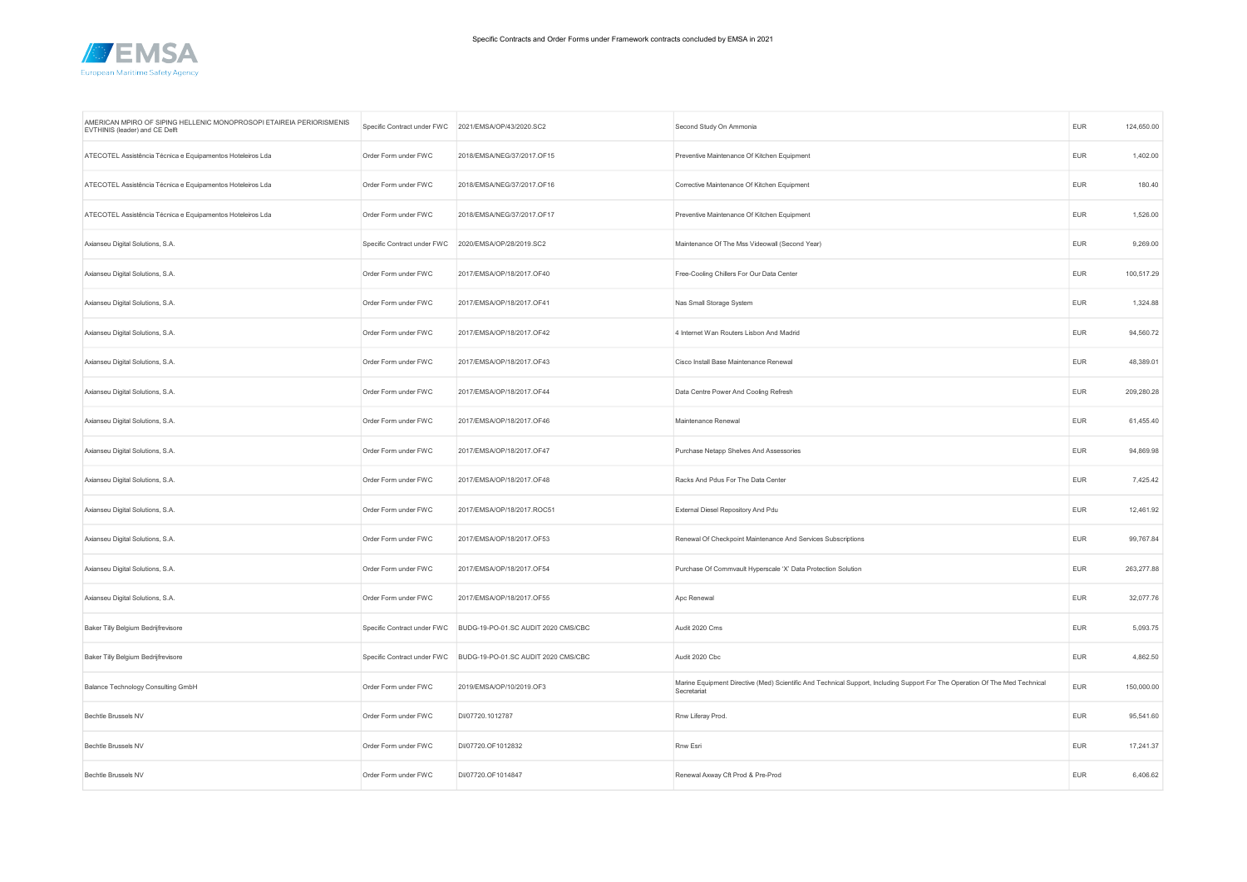

| AMERICAN MPIRO OF SIPING HELLENIC MONOPROSOPI ETAIREIA PERIORISMENIS<br>EVTHINIS (leader) and CE Delft | Specific Contract under FWC | 2021/EMSA/OP/43/2020.SC2            | Second Study On Ammonia                                                                                                                    | <b>EUR</b> | 124,650.00 |
|--------------------------------------------------------------------------------------------------------|-----------------------------|-------------------------------------|--------------------------------------------------------------------------------------------------------------------------------------------|------------|------------|
| ATECOTEL Assistência Técnica e Equipamentos Hoteleiros Lda                                             | Order Form under FWC        | 2018/EMSA/NEG/37/2017.OF15          | Preventive Maintenance Of Kitchen Equipment                                                                                                | <b>EUR</b> | 1,402.00   |
| ATECOTEL Assistência Técnica e Equipamentos Hoteleiros Lda                                             | Order Form under FWC        | 2018/EMSA/NEG/37/2017.OF16          | Corrective Maintenance Of Kitchen Equipment                                                                                                | EUR        | 180.40     |
| ATECOTEL Assistência Técnica e Equipamentos Hoteleiros Lda                                             | Order Form under FWC        | 2018/EMSA/NEG/37/2017.OF17          | Preventive Maintenance Of Kitchen Equipment                                                                                                | <b>EUR</b> | 1,526.00   |
| Axianseu Digital Solutions, S.A.                                                                       | Specific Contract under FWC | 2020/EMSA/OP/28/2019.SC2            | Maintenance Of The Mss Videowall (Second Year)                                                                                             | <b>EUR</b> | 9,269.00   |
| Axianseu Digital Solutions, S.A.                                                                       | Order Form under FWC        | 2017/EMSA/OP/18/2017.OF40           | Free-Cooling Chillers For Our Data Center                                                                                                  | <b>EUR</b> | 100,517.29 |
| Axianseu Digital Solutions, S.A.                                                                       | Order Form under FWC        | 2017/EMSA/OP/18/2017.OF41           | Nas Small Storage System                                                                                                                   | <b>EUR</b> | 1,324.88   |
| Axianseu Digital Solutions, S.A.                                                                       | Order Form under FWC        | 2017/EMSA/OP/18/2017.OF42           | 4 Internet Wan Routers Lisbon And Madrid                                                                                                   | <b>EUR</b> | 94,560.72  |
| Axianseu Digital Solutions, S.A.                                                                       | Order Form under FWC        | 2017/EMSA/OP/18/2017.OF43           | Cisco Install Base Maintenance Renewal                                                                                                     | <b>EUR</b> | 48,389.01  |
| Axianseu Digital Solutions, S.A.                                                                       | Order Form under FWC        | 2017/EMSA/OP/18/2017.OF44           | Data Centre Power And Cooling Refresh                                                                                                      | <b>EUR</b> | 209,280.28 |
| Axianseu Digital Solutions, S.A.                                                                       | Order Form under FWC        | 2017/EMSA/OP/18/2017.OF46           | Maintenance Renewal                                                                                                                        | <b>EUR</b> | 61,455.40  |
| Axianseu Digital Solutions, S.A.                                                                       | Order Form under FWC        | 2017/EMSA/OP/18/2017.OF47           | Purchase Netapp Shelves And Assessories                                                                                                    | <b>EUR</b> | 94,869.98  |
| Axianseu Digital Solutions, S.A.                                                                       | Order Form under FWC        | 2017/EMSA/OP/18/2017.OF48           | Racks And Pdus For The Data Center                                                                                                         | EUR        | 7,425.42   |
| Axianseu Digital Solutions, S.A.                                                                       | Order Form under FWC        | 2017/EMSA/OP/18/2017.ROC51          | External Diesel Repository And Pdu                                                                                                         | <b>EUR</b> | 12,461.92  |
| Axianseu Digital Solutions, S.A.                                                                       | Order Form under FWC        | 2017/EMSA/OP/18/2017.OF53           | Renewal Of Checkpoint Maintenance And Services Subscriptions                                                                               | <b>EUR</b> | 99,767.84  |
| Axianseu Digital Solutions, S.A.                                                                       | Order Form under FWC        | 2017/EMSA/OP/18/2017.OF54           | Purchase Of Commvault Hyperscale 'X' Data Protection Solution                                                                              | <b>EUR</b> | 263,277.88 |
| Axianseu Digital Solutions, S.A.                                                                       | Order Form under FWC        | 2017/EMSA/OP/18/2017.OF55           | Apc Renewal                                                                                                                                | <b>EUR</b> | 32,077.76  |
| Baker Tilly Belgium Bedrijfrevisore                                                                    | Specific Contract under FWC | BUDG-19-PO-01.SC AUDIT 2020 CMS/CBC | Audit 2020 Cms                                                                                                                             | <b>EUR</b> | 5,093.75   |
| Baker Tilly Belgium Bedrijfrevisore                                                                    | Specific Contract under FWC | BUDG-19-PO-01.SC AUDIT 2020 CMS/CBC | Audit 2020 Cbc                                                                                                                             | <b>EUR</b> | 4,862.50   |
| Balance Technology Consulting GmbH                                                                     | Order Form under FWC        | 2019/EMSA/OP/10/2019.OF3            | Marine Equipment Directive (Med) Scientific And Technical Support, Including Support For The Operation Of The Med Technical<br>Secretariat | EUR        | 150,000.00 |
| Bechtle Brussels NV                                                                                    | Order Form under FWC        | DI/07720.1012787                    | Rnw Liferay Prod.                                                                                                                          | <b>EUR</b> | 95,541.60  |
| Bechtle Brussels NV                                                                                    | Order Form under FWC        | DI/07720.OF1012832                  | Rnw Esri                                                                                                                                   | <b>EUR</b> | 17,241.37  |
| Bechtle Brussels NV                                                                                    | Order Form under FWC        | DI/07720.OF1014847                  | Renewal Axway Cft Prod & Pre-Prod                                                                                                          | <b>EUR</b> | 6,406.62   |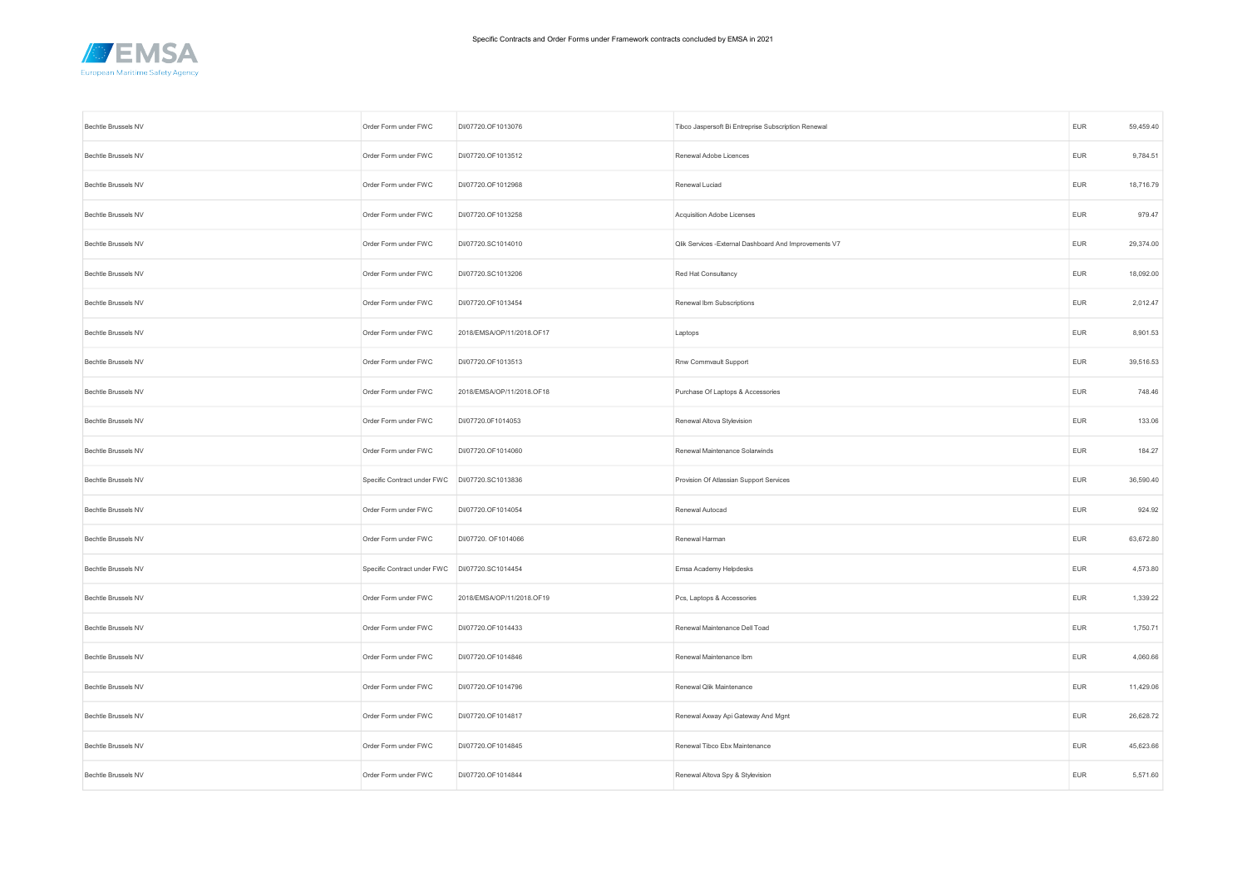

| Bechtle Brussels NV | Order Form under FWC                           | DI/07720.OF1013076        | Tibco Jaspersoft Bi Entreprise Subscription Renewal    | <b>EUR</b>                  | 59,459.40 |
|---------------------|------------------------------------------------|---------------------------|--------------------------------------------------------|-----------------------------|-----------|
| Bechtle Brussels NV | Order Form under FWC                           | DI/07720.OF1013512        | Renewal Adobe Licences                                 | <b>EUR</b>                  | 9,784.51  |
| Bechtle Brussels NV | Order Form under FWC                           | DI/07720.OF1012968        | Renewal Luciad                                         | <b>EUR</b>                  | 18,716.79 |
| Bechtle Brussels NV | Order Form under FWC                           | DI/07720.OF1013258        | Acquisition Adobe Licenses                             | <b>EUR</b>                  | 979.47    |
| Bechtle Brussels NV | Order Form under FWC                           | DI/07720.SC1014010        | Qlik Services - External Dashboard And Improvements V7 | <b>EUR</b>                  | 29,374.00 |
| Bechtle Brussels NV | Order Form under FWC                           | DI/07720.SC1013206        | Red Hat Consultancy                                    | <b>EUR</b>                  | 18,092.00 |
| Bechtle Brussels NV | Order Form under FWC                           | DI/07720.OF1013454        | Renewal Ibm Subscriptions                              | <b>EUR</b>                  | 2,012.47  |
| Bechtle Brussels NV | Order Form under FWC                           | 2018/EMSA/OP/11/2018.OF17 | Laptops                                                | <b>EUR</b>                  | 8,901.53  |
| Bechtle Brussels NV | Order Form under FWC                           | DI/07720.OF1013513        | Rnw Commvault Support                                  | <b>EUR</b>                  | 39,516.53 |
| Bechtle Brussels NV | Order Form under FWC                           | 2018/EMSA/OP/11/2018.OF18 | Purchase Of Laptops & Accessories                      | <b>EUR</b>                  | 748.46    |
| Bechtle Brussels NV | Order Form under FWC                           | DI/07720.0F1014053        | Renewal Altova Stylevision                             | <b>EUR</b>                  | 133.06    |
| Bechtle Brussels NV | Order Form under FWC                           | DI/07720.OF1014060        | Renewal Maintenance Solarwinds                         | <b>EUR</b>                  | 184.27    |
| Bechtle Brussels NV | Specific Contract under FWC DI/07720.SC1013836 |                           | Provision Of Atlassian Support Services                | <b>EUR</b>                  | 36,590.40 |
| Bechtle Brussels NV | Order Form under FWC                           | DI/07720.OF1014054        | Renewal Autocad                                        | EUR                         | 924.92    |
| Bechtle Brussels NV | Order Form under FWC                           | DI/07720. OF1014066       | Renewal Harman                                         | EUR                         | 63,672.80 |
| Bechtle Brussels NV | Specific Contract under FWC                    | DI/07720.SC1014454        | Emsa Academy Helpdesks                                 | <b>EUR</b>                  | 4,573.80  |
| Bechtle Brussels NV | Order Form under FWC                           | 2018/EMSA/OP/11/2018.OF19 | Pcs, Laptops & Accessories                             | EUR                         | 1,339.22  |
| Bechtle Brussels NV | Order Form under FWC                           | DI/07720.OF1014433        | Renewal Maintenance Dell Toad                          | $\ensuremath{\mathsf{EUR}}$ | 1,750.71  |
| Bechtle Brussels NV | Order Form under FWC                           | DI/07720.OF1014846        | Renewal Maintenance Ibm                                | <b>EUR</b>                  | 4,060.66  |
| Bechtle Brussels NV | Order Form under FWC                           | DI/07720.OF1014796        | Renewal Qlik Maintenance                               | <b>EUR</b>                  | 11,429.06 |
| Bechtle Brussels NV | Order Form under FWC                           | DI/07720.OF1014817        | Renewal Axway Api Gateway And Mgnt                     | <b>EUR</b>                  | 26,628.72 |
| Bechtle Brussels NV | Order Form under FWC                           | DI/07720.OF1014845        | Renewal Tibco Ebx Maintenance                          | <b>EUR</b>                  | 45,623.66 |
| Bechtle Brussels NV | Order Form under FWC                           | DI/07720.OF1014844        | Renewal Altova Spy & Stylevision                       | <b>EUR</b>                  | 5,571.60  |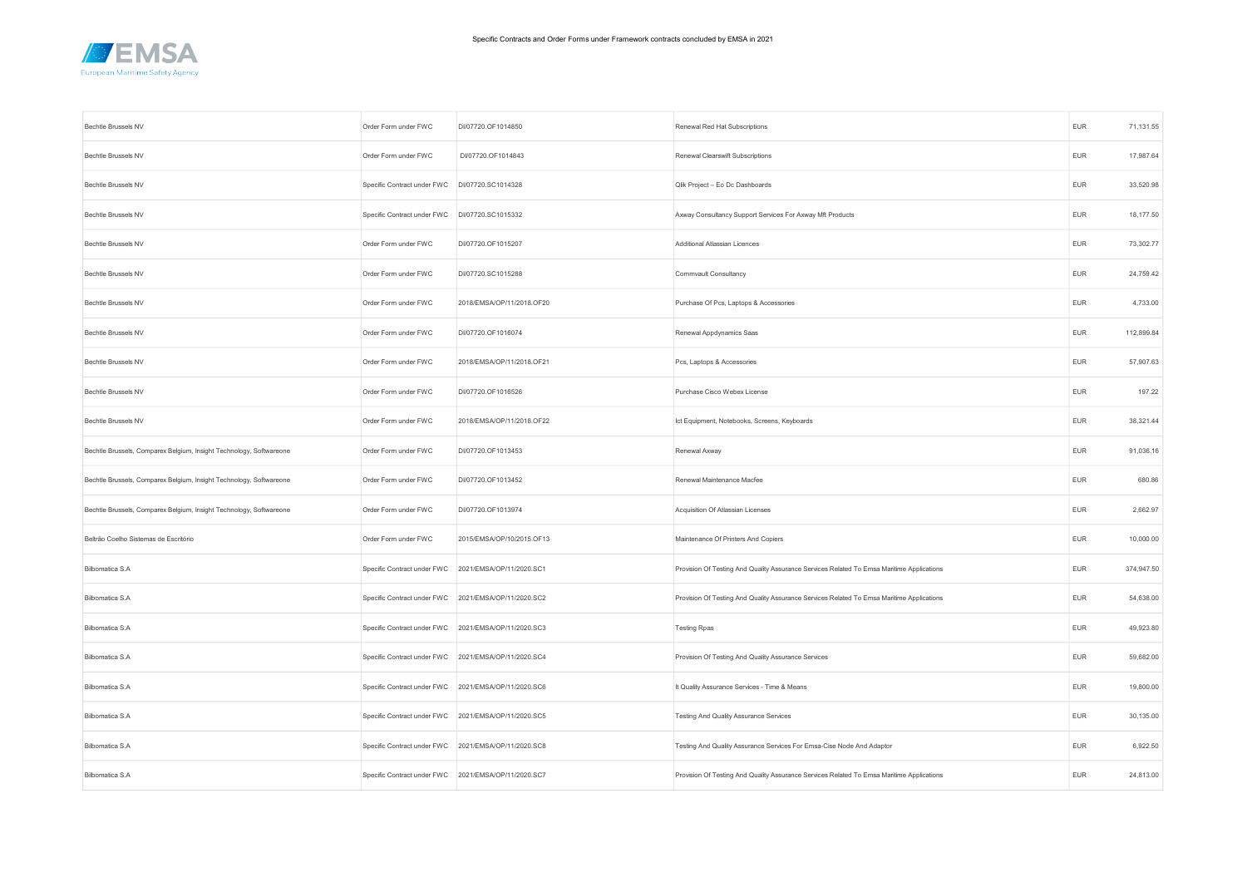

| Bechtle Brussels NV                                                 | Order Form under FWC                                 | DI/07720.OF1014850        | Renewal Red Hat Subscriptions                                                             | <b>EUR</b>                  | 71,131.55  |
|---------------------------------------------------------------------|------------------------------------------------------|---------------------------|-------------------------------------------------------------------------------------------|-----------------------------|------------|
| Bechtle Brussels NV                                                 | Order Form under FWC                                 | DI/07720.OF1014843        | Renewal Clearswift Subscriptions                                                          | <b>EUR</b>                  | 17,987.64  |
| Bechtle Brussels NV                                                 | Specific Contract under FWC                          | DI/07720.SC1014328        | Qlik Project - Eo Dc Dashboards                                                           | <b>EUR</b>                  | 33,520.98  |
| <b>Bechtle Brussels NV</b>                                          | Specific Contract under FWC DI/07720.SC1015332       |                           | Axway Consultancy Support Services For Axway Mft Products                                 | <b>EUR</b>                  | 18,177.50  |
| Bechtle Brussels NV                                                 | Order Form under FWC                                 | DI/07720.OF1015207        | Additional Atlassian Licences                                                             | <b>EUR</b>                  | 73,302.77  |
| Bechtle Brussels NV                                                 | Order Form under FWC                                 | DI/07720.SC1015288        | Commvault Consultancy                                                                     | <b>EUR</b>                  | 24,759.42  |
| Bechtle Brussels NV                                                 | Order Form under FWC                                 | 2018/EMSA/OP/11/2018.OF20 | Purchase Of Pcs, Laptops & Accessories                                                    | <b>EUR</b>                  | 4,733.00   |
| Bechtle Brussels NV                                                 | Order Form under FWC                                 | DI/07720.OF1016074        | Renewal Appdynamics Saas                                                                  | <b>EUR</b>                  | 112,899.84 |
| Bechtle Brussels NV                                                 | Order Form under FWC                                 | 2018/EMSA/OP/11/2018.OF21 | Pcs, Laptops & Accessories                                                                | EUR                         | 57,907.63  |
| Bechtle Brussels NV                                                 | Order Form under FWC                                 | DI/07720.OF1016526        | Purchase Cisco Webex License                                                              | <b>EUR</b>                  | 197.22     |
| Bechtle Brussels NV                                                 | Order Form under FWC                                 | 2018/EMSA/OP/11/2018.OF22 | Ict Equipment, Notebooks, Screens, Keyboards                                              | <b>EUR</b>                  | 38,321.44  |
| Bechtle Brussels, Comparex Belgium, Insight Technology, Softwareone | Order Form under FWC                                 | DI/07720.OF1013453        | Renewal Axway                                                                             | <b>EUR</b>                  | 91,036.16  |
| Bechtle Brussels, Comparex Belgium, Insight Technology, Softwareone | Order Form under FWC                                 | DI/07720.OF1013452        | Renewal Maintenance Macfee                                                                | <b>EUR</b>                  | 680.86     |
| Bechtle Brussels, Comparex Belgium, Insight Technology, Softwareone | Order Form under FWC                                 | DI/07720.OF1013974        | Acquisition Of Atlassian Licenses                                                         | <b>EUR</b>                  | 2,662.97   |
| Beltrão Coelho Sistemas de Escritório                               | Order Form under FWC                                 | 2015/EMSA/OP/10/2015.OF13 | Maintenance Of Printers And Copiers                                                       | <b>EUR</b>                  | 10,000.00  |
| Bilbomatica S.A                                                     | Specific Contract under FWC                          | 2021/EMSA/OP/11/2020.SC1  | Provision Of Testing And Quality Assurance Services Related To Emsa Maritime Applications | <b>EUR</b>                  | 374,947.50 |
| Bilbomatica S.A                                                     | Specific Contract under FWC                          | 2021/EMSA/OP/11/2020.SC2  | Provision Of Testing And Quality Assurance Services Related To Emsa Maritime Applications | $\ensuremath{\mathsf{EUR}}$ | 54,638.00  |
| Bilbomatica S.A                                                     | Specific Contract under FWC 2021/EMSA/OP/11/2020.SC3 |                           | <b>Testing Rpas</b>                                                                       | <b>EUR</b>                  | 49,923.80  |
| Bilbomatica S.A                                                     | Specific Contract under FWC                          | 2021/EMSA/OP/11/2020.SC4  | Provision Of Testing And Quality Assurance Services                                       | <b>EUR</b>                  | 59,682.00  |
| Bilbomatica S.A                                                     | Specific Contract under FWC                          | 2021/EMSA/OP/11/2020.SC6  | It Quality Assurance Services - Time & Means                                              | <b>EUR</b>                  | 19,800.00  |
| Bilbomatica S.A                                                     | Specific Contract under FWC 2021/EMSA/OP/11/2020.SC5 |                           | Testing And Quality Assurance Services                                                    | <b>EUR</b>                  | 30,135.00  |
| Bilbomatica S.A                                                     | Specific Contract under FWC 2021/EMSA/OP/11/2020.SC8 |                           | Testing And Quality Assurance Services For Emsa-Cise Node And Adaptor                     | <b>EUR</b>                  | 6,922.50   |
| Bilbomatica S.A                                                     | Specific Contract under FWC 2021/EMSA/OP/11/2020.SC7 |                           | Provision Of Testing And Quality Assurance Services Related To Emsa Maritime Applications | <b>EUR</b>                  | 24,813.00  |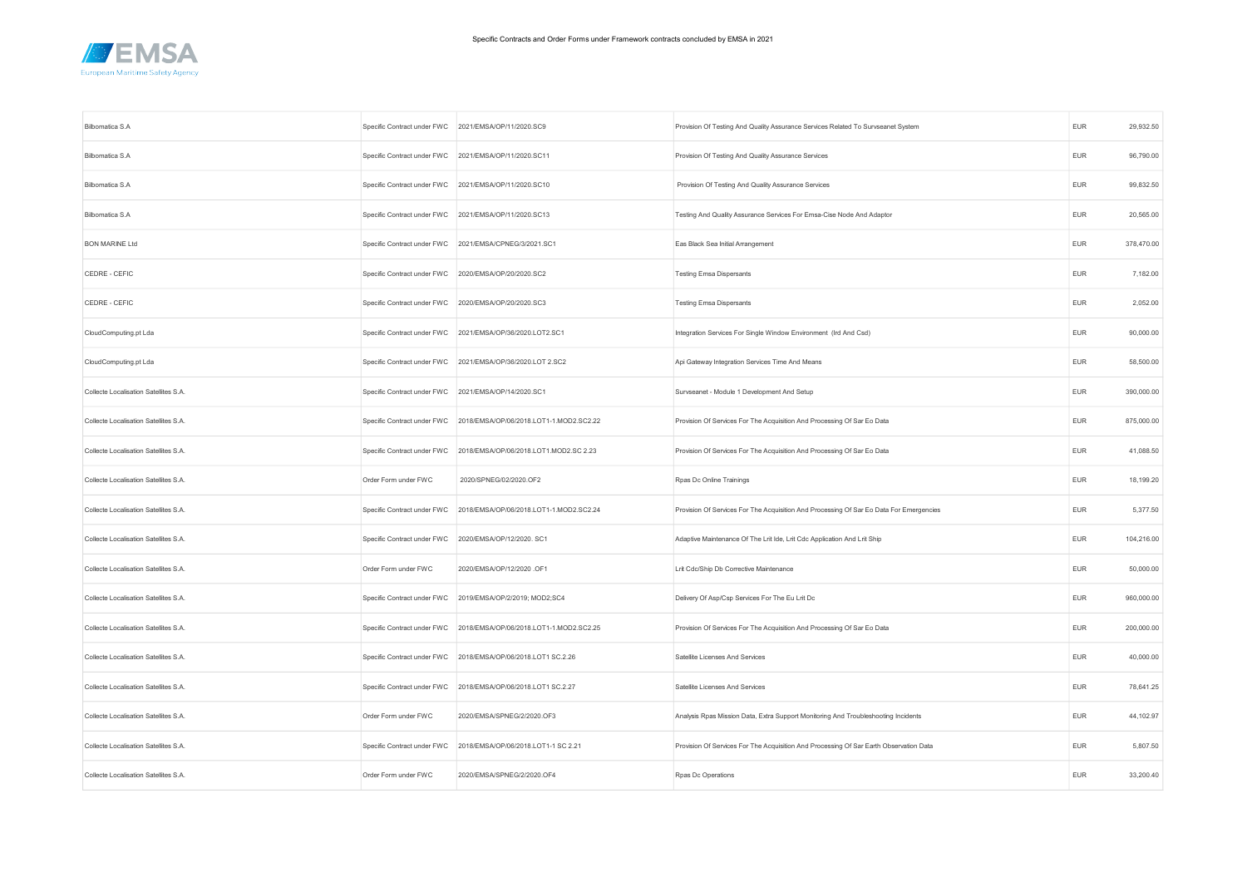

| Bilbomatica S.A                       | Specific Contract under FWC 2021/EMSA/OP/11/2020.SC9  |                                                                     | Provision Of Testing And Quality Assurance Services Related To Survseanet System        | <b>EUR</b> | 29,932.50  |
|---------------------------------------|-------------------------------------------------------|---------------------------------------------------------------------|-----------------------------------------------------------------------------------------|------------|------------|
| Bilbomatica S.A                       |                                                       | Specific Contract under FWC 2021/EMSA/OP/11/2020.SC11               | Provision Of Testing And Quality Assurance Services                                     | <b>EUR</b> | 96,790.00  |
| Bilbomatica S.A                       |                                                       | Specific Contract under FWC 2021/EMSA/OP/11/2020.SC10               | Provision Of Testing And Quality Assurance Services                                     | <b>EUR</b> | 99,832.50  |
| Bilbomatica S.A                       |                                                       | Specific Contract under FWC 2021/EMSA/OP/11/2020.SC13               | Testing And Quality Assurance Services For Emsa-Cise Node And Adaptor                   | <b>EUR</b> | 20,565.00  |
| <b>BON MARINE Ltd</b>                 |                                                       | Specific Contract under FWC 2021/EMSA/CPNEG/3/2021.SC1              | Eas Black Sea Initial Arrangement                                                       | <b>EUR</b> | 378,470.00 |
| CEDRE - CEFIC                         | Specific Contract under FWC 2020/EMSA/OP/20/2020.SC2  |                                                                     | <b>Testing Emsa Dispersants</b>                                                         | <b>EUR</b> | 7,182.00   |
| CEDRE - CEFIC                         | Specific Contract under FWC 2020/EMSA/OP/20/2020.SC3  |                                                                     | <b>Testing Emsa Dispersants</b>                                                         | <b>EUR</b> | 2,052.00   |
| CloudComputing.pt Lda                 |                                                       | Specific Contract under FWC 2021/EMSA/OP/36/2020.LOT2.SC1           | Integration Services For Single Window Environment (Ird And Csd)                        | <b>EUR</b> | 90,000.00  |
| CloudComputing.pt Lda                 |                                                       | Specific Contract under FWC 2021/EMSA/OP/36/2020.LOT 2.SC2          | Api Gateway Integration Services Time And Means                                         | <b>EUR</b> | 58,500.00  |
| Collecte Localisation Satellites S.A. | Specific Contract under FWC 2021/EMSA/OP/14/2020.SC1  |                                                                     | Survseanet - Module 1 Development And Setup                                             | <b>EUR</b> | 390,000.00 |
| Collecte Localisation Satellites S.A. |                                                       | Specific Contract under FWC 2018/EMSA/OP/06/2018.LOT1-1.MOD2.SC2.22 | Provision Of Services For The Acquisition And Processing Of Sar Eo Data                 | <b>EUR</b> | 875,000.00 |
| Collecte Localisation Satellites S.A. |                                                       | Specific Contract under FWC 2018/EMSA/OP/06/2018.LOT1.MOD2.SC 2.23  | Provision Of Services For The Acquisition And Processing Of Sar Eo Data                 | <b>EUR</b> | 41,088.50  |
| Collecte Localisation Satellites S.A. | Order Form under FWC                                  | 2020/SPNEG/02/2020.OF2                                              | Rpas Dc Online Trainings                                                                | <b>EUR</b> | 18,199.20  |
| Collecte Localisation Satellites S.A. |                                                       | Specific Contract under FWC 2018/EMSA/OP/06/2018.LOT1-1.MOD2.SC2.24 | Provision Of Services For The Acquisition And Processing Of Sar Eo Data For Emergencies | <b>EUR</b> | 5,377.50   |
| Collecte Localisation Satellites S.A. | Specific Contract under FWC 2020/EMSA/OP/12/2020. SC1 |                                                                     | Adaptive Maintenance Of The Lrit Ide, Lrit Cdc Application And Lrit Ship                | <b>EUR</b> | 104,216.00 |
| Collecte Localisation Satellites S.A. | Order Form under FWC                                  | 2020/EMSA/OP/12/2020 .OF1                                           | Lrit Cdc/Ship Db Corrective Maintenance                                                 | <b>EUR</b> | 50,000.00  |
| Collecte Localisation Satellites S.A. | Specific Contract under FWC                           | 2019/EMSA/OP/2/2019; MOD2;SC4                                       | Delivery Of Asp/Csp Services For The Eu Lrit Dc                                         | <b>EUR</b> | 960,000.00 |
| Collecte Localisation Satellites S.A. |                                                       | Specific Contract under FWC 2018/EMSA/OP/06/2018.LOT1-1.MOD2.SC2.25 | Provision Of Services For The Acquisition And Processing Of Sar Eo Data                 | <b>EUR</b> | 200,000.00 |
| Collecte Localisation Satellites S.A. |                                                       | Specific Contract under FWC 2018/EMSA/OP/06/2018.LOT1 SC.2.26       | Satellite Licenses And Services                                                         | <b>EUR</b> | 40,000.00  |
| Collecte Localisation Satellites S.A. | Specific Contract under FWC                           | 2018/EMSA/OP/06/2018.LOT1 SC.2.27                                   | Satellite Licenses And Services                                                         | <b>EUR</b> | 78,641.25  |
| Collecte Localisation Satellites S.A. | Order Form under FWC                                  | 2020/EMSA/SPNEG/2/2020.OF3                                          | Analysis Rpas Mission Data, Extra Support Monitoring And Troubleshooting Incidents      | <b>EUR</b> | 44,102.97  |
| Collecte Localisation Satellites S.A. | Specific Contract under FWC                           | 2018/EMSA/OP/06/2018.LOT1-1 SC 2.21                                 | Provision Of Services For The Acquisition And Processing Of Sar Earth Observation Data  | EUR        | 5,807.50   |
| Collecte Localisation Satellites S.A. | Order Form under FWC                                  | 2020/EMSA/SPNEG/2/2020.OF4                                          | Rpas Dc Operations                                                                      | <b>EUR</b> | 33,200.40  |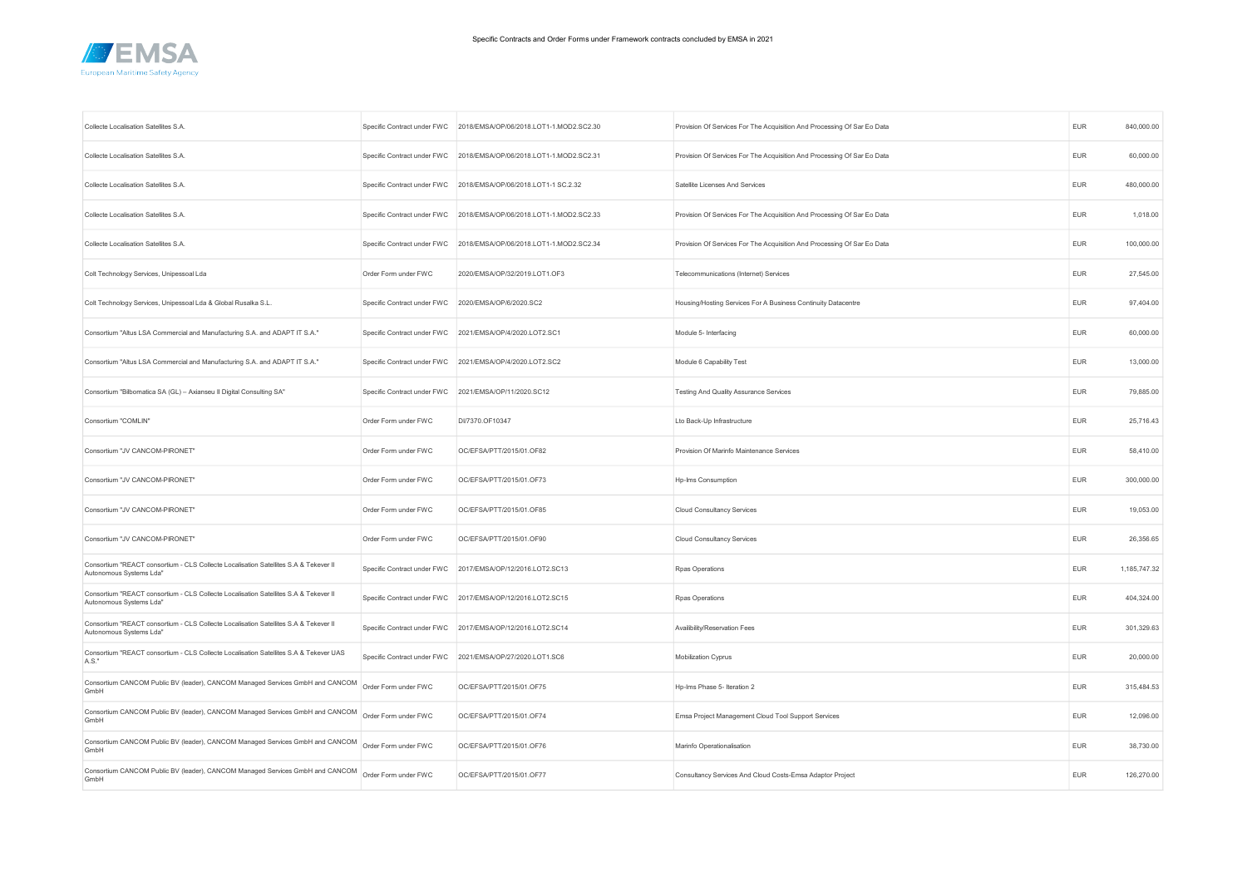

| Collecte Localisation Satellites S.A                                                                            | Specific Contract under FWC | 2018/EMSA/OP/06/2018.LOT1-1.MOD2.SC2.30                    | Provision Of Services For The Acquisition And Processing Of Sar Eo Data | <b>EUR</b> | 840,000.00   |
|-----------------------------------------------------------------------------------------------------------------|-----------------------------|------------------------------------------------------------|-------------------------------------------------------------------------|------------|--------------|
| Collecte Localisation Satellites S.A.                                                                           | Specific Contract under FWC | 2018/EMSA/OP/06/2018.LOT1-1.MOD2.SC2.31                    | Provision Of Services For The Acquisition And Processing Of Sar Eo Data | EUR        | 60,000.00    |
| Collecte Localisation Satellites S.A.                                                                           | Specific Contract under FWC | 2018/EMSA/OP/06/2018.LOT1-1 SC.2.32                        | Satellite Licenses And Services                                         | <b>EUR</b> | 480,000.00   |
| Collecte Localisation Satellites S.A.                                                                           | Specific Contract under FWC | 2018/EMSA/OP/06/2018.LOT1-1.MOD2.SC2.33                    | Provision Of Services For The Acquisition And Processing Of Sar Eo Data | <b>EUR</b> | 1,018.00     |
| Collecte Localisation Satellites S.A.                                                                           | Specific Contract under FWC | 2018/EMSA/OP/06/2018.LOT1-1.MOD2.SC2.34                    | Provision Of Services For The Acquisition And Processing Of Sar Eo Data | <b>EUR</b> | 100,000.00   |
| Colt Technology Services, Unipessoal Lda                                                                        | Order Form under FWC        | 2020/EMSA/OP/32/2019.LOT1.OF3                              | Telecommunications (Internet) Services                                  | <b>EUR</b> | 27,545.00    |
| Colt Technology Services, Unipessoal Lda & Global Rusalka S.L.                                                  | Specific Contract under FWC | 2020/EMSA/OP/6/2020.SC2                                    | Housing/Hosting Services For A Business Continuity Datacentre           | <b>EUR</b> | 97,404.00    |
| Consortium "Altus LSA Commercial and Manufacturing S.A. and ADAPT IT S.A."                                      | Specific Contract under FWC | 2021/EMSA/OP/4/2020.LOT2.SC1                               | Module 5- Interfacing                                                   | <b>EUR</b> | 60,000.00    |
| Consortium "Altus LSA Commercial and Manufacturing S.A. and ADAPT IT S.A."                                      | Specific Contract under FWC | 2021/EMSA/OP/4/2020.LOT2.SC2                               | Module 6 Capability Test                                                | <b>EUR</b> | 13,000.00    |
| Consortium "Bilbomatica SA (GL) - Axianseu II Digital Consulting SA"                                            | Specific Contract under FWC | 2021/EMSA/OP/11/2020.SC12                                  | Testing And Quality Assurance Services                                  | EUR        | 79,885.00    |
| Consortium "COMLIN"                                                                                             | Order Form under FWC        | DI/7370.OF10347                                            | Lto Back-Up Infrastructure                                              | <b>EUR</b> | 25,716.43    |
| Consortium "JV CANCOM-PIRONET"                                                                                  | Order Form under FWC        | OC/EFSA/PTT/2015/01.OF82                                   | Provision Of Marinfo Maintenance Services                               | EUR        | 58,410.00    |
| Consortium "JV CANCOM-PIRONET"                                                                                  | Order Form under FWC        | OC/EFSA/PTT/2015/01.OF73                                   | Hp-Ims Consumption                                                      | <b>EUR</b> | 300,000.00   |
| Consortium "JV CANCOM-PIRONET"                                                                                  | Order Form under FWC        | OC/EFSA/PTT/2015/01.OF85                                   | <b>Cloud Consultancy Services</b>                                       | <b>EUR</b> | 19,053.00    |
| Consortium "JV CANCOM-PIRONET"                                                                                  | Order Form under FWC        | OC/EFSA/PTT/2015/01.OF90                                   | <b>Cloud Consultancy Services</b>                                       | <b>EUR</b> | 26,356.65    |
| Consortium "REACT consortium - CLS Collecte Localisation Satellites S.A & Tekever II<br>Autonomous Systems Lda" | Specific Contract under FWC | 2017/EMSA/OP/12/2016.LOT2.SC13                             | Rpas Operations                                                         | <b>EUR</b> | 1,185,747.32 |
| Consortium "REACT consortium - CLS Collecte Localisation Satellites S.A & Tekever II<br>Autonomous Systems Lda" | Specific Contract under FWC | 2017/EMSA/OP/12/2016.LOT2.SC15                             | Rpas Operations                                                         | <b>EUR</b> | 404,324.00   |
| Consortium "REACT consortium - CLS Collecte Localisation Satellites S.A & Tekever II<br>Autonomous Systems Lda" |                             | Specific Contract under FWC 2017/EMSA/OP/12/2016.LOT2.SC14 | Availibility/Reservation Fees                                           | <b>EUR</b> | 301,329.63   |
| Consortium "REACT consortium - CLS Collecte Localisation Satellites S.A & Tekever UAS<br>A.S."                  | Specific Contract under FWC | 2021/EMSA/OP/27/2020.LOT1.SC6                              | Mobilization Cyprus                                                     | <b>EUR</b> | 20,000.00    |
| Consortium CANCOM Public BV (leader), CANCOM Managed Services GmbH and CANCOM<br>GmbH                           | Order Form under FWC        | OC/EFSA/PTT/2015/01.OF75                                   | Hp-Ims Phase 5- Iteration 2                                             | <b>EUR</b> | 315,484.53   |
| Consortium CANCOM Public BV (leader), CANCOM Managed Services GmbH and CANCOM<br>GmbH                           | Order Form under FWC        | OC/EFSA/PTT/2015/01.OF74                                   | Emsa Project Management Cloud Tool Support Services                     | <b>EUR</b> | 12,096.00    |
| Consortium CANCOM Public BV (leader), CANCOM Managed Services GmbH and CANCOM<br>GmbH                           | Order Form under FWC        | OC/EFSA/PTT/2015/01.OF76                                   | Marinfo Operationalisation                                              | <b>EUR</b> | 38,730.00    |
| Consortium CANCOM Public BV (leader), CANCOM Managed Services GmbH and CANCOM<br>GmbH                           | Order Form under FWC        | OC/EFSA/PTT/2015/01.OF77                                   | Consultancy Services And Cloud Costs-Emsa Adaptor Project               | <b>EUR</b> | 126,270.00   |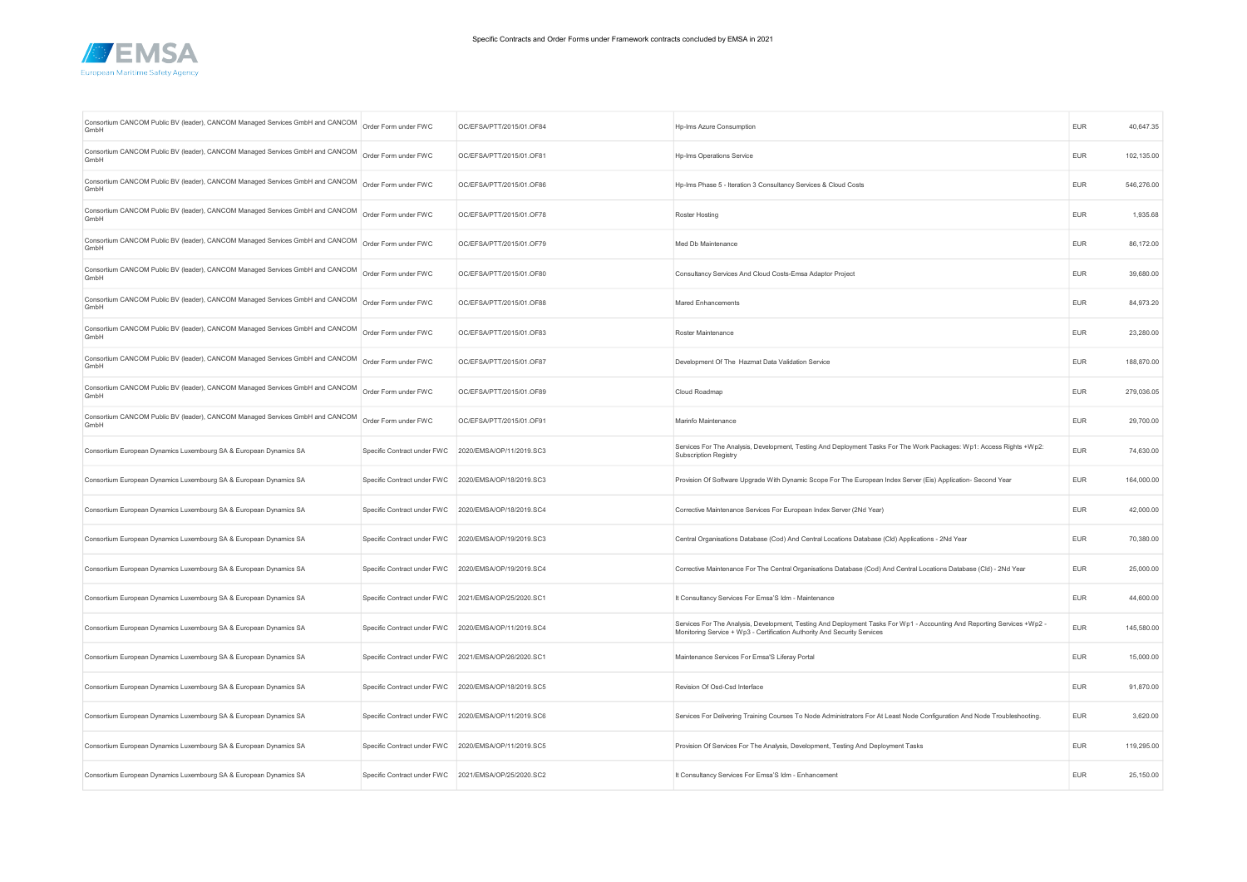

| Consortium CANCOM Public BV (leader), CANCOM Managed Services GmbH and CANCOM<br>GmbH | Order Form under FWC                                 | OC/EFSA/PTT/2015/01.OF84 | Hp-Ims Azure Consumption                                                                                                                                                                            | <b>EUR</b> | 40,647.35  |
|---------------------------------------------------------------------------------------|------------------------------------------------------|--------------------------|-----------------------------------------------------------------------------------------------------------------------------------------------------------------------------------------------------|------------|------------|
| Consortium CANCOM Public BV (leader), CANCOM Managed Services GmbH and CANCOM<br>GmbH | Order Form under FWC                                 | OC/EFSA/PTT/2015/01.OF81 | Hp-Ims Operations Service                                                                                                                                                                           | <b>EUR</b> | 102,135.00 |
| Consortium CANCOM Public BV (leader), CANCOM Managed Services GmbH and CANCOM<br>GmbH | Order Form under FWC                                 | OC/EFSA/PTT/2015/01.OF86 | Hp-Ims Phase 5 - Iteration 3 Consultancy Services & Cloud Costs                                                                                                                                     | <b>EUR</b> | 546,276.00 |
| Consortium CANCOM Public BV (leader), CANCOM Managed Services GmbH and CANCOM<br>GmbH | Order Form under FWC                                 | OC/EFSA/PTT/2015/01.OF78 | Roster Hosting                                                                                                                                                                                      | <b>EUR</b> | 1,935.68   |
| Consortium CANCOM Public BV (leader), CANCOM Managed Services GmbH and CANCOM<br>GmbH | Order Form under FWC                                 | OC/EFSA/PTT/2015/01.OF79 | Med Db Maintenance                                                                                                                                                                                  | <b>EUR</b> | 86,172.00  |
| Consortium CANCOM Public BV (leader), CANCOM Managed Services GmbH and CANCOM<br>GmbH | Order Form under FWC                                 | OC/EFSA/PTT/2015/01.OF80 | Consultancy Services And Cloud Costs-Emsa Adaptor Project                                                                                                                                           | <b>EUR</b> | 39.680.00  |
| Consortium CANCOM Public BV (leader), CANCOM Managed Services GmbH and CANCOM<br>GmbH | Order Form under FWC                                 | OC/EFSA/PTT/2015/01.OF88 | Mared Enhancements                                                                                                                                                                                  | <b>EUR</b> | 84,973.20  |
| Consortium CANCOM Public BV (leader), CANCOM Managed Services GmbH and CANCOM<br>GmbH | Order Form under FWC                                 | OC/EFSA/PTT/2015/01.OF83 | Roster Maintenance                                                                                                                                                                                  | <b>EUR</b> | 23,280.00  |
| Consortium CANCOM Public BV (leader), CANCOM Managed Services GmbH and CANCOM<br>GmbH | Order Form under FWC                                 | OC/EFSA/PTT/2015/01.OF87 | Development Of The Hazmat Data Validation Service                                                                                                                                                   | <b>EUR</b> | 188,870.00 |
| Consortium CANCOM Public BV (leader), CANCOM Managed Services GmbH and CANCOM<br>GmbH | Order Form under FWC                                 | OC/EFSA/PTT/2015/01.OF89 | Cloud Roadmap                                                                                                                                                                                       | <b>EUR</b> | 279,036.05 |
| Consortium CANCOM Public BV (leader), CANCOM Managed Services GmbH and CANCOM<br>GmbH | Order Form under FWC                                 | OC/EFSA/PTT/2015/01.OF91 | Marinfo Maintenance                                                                                                                                                                                 | <b>EUR</b> | 29,700.00  |
| Consortium European Dynamics Luxembourg SA & European Dynamics SA                     | Specific Contract under FWC                          | 2020/EMSA/OP/11/2019.SC3 | Services For The Analysis, Development, Testing And Deployment Tasks For The Work Packages: Wp1: Access Rights +Wp2:<br>Subscription Registry                                                       | <b>EUR</b> | 74,630.00  |
| Consortium European Dynamics Luxembourg SA & European Dynamics SA                     | Specific Contract under FWC 2020/EMSA/OP/18/2019.SC3 |                          | Provision Of Software Upgrade With Dynamic Scope For The European Index Server (Eis) Application- Second Year                                                                                       | <b>EUR</b> | 164,000.00 |
| Consortium European Dynamics Luxembourg SA & European Dynamics SA                     | Specific Contract under FWC 2020/EMSA/OP/18/2019.SC4 |                          | Corrective Maintenance Services For European Index Server (2Nd Year)                                                                                                                                | <b>EUR</b> | 42,000.00  |
| Consortium European Dynamics Luxembourg SA & European Dynamics SA                     | Specific Contract under FWC 2020/EMSA/OP/19/2019.SC3 |                          | Central Organisations Database (Cod) And Central Locations Database (Cld) Applications - 2Nd Year                                                                                                   | <b>EUR</b> | 70,380.00  |
| Consortium European Dynamics Luxembourg SA & European Dynamics SA                     | Specific Contract under FWC 2020/EMSA/OP/19/2019.SC4 |                          | Corrective Maintenance For The Central Organisations Database (Cod) And Central Locations Database (Cld) - 2Nd Year                                                                                 | <b>EUR</b> | 25,000.00  |
| Consortium European Dynamics Luxembourg SA & European Dynamics SA                     | Specific Contract under FWC                          | 2021/EMSA/OP/25/2020.SC1 | It Consultancy Services For Emsa'S Idm - Maintenance                                                                                                                                                | <b>EUR</b> | 44,600.00  |
| Consortium European Dynamics Luxembourg SA & European Dynamics SA                     | Specific Contract under FWC 2020/EMSA/OP/11/2019.SC4 |                          | Services For The Analysis, Development, Testing And Deployment Tasks For Wp1 - Accounting And Reporting Services +Wp2 -<br>Monitoring Service + Wp3 - Certification Authority And Security Services | <b>EUR</b> | 145,580.00 |
| Consortium European Dynamics Luxembourg SA & European Dynamics SA                     | Specific Contract under FWC 2021/EMSA/OP/26/2020.SC1 |                          | Maintenance Services For Emsa'S Liferay Portal                                                                                                                                                      | <b>EUR</b> | 15,000.00  |
| Consortium European Dynamics Luxembourg SA & European Dynamics SA                     | Specific Contract under FWC 2020/EMSA/OP/18/2019.SC5 |                          | Revision Of Osd-Csd Interface                                                                                                                                                                       | <b>EUR</b> | 91,870.00  |
| Consortium European Dynamics Luxembourg SA & European Dynamics SA                     | Specific Contract under FWC                          | 2020/EMSA/OP/11/2019.SC6 | Services For Delivering Training Courses To Node Administrators For At Least Node Configuration And Node Troubleshooting.                                                                           | <b>EUR</b> | 3,620.00   |
| Consortium European Dynamics Luxembourg SA & European Dynamics SA                     | Specific Contract under FWC 2020/EMSA/OP/11/2019.SC5 |                          | Provision Of Services For The Analysis, Development, Testing And Deployment Tasks                                                                                                                   | <b>EUR</b> | 119,295.00 |
| Consortium European Dynamics Luxembourg SA & European Dynamics SA                     | Specific Contract under FWC 2021/EMSA/OP/25/2020.SC2 |                          | It Consultancy Services For Emsa'S Idm - Enhancement                                                                                                                                                | <b>EUR</b> | 25,150.00  |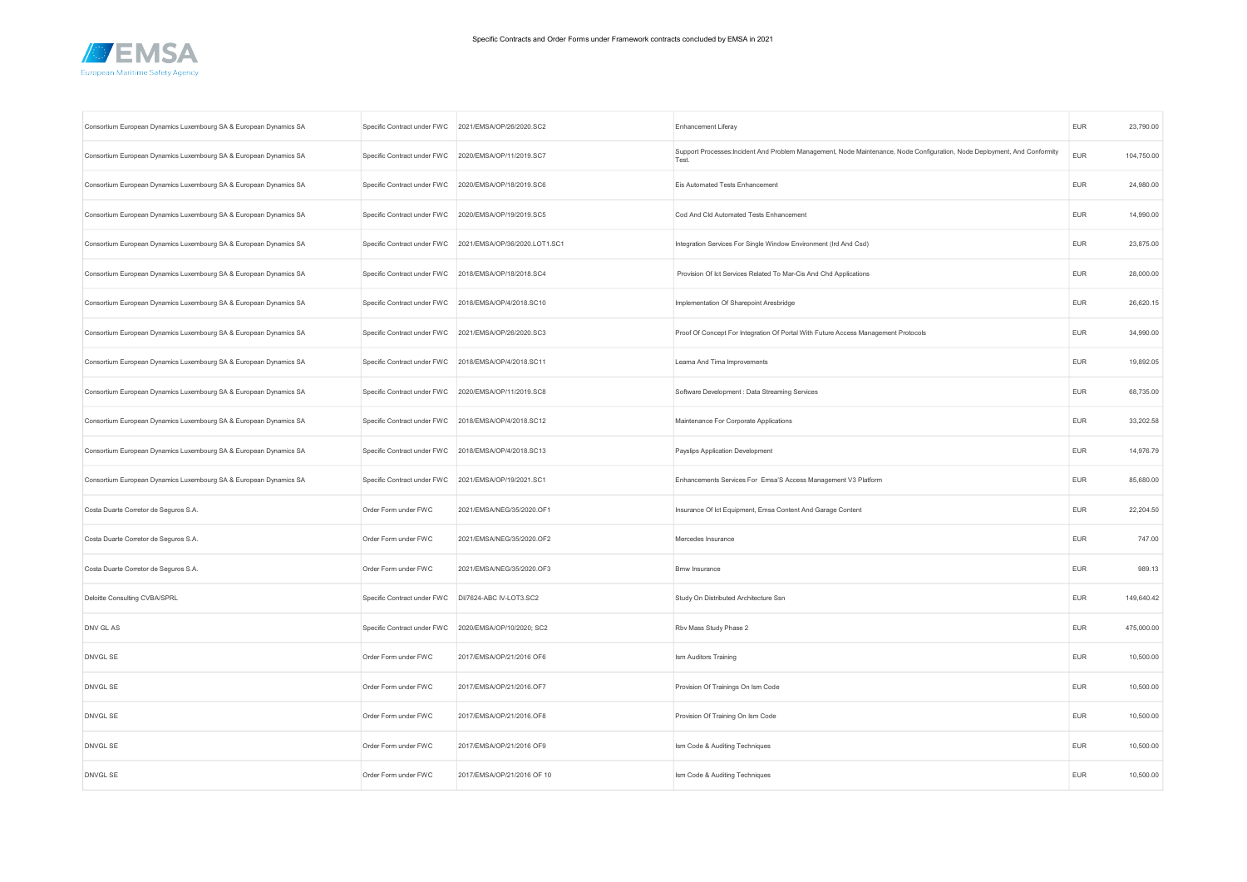

| Consortium European Dynamics Luxembourg SA & European Dynamics SA |                                                      | Specific Contract under FWC 2021/EMSA/OP/26/2020.SC2      | Enhancement Liferay                                                                                                               | <b>EUR</b> | 23,790.00  |
|-------------------------------------------------------------------|------------------------------------------------------|-----------------------------------------------------------|-----------------------------------------------------------------------------------------------------------------------------------|------------|------------|
| Consortium European Dynamics Luxembourg SA & European Dynamics SA | Specific Contract under FWC                          | 2020/EMSA/OP/11/2019.SC7                                  | Support Processes:Incident And Problem Management, Node Maintenance, Node Configuration, Node Deployment, And Conformity<br>Test. | <b>EUR</b> | 104,750.00 |
| Consortium European Dynamics Luxembourg SA & European Dynamics SA | Specific Contract under FWC 2020/EMSA/OP/18/2019.SC6 |                                                           | Eis Automated Tests Enhancement                                                                                                   | <b>EUR</b> | 24,980.00  |
| Consortium European Dynamics Luxembourg SA & European Dynamics SA | Specific Contract under FWC 2020/EMSA/OP/19/2019.SC5 |                                                           | Cod And Cld Automated Tests Enhancement                                                                                           | <b>EUR</b> | 14,990.00  |
| Consortium European Dynamics Luxembourg SA & European Dynamics SA |                                                      | Specific Contract under FWC 2021/EMSA/OP/36/2020.LOT1.SC1 | Integration Services For Single Window Environment (Ird And Csd)                                                                  | EUR        | 23,875.00  |
| Consortium European Dynamics Luxembourg SA & European Dynamics SA | Specific Contract under FWC 2018/EMSA/OP/18/2018.SC4 |                                                           | Provision Of Ict Services Related To Mar-Cis And Chd Applications                                                                 | <b>EUR</b> | 28,000.00  |
| Consortium European Dynamics Luxembourg SA & European Dynamics SA | Specific Contract under FWC                          | 2018/EMSA/OP/4/2018.SC10                                  | Implementation Of Sharepoint Aresbridge                                                                                           | EUR        | 26,620.15  |
| Consortium European Dynamics Luxembourg SA & European Dynamics SA | Specific Contract under FWC 2021/EMSA/OP/26/2020.SC3 |                                                           | Proof Of Concept For Integration Of Portal With Future Access Management Protocols                                                | <b>EUR</b> | 34,990.00  |
| Consortium European Dynamics Luxembourg SA & European Dynamics SA | Specific Contract under FWC 2018/EMSA/OP/4/2018.SC11 |                                                           | Leama And Tima Improvements                                                                                                       | <b>EUR</b> | 19,892.05  |
| Consortium European Dynamics Luxembourg SA & European Dynamics SA | Specific Contract under FWC 2020/EMSA/OP/11/2019.SC8 |                                                           | Software Development : Data Streaming Services                                                                                    | <b>EUR</b> | 68,735.00  |
| Consortium European Dynamics Luxembourg SA & European Dynamics SA | Specific Contract under FWC                          | 2018/EMSA/OP/4/2018.SC12                                  | Maintenance For Corporate Applications                                                                                            | <b>EUR</b> | 33,202.58  |
| Consortium European Dynamics Luxembourg SA & European Dynamics SA |                                                      | Specific Contract under FWC 2018/EMSA/OP/4/2018.SC13      | Payslips Application Development                                                                                                  | EUR        | 14,976.79  |
| Consortium European Dynamics Luxembourg SA & European Dynamics SA | Specific Contract under FWC                          | 2021/EMSA/OP/19/2021.SC1                                  | Enhancements Services For Emsa'S Access Management V3 Platform                                                                    | <b>EUR</b> | 85,680.00  |
| Costa Duarte Corretor de Seguros S.A.                             | Order Form under FWC                                 | 2021/EMSA/NEG/35/2020.OF1                                 | Insurance Of Ict Equipment, Emsa Content And Garage Content                                                                       | <b>EUR</b> | 22,204.50  |
| Costa Duarte Corretor de Seguros S.A.                             | Order Form under FWC                                 | 2021/EMSA/NEG/35/2020.OF2                                 | Mercedes Insurance                                                                                                                | <b>EUR</b> | 747.00     |
| Costa Duarte Corretor de Seguros S.A.                             | Order Form under FWC                                 | 2021/EMSA/NEG/35/2020.OF3                                 | <b>Bmw Insurance</b>                                                                                                              | <b>EUR</b> | 989.13     |
| Deloitte Consulting CVBA/SPRL                                     | Specific Contract under FWC                          | DI/7624-ABC IV-LOT3.SC2                                   | Study On Distributed Architecture Ssn                                                                                             | <b>EUR</b> | 149,640.42 |
| DNV GL AS                                                         | Specific Contract under FWC                          | 2020/EMSA/OP/10/2020; SC2                                 | Rbv Mass Study Phase 2                                                                                                            | EUR        | 475,000.00 |
| DNVGL SE                                                          | Order Form under FWC                                 | 2017/EMSA/OP/21/2016 OF6                                  | Ism Auditors Training                                                                                                             | <b>EUR</b> | 10,500.00  |
| DNVGL SE                                                          | Order Form under FWC                                 | 2017/EMSA/OP/21/2016.OF7                                  | Provision Of Trainings On Ism Code                                                                                                | <b>EUR</b> | 10,500.00  |
| DNVGL SE                                                          | Order Form under FWC                                 | 2017/EMSA/OP/21/2016.OF8                                  | Provision Of Training On Ism Code                                                                                                 | <b>EUR</b> | 10,500.00  |
| DNVGL SE                                                          | Order Form under FWC                                 | 2017/EMSA/OP/21/2016 OF9                                  | Ism Code & Auditing Techniques                                                                                                    | <b>EUR</b> | 10,500.00  |
| <b>DNVGL SE</b>                                                   | Order Form under FWC                                 | 2017/EMSA/OP/21/2016 OF 10                                | Ism Code & Auditing Techniques                                                                                                    | <b>EUR</b> | 10.500.00  |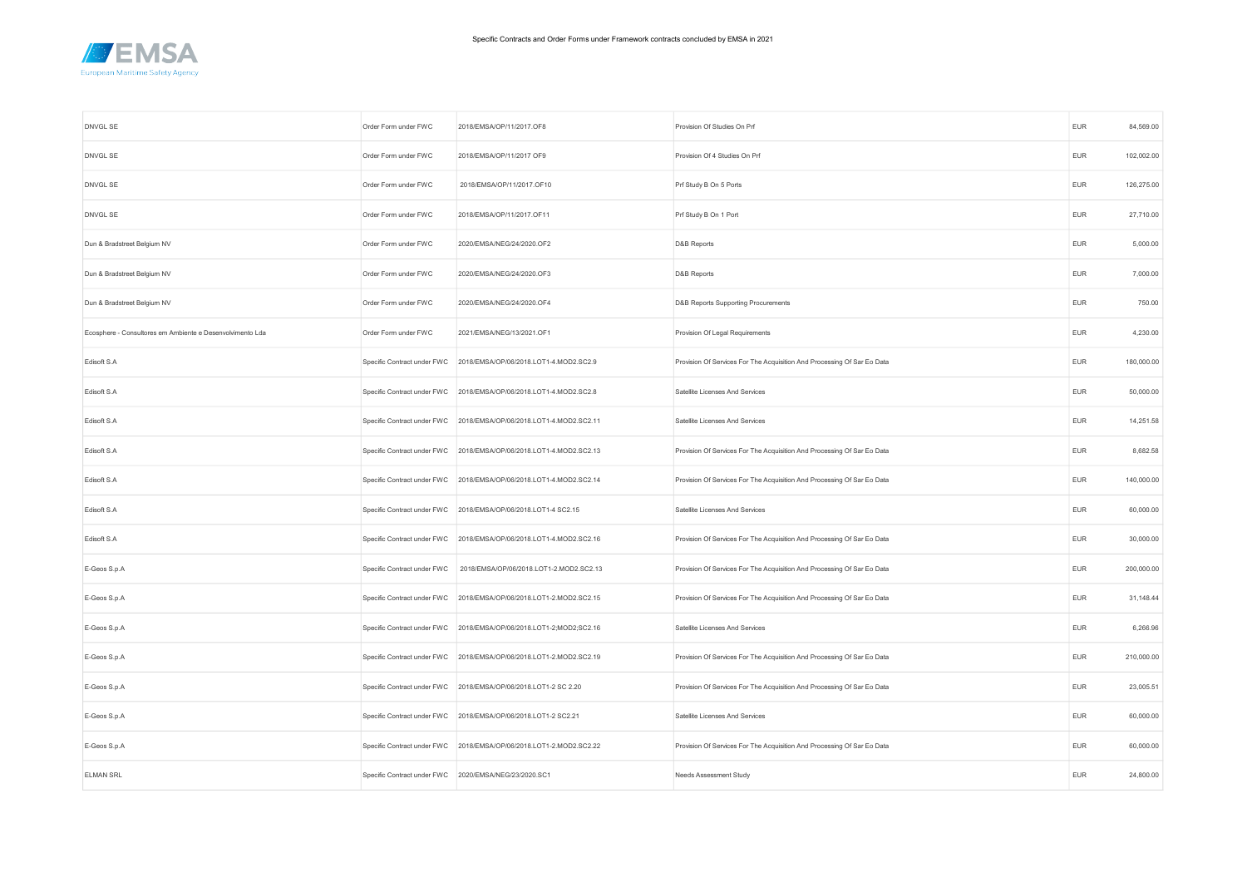

| DNVGL SE                                                  | Order Form under FWC        | 2018/EMSA/OP/11/2017.OF8                                            | Provision Of Studies On Prf                                             | <b>EUR</b> | 84,569.00  |
|-----------------------------------------------------------|-----------------------------|---------------------------------------------------------------------|-------------------------------------------------------------------------|------------|------------|
| DNVGL SE                                                  | Order Form under FWC        | 2018/EMSA/OP/11/2017 OF9                                            | Provision Of 4 Studies On Prf                                           | <b>EUR</b> | 102,002.00 |
| DNVGL SE                                                  | Order Form under FWC        | 2018/EMSA/OP/11/2017.OF10                                           | Prf Study B On 5 Ports                                                  | <b>EUR</b> | 126,275.00 |
| DNVGL SE                                                  | Order Form under FWC        | 2018/EMSA/OP/11/2017.OF11                                           | Prf Study B On 1 Port                                                   | EUR        | 27,710.00  |
| Dun & Bradstreet Belgium NV                               | Order Form under FWC        | 2020/EMSA/NEG/24/2020.OF2                                           | D&B Reports                                                             | <b>EUR</b> | 5,000.00   |
| Dun & Bradstreet Belgium NV                               | Order Form under FWC        | 2020/EMSA/NEG/24/2020.OF3                                           | D&B Reports                                                             | <b>EUR</b> | 7,000.00   |
| Dun & Bradstreet Belgium NV                               | Order Form under FWC        | 2020/EMSA/NEG/24/2020.OF4                                           | D&B Reports Supporting Procurements                                     | <b>EUR</b> | 750.00     |
| Ecosphere - Consultores em Ambiente e Desenvolvimento Lda | Order Form under FWC        | 2021/EMSA/NEG/13/2021.OF1                                           | Provision Of Legal Requirements                                         | <b>EUR</b> | 4,230.00   |
| Edisoft S.A                                               | Specific Contract under FWC | 2018/EMSA/OP/06/2018.LOT1-4.MOD2.SC2.9                              | Provision Of Services For The Acquisition And Processing Of Sar Eo Data | <b>EUR</b> | 180,000.00 |
| Edisoft S.A                                               | Specific Contract under FWC | 2018/EMSA/OP/06/2018.LOT1-4.MOD2.SC2.8                              | Satellite Licenses And Services                                         | <b>EUR</b> | 50,000.00  |
| Edisoft S.A                                               | Specific Contract under FWC | 2018/EMSA/OP/06/2018.LOT1-4.MOD2.SC2.11                             | Satellite Licenses And Services                                         | <b>EUR</b> | 14,251.58  |
| Edisoft S.A                                               |                             | Specific Contract under FWC 2018/EMSA/OP/06/2018.LOT1-4.MOD2.SC2.13 | Provision Of Services For The Acquisition And Processing Of Sar Eo Data | <b>EUR</b> | 8,682.58   |
| Edisoft S.A                                               | Specific Contract under FWC | 2018/EMSA/OP/06/2018.LOT1-4.MOD2.SC2.14                             | Provision Of Services For The Acquisition And Processing Of Sar Eo Data | <b>EUR</b> | 140,000.00 |
| Edisoft S.A                                               | Specific Contract under FWC | 2018/EMSA/OP/06/2018.LOT1-4 SC2.15                                  | Satellite Licenses And Services                                         | <b>EUR</b> | 60,000.00  |
| Edisoft S.A                                               |                             | Specific Contract under FWC 2018/EMSA/OP/06/2018.LOT1-4.MOD2.SC2.16 | Provision Of Services For The Acquisition And Processing Of Sar Eo Data | <b>EUR</b> | 30,000.00  |
| E-Geos S.p.A                                              | Specific Contract under FWC | 2018/EMSA/OP/06/2018.LOT1-2.MOD2.SC2.13                             | Provision Of Services For The Acquisition And Processing Of Sar Eo Data | <b>EUR</b> | 200,000.00 |
| E-Geos S.p.A                                              | Specific Contract under FWC | 2018/EMSA/OP/06/2018.LOT1-2.MOD2.SC2.15                             | Provision Of Services For The Acquisition And Processing Of Sar Eo Data | EUR        | 31,148.44  |
| E-Geos S.p.A                                              |                             | Specific Contract under FWC 2018/EMSA/OP/06/2018.LOT1-2;MOD2;SC2.16 | Satellite Licenses And Services                                         | <b>EUR</b> | 6,266.96   |
| E-Geos S.p.A                                              | Specific Contract under FWC | 2018/EMSA/OP/06/2018.LOT1-2.MOD2.SC2.19                             | Provision Of Services For The Acquisition And Processing Of Sar Eo Data | <b>EUR</b> | 210,000.00 |
| E-Geos S.p.A                                              |                             | Specific Contract under FWC 2018/EMSA/OP/06/2018.LOT1-2 SC 2.20     | Provision Of Services For The Acquisition And Processing Of Sar Eo Data | <b>EUR</b> | 23,005.51  |
| E-Geos S.p.A                                              | Specific Contract under FWC | 2018/EMSA/OP/06/2018.LOT1-2 SC2.21                                  | Satellite Licenses And Services                                         | <b>EUR</b> | 60,000.00  |
| E-Geos S.p.A                                              |                             | Specific Contract under FWC 2018/EMSA/OP/06/2018.LOT1-2.MOD2.SC2.22 | Provision Of Services For The Acquisition And Processing Of Sar Eo Data | <b>EUR</b> | 60,000.00  |
| <b>ELMAN SRL</b>                                          |                             | Specific Contract under FWC 2020/EMSA/NEG/23/2020.SC1               | <b>Needs Assessment Study</b>                                           | <b>EUR</b> | 24,800.00  |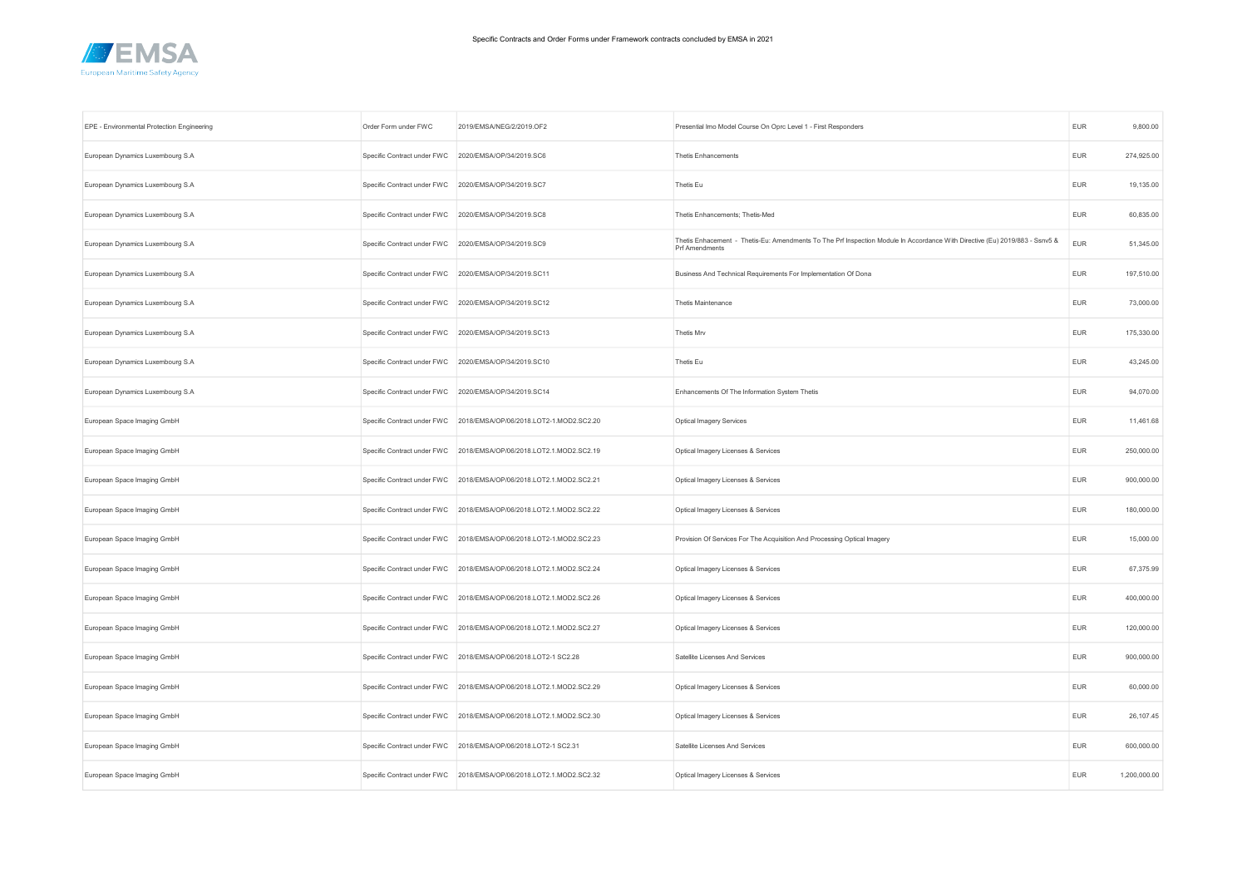

| EPE - Environmental Protection Engineering | Order Form under FWC                                 | 2019/EMSA/NEG/2/2019.OF2                                            | Presential Imo Model Course On Oprc Level 1 - First Responders                                                                                       | <b>EUR</b> | 9,800.00     |
|--------------------------------------------|------------------------------------------------------|---------------------------------------------------------------------|------------------------------------------------------------------------------------------------------------------------------------------------------|------------|--------------|
| European Dynamics Luxembourg S.A           | Specific Contract under FWC                          | 2020/EMSA/OP/34/2019.SC6                                            | <b>Thetis Enhancements</b>                                                                                                                           | <b>EUR</b> | 274,925.00   |
| European Dynamics Luxembourg S.A           | Specific Contract under FWC                          | 2020/EMSA/OP/34/2019.SC7                                            | Thetis Eu                                                                                                                                            | <b>EUR</b> | 19,135.00    |
| European Dynamics Luxembourg S.A           | Specific Contract under FWC 2020/EMSA/OP/34/2019.SC8 |                                                                     | Thetis Enhancements; Thetis-Med                                                                                                                      | <b>EUR</b> | 60,835.00    |
| European Dynamics Luxembourg S.A           | Specific Contract under FWC 2020/EMSA/OP/34/2019.SC9 |                                                                     | Thetis Enhacement - Thetis-Eu: Amendments To The Prf Inspection Module In Accordance With Directive (Eu) 2019/883 - Ssnv5 &<br><b>Prf Amendments</b> | <b>EUR</b> | 51,345.00    |
| European Dynamics Luxembourg S.A           |                                                      | Specific Contract under FWC 2020/EMSA/OP/34/2019.SC11               | Business And Technical Requirements For Implementation Of Dona                                                                                       | <b>EUR</b> | 197,510.00   |
| European Dynamics Luxembourg S.A           |                                                      | Specific Contract under FWC 2020/EMSA/OP/34/2019.SC12               | Thetis Maintenance                                                                                                                                   | <b>EUR</b> | 73,000.00    |
| European Dynamics Luxembourg S.A           |                                                      | Specific Contract under FWC 2020/EMSA/OP/34/2019.SC13               | Thetis Mrv                                                                                                                                           | <b>EUR</b> | 175,330.00   |
| European Dynamics Luxembourg S.A           |                                                      | Specific Contract under FWC 2020/EMSA/OP/34/2019.SC10               | Thetis Eu                                                                                                                                            | <b>EUR</b> | 43,245.00    |
| European Dynamics Luxembourg S.A           | Specific Contract under FWC                          | 2020/EMSA/OP/34/2019.SC14                                           | Enhancements Of The Information System Thetis                                                                                                        | <b>EUR</b> | 94,070.00    |
| European Space Imaging GmbH                |                                                      | Specific Contract under FWC 2018/EMSA/OP/06/2018.LOT2-1.MOD2.SC2.20 | <b>Optical Imagery Services</b>                                                                                                                      | <b>EUR</b> | 11,461.68    |
| European Space Imaging GmbH                |                                                      | Specific Contract under FWC 2018/EMSA/OP/06/2018.LOT2.1.MOD2.SC2.19 | Optical Imagery Licenses & Services                                                                                                                  | <b>EUR</b> | 250,000.00   |
| European Space Imaging GmbH                |                                                      | Specific Contract under FWC 2018/EMSA/OP/06/2018.LOT2.1.MOD2.SC2.21 | Optical Imagery Licenses & Services                                                                                                                  | <b>EUR</b> | 900,000.00   |
| European Space Imaging GmbH                | Specific Contract under FWC                          | 2018/EMSA/OP/06/2018.LOT2.1.MOD2.SC2.22                             | Optical Imagery Licenses & Services                                                                                                                  | <b>EUR</b> | 180,000.00   |
| European Space Imaging GmbH                |                                                      | Specific Contract under FWC 2018/EMSA/OP/06/2018.LOT2-1.MOD2.SC2.23 | Provision Of Services For The Acquisition And Processing Optical Imagery                                                                             | <b>EUR</b> | 15,000.00    |
| European Space Imaging GmbH                |                                                      | Specific Contract under FWC 2018/EMSA/OP/06/2018.LOT2.1.MOD2.SC2.24 | Optical Imagery Licenses & Services                                                                                                                  | <b>EUR</b> | 67,375.99    |
| European Space Imaging GmbH                | Specific Contract under FWC                          | 2018/EMSA/OP/06/2018.LOT2.1.MOD2.SC2.26                             | Optical Imagery Licenses & Services                                                                                                                  | <b>EUR</b> | 400,000.00   |
| European Space Imaging GmbH                |                                                      | Specific Contract under FWC 2018/EMSA/OP/06/2018.LOT2.1.MOD2.SC2.27 | Optical Imagery Licenses & Services                                                                                                                  | <b>EUR</b> | 120,000.00   |
| European Space Imaging GmbH                |                                                      | Specific Contract under FWC 2018/EMSA/OP/06/2018.LOT2-1 SC2.28      | Satellite Licenses And Services                                                                                                                      | EUR        | 900,000.00   |
| European Space Imaging GmbH                |                                                      | Specific Contract under FWC 2018/EMSA/OP/06/2018.LOT2.1.MOD2.SC2.29 | Optical Imagery Licenses & Services                                                                                                                  | EUR        | 60,000.00    |
| European Space Imaging GmbH                | Specific Contract under FWC                          | 2018/EMSA/OP/06/2018.LOT2.1.MOD2.SC2.30                             | Optical Imagery Licenses & Services                                                                                                                  | <b>EUR</b> | 26,107.45    |
| European Space Imaging GmbH                |                                                      | Specific Contract under FWC 2018/EMSA/OP/06/2018.LOT2-1 SC2.31      | Satellite Licenses And Services                                                                                                                      | <b>EUR</b> | 600,000.00   |
| European Space Imaging GmbH                |                                                      | Specific Contract under FWC 2018/EMSA/OP/06/2018.LOT2.1.MOD2.SC2.32 | Optical Imagery Licenses & Services                                                                                                                  | EUR        | 1,200,000.00 |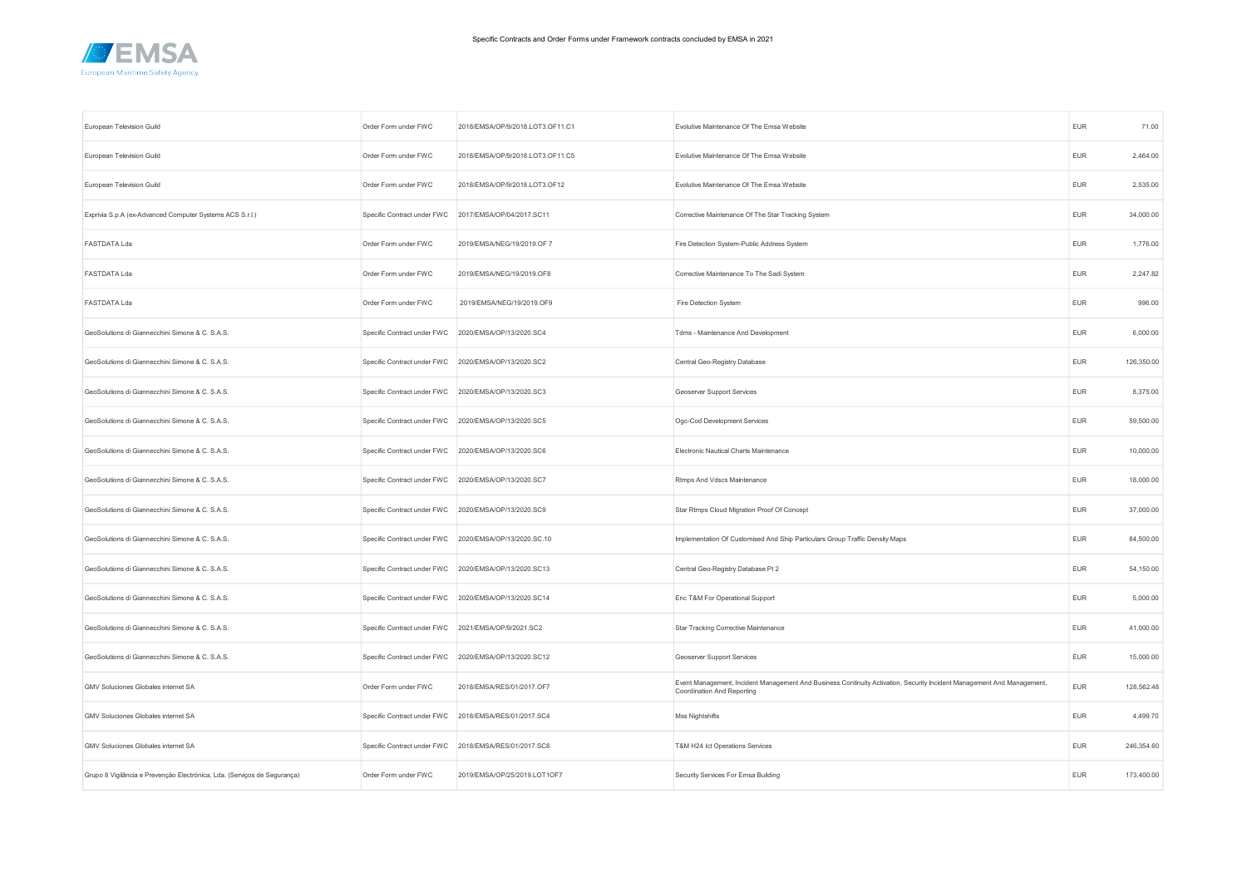

| European Television Guild                                                | Order Form under FWC                                 | 2018/EMSA/OP/9/2018.LOT3.OF11.C1                       | Evolutive Maintenance Of The Emsa Website                                                                                                            | <b>EUR</b> | 71.00      |
|--------------------------------------------------------------------------|------------------------------------------------------|--------------------------------------------------------|------------------------------------------------------------------------------------------------------------------------------------------------------|------------|------------|
| European Television Guild                                                | Order Form under FWC                                 | 2018/EMSA/OP/9/2018.LOT3.OF11.C5                       | Evolutive Maintenance Of The Emsa Website                                                                                                            | EUR        | 2,464.00   |
| European Television Guild                                                | Order Form under FWC                                 | 2018/EMSA/OP/9/2018.LOT3.OF12                          | Evolutive Maintenance Of The Emsa Website                                                                                                            | <b>EUR</b> | 2,535.00   |
| Exprivia S.p.A (ex-Advanced Computer Systems ACS S.r.l.)                 | Specific Contract under FWC                          | 2017/EMSA/OP/04/2017.SC11                              | Corrective Maintenance Of The Star Tracking System                                                                                                   | <b>EUR</b> | 34,000.00  |
| <b>FASTDATA Lda</b>                                                      | Order Form under FWC                                 | 2019/EMSA/NEG/19/2019.OF 7                             | Fire Detection System-Public Address System                                                                                                          | <b>EUR</b> | 1,776.00   |
| <b>FASTDATA Lda</b>                                                      | Order Form under FWC                                 | 2019/EMSA/NEG/19/2019.OF8                              | Corrective Maintenance To The Sadi System                                                                                                            | <b>EUR</b> | 2,247.82   |
| FASTDATA Lda                                                             | Order Form under FWC                                 | 2019/EMSA/NEG/19/2019.OF9                              | Fire Detection System                                                                                                                                | <b>EUR</b> | 996.00     |
| GeoSolutions di Giannecchini Simone & C. S.A.S.                          | Specific Contract under FWC                          | 2020/EMSA/OP/13/2020.SC4                               | Tdms - Maintenance And Development                                                                                                                   | <b>EUR</b> | 6,000.00   |
| GeoSolutions di Giannecchini Simone & C. S.A.S.                          |                                                      | Specific Contract under FWC 2020/EMSA/OP/13/2020.SC2   | Central Geo-Registry Database                                                                                                                        | <b>EUR</b> | 126,350.00 |
| GeoSolutions di Giannecchini Simone & C. S.A.S.                          | Specific Contract under FWC 2020/EMSA/OP/13/2020.SC3 |                                                        | Geoserver Support Services                                                                                                                           | <b>EUR</b> | 8,375.00   |
| GeoSolutions di Giannecchini Simone & C. S.A.S.                          |                                                      | Specific Contract under FWC 2020/EMSA/OP/13/2020.SC5   | Ogc-Cod Development Services                                                                                                                         | <b>EUR</b> | 59,500.00  |
| GeoSolutions di Giannecchini Simone & C. S.A.S.                          |                                                      | Specific Contract under FWC 2020/EMSA/OP/13/2020.SC6   | Electronic Nautical Charts Maintenance                                                                                                               | <b>EUR</b> | 10,000.00  |
| GeoSolutions di Giannecchini Simone & C. S.A.S.                          | Specific Contract under FWC 2020/EMSA/OP/13/2020.SC7 |                                                        | Rtmps And Vdscs Maintenance                                                                                                                          | <b>EUR</b> | 18,000.00  |
| GeoSolutions di Giannecchini Simone & C. S.A.S.                          |                                                      | Specific Contract under FWC 2020/EMSA/OP/13/2020.SC9   | Star Rtmps Cloud Migration Proof Of Concept                                                                                                          | <b>EUR</b> | 37,000.00  |
| GeoSolutions di Giannecchini Simone & C. S.A.S.                          |                                                      | Specific Contract under FWC 2020/EMSA/OP/13/2020.SC.10 | Implementation Of Customised And Ship Particulars Group Traffic Density Maps                                                                         | <b>EUR</b> | 84,500.00  |
| GeoSolutions di Giannecchini Simone & C. S.A.S.                          |                                                      | Specific Contract under FWC 2020/EMSA/OP/13/2020.SC13  | Central Geo-Registry Database Pt 2                                                                                                                   | <b>EUR</b> | 54,150.00  |
| GeoSolutions di Giannecchini Simone & C. S.A.S.                          |                                                      | Specific Contract under FWC 2020/EMSA/OP/13/2020.SC14  | Enc T&M For Operational Support                                                                                                                      | <b>EUR</b> | 5,000.00   |
| GeoSolutions di Giannecchini Simone & C. S.A.S.                          | Specific Contract under FWC 2021/EMSA/OP/9/2021.SC2  |                                                        | Star Tracking Corrective Maintenance                                                                                                                 | <b>EUR</b> | 41,000.00  |
| GeoSolutions di Giannecchini Simone & C. S.A.S.                          | Specific Contract under FWC                          | 2020/EMSA/OP/13/2020.SC12                              | Geoserver Support Services                                                                                                                           | <b>EUR</b> | 15,000.00  |
| GMV Soluciones Globales internet SA                                      | Order Form under FWC                                 | 2018/EMSA/RES/01/2017.OF7                              | Event Management, Incident Management And Business Continuity Activation, Security Incident Management And Management,<br>Coordination And Reporting | <b>EUR</b> | 128,562.48 |
| GMV Soluciones Globales internet SA                                      |                                                      | Specific Contract under FWC 2018/EMSA/RES/01/2017.SC4  | Mss Nightshifts                                                                                                                                      | <b>EUR</b> | 4,499.70   |
| GMV Soluciones Globales internet SA                                      |                                                      | Specific Contract under FWC 2018/EMSA/RES/01/2017.SC8  | T&M H24 lct Operations Services                                                                                                                      | <b>EUR</b> | 246,354.60 |
| Grupo 8 Vigilância e Prevenção Electrónica, Lda. (Serviços de Segurança) | Order Form under FWC                                 | 2019/EMSA/OP/25/2019.LOT1OF7                           | Security Services For Emsa Building                                                                                                                  | <b>EUR</b> | 173,400.00 |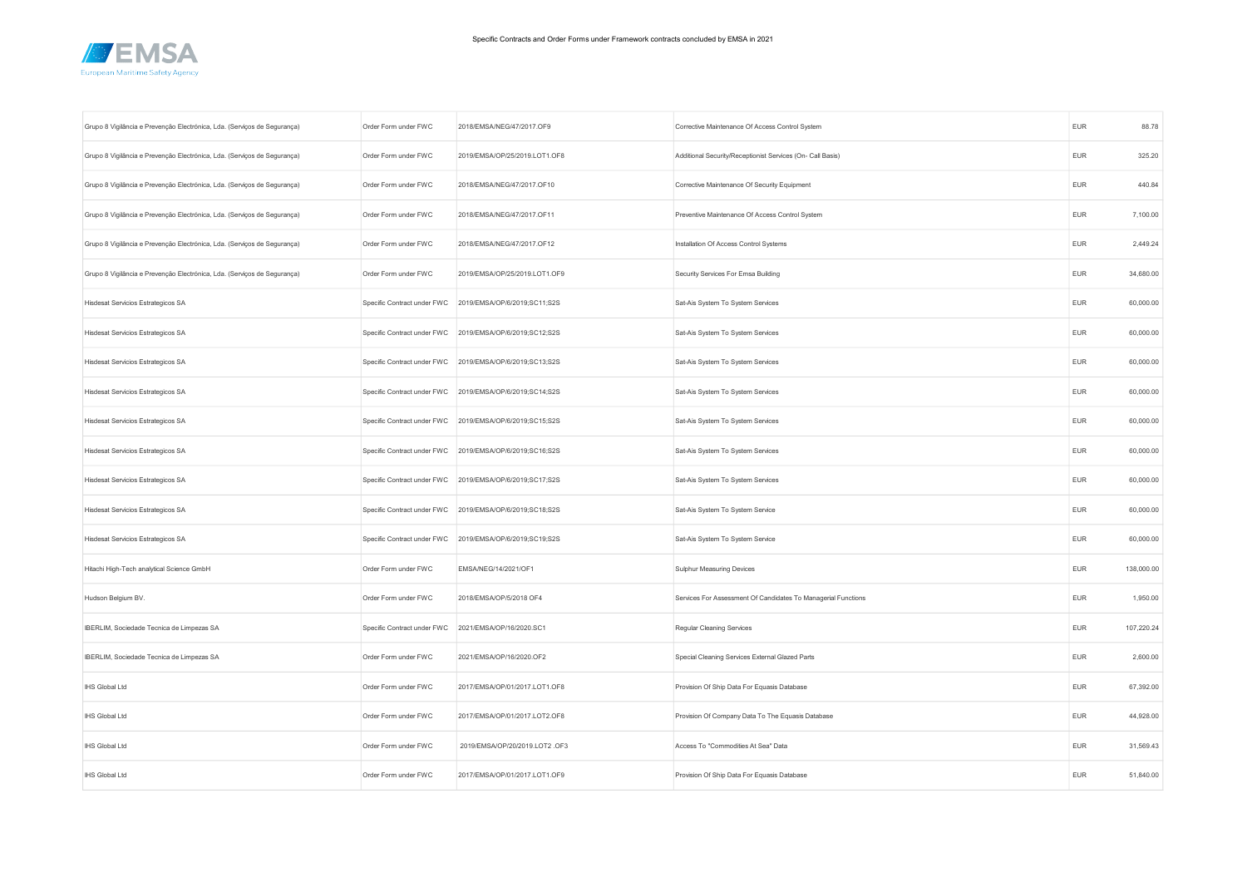

| Grupo 8 Vigilância e Prevenção Electrónica, Lda. (Serviços de Segurança) | Order Form under FWC        | 2018/EMSA/NEG/47/2017.OF9                                | Corrective Maintenance Of Access Control System               | <b>EUR</b> | 88.78      |
|--------------------------------------------------------------------------|-----------------------------|----------------------------------------------------------|---------------------------------------------------------------|------------|------------|
| Grupo 8 Vigilância e Prevenção Electrónica, Lda. (Serviços de Segurança) | Order Form under FWC        | 2019/EMSA/OP/25/2019.LOT1.OF8                            | Additional Security/Receptionist Services (On- Call Basis)    | EUR        | 325.20     |
| Grupo 8 Vigilância e Prevenção Electrónica, Lda. (Serviços de Segurança) | Order Form under FWC        | 2018/EMSA/NEG/47/2017.OF10                               | Corrective Maintenance Of Security Equipment                  | EUR        | 440.84     |
| Grupo 8 Vigilância e Prevenção Electrónica, Lda. (Serviços de Segurança) | Order Form under FWC        | 2018/EMSA/NEG/47/2017.OF11                               | Preventive Maintenance Of Access Control System               | <b>EUR</b> | 7,100.00   |
| Grupo 8 Vigilância e Prevenção Electrónica, Lda. (Serviços de Segurança) | Order Form under FWC        | 2018/EMSA/NEG/47/2017.OF12                               | Installation Of Access Control Systems                        | <b>EUR</b> | 2,449.24   |
| Grupo 8 Vigilância e Prevenção Electrónica, Lda. (Serviços de Segurança) | Order Form under FWC        | 2019/EMSA/OP/25/2019.LOT1.OF9                            | Security Services For Emsa Building                           | EUR        | 34,680.00  |
| Hisdesat Servicios Estrategicos SA                                       | Specific Contract under FWC | 2019/EMSA/OP/6/2019;SC11;S2S                             | Sat-Ais System To System Services                             | <b>EUR</b> | 60,000.00  |
| Hisdesat Servicios Estrategicos SA                                       | Specific Contract under FWC | 2019/EMSA/OP/6/2019;SC12;S2S                             | Sat-Ais System To System Services                             | <b>EUR</b> | 60,000.00  |
| Hisdesat Servicios Estrategicos SA                                       |                             | Specific Contract under FWC 2019/EMSA/OP/6/2019;SC13;S2S | Sat-Ais System To System Services                             | EUR        | 60,000.00  |
| Hisdesat Servicios Estrategicos SA                                       | Specific Contract under FWC | 2019/EMSA/OP/6/2019;SC14;S2S                             | Sat-Ais System To System Services                             | EUR        | 60,000.00  |
| Hisdesat Servicios Estrategicos SA                                       | Specific Contract under FWC | 2019/EMSA/OP/6/2019;SC15;S2S                             | Sat-Ais System To System Services                             | <b>EUR</b> | 60,000.00  |
| Hisdesat Servicios Estrategicos SA                                       |                             | Specific Contract under FWC 2019/EMSA/OP/6/2019;SC16;S2S | Sat-Ais System To System Services                             | <b>EUR</b> | 60,000.00  |
| Hisdesat Servicios Estrategicos SA                                       | Specific Contract under FWC | 2019/EMSA/OP/6/2019;SC17;S2S                             | Sat-Ais System To System Services                             | <b>EUR</b> | 60,000.00  |
| Hisdesat Servicios Estrategicos SA                                       | Specific Contract under FWC | 2019/EMSA/OP/6/2019;SC18;S2S                             | Sat-Ais System To System Service                              | EUR        | 60,000.00  |
| Hisdesat Servicios Estrategicos SA                                       |                             | Specific Contract under FWC 2019/EMSA/OP/6/2019;SC19;S2S | Sat-Ais System To System Service                              | <b>EUR</b> | 60,000.00  |
| Hitachi High-Tech analytical Science GmbH                                | Order Form under FWC        | EMSA/NEG/14/2021/OF1                                     | Sulphur Measuring Devices                                     | <b>EUR</b> | 138,000.00 |
| Hudson Belgium BV.                                                       | Order Form under FWC        | 2018/EMSA/OP/5/2018 OF4                                  | Services For Assessment Of Candidates To Managerial Functions | <b>EUR</b> | 1,950.00   |
| IBERLIM, Sociedade Tecnica de Limpezas SA                                | Specific Contract under FWC | 2021/EMSA/OP/16/2020.SC1                                 | Regular Cleaning Services                                     | EUR        | 107,220.24 |
| IBERLIM, Sociedade Tecnica de Limpezas SA                                | Order Form under FWC        | 2021/EMSA/OP/16/2020.OF2                                 | Special Cleaning Services External Glazed Parts               | <b>EUR</b> | 2,600.00   |
| <b>IHS Global Ltd</b>                                                    | Order Form under FWC        | 2017/EMSA/OP/01/2017.LOT1.OF8                            | Provision Of Ship Data For Equasis Database                   | <b>EUR</b> | 67,392.00  |
| IHS Global Ltd                                                           | Order Form under FWC        | 2017/EMSA/OP/01/2017.LOT2.OF8                            | Provision Of Company Data To The Equasis Database             | EUR        | 44,928.00  |
| IHS Global Ltd                                                           | Order Form under FWC        | 2019/EMSA/OP/20/2019.LOT2.OF3                            | Access To "Commodities At Sea" Data                           | EUR        | 31,569.43  |
| IHS Global Ltd                                                           | Order Form under FWC        | 2017/EMSA/OP/01/2017.LOT1.OF9                            | Provision Of Ship Data For Equasis Database                   | <b>EUR</b> | 51,840.00  |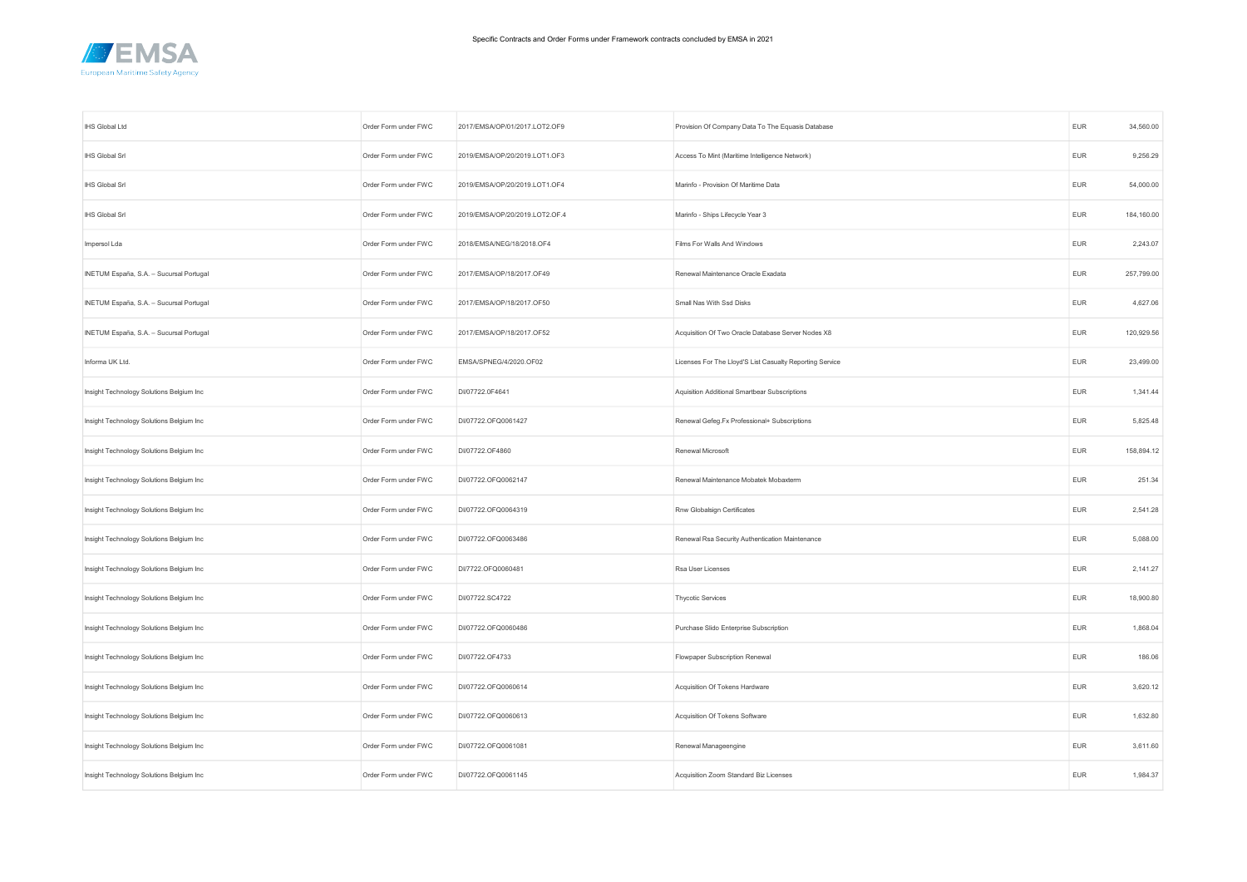

| IHS Global Ltd                           | Order Form under FWC | 2017/EMSA/OP/01/2017.LOT2.OF9  | Provision Of Company Data To The Equasis Database        | <b>EUR</b> | 34,560.00  |
|------------------------------------------|----------------------|--------------------------------|----------------------------------------------------------|------------|------------|
| <b>IHS Global Srl</b>                    | Order Form under FWC | 2019/EMSA/OP/20/2019.LOT1.OF3  | Access To Mint (Maritime Intelligence Network)           | <b>EUR</b> | 9,256.29   |
| IHS Global Srl                           | Order Form under FWC | 2019/EMSA/OP/20/2019.LOT1.OF4  | Marinfo - Provision Of Maritime Data                     | <b>EUR</b> | 54,000.00  |
| IHS Global Srl                           | Order Form under FWC | 2019/EMSA/OP/20/2019.LOT2.OF.4 | Marinfo - Ships Lifecycle Year 3                         | <b>EUR</b> | 184,160.00 |
| Impersol Lda                             | Order Form under FWC | 2018/EMSA/NEG/18/2018.OF4      | Films For Walls And Windows                              | EUR        | 2,243.07   |
| INETUM España, S.A. - Sucursal Portugal  | Order Form under FWC | 2017/EMSA/OP/18/2017.OF49      | Renewal Maintenance Oracle Exadata                       | <b>EUR</b> | 257,799.00 |
| INETUM España, S.A. - Sucursal Portugal  | Order Form under FWC | 2017/EMSA/OP/18/2017.OF50      | Small Nas With Ssd Disks                                 | <b>EUR</b> | 4,627.06   |
| INETUM España, S.A. - Sucursal Portugal  | Order Form under FWC | 2017/EMSA/OP/18/2017.OF52      | Acquisition Of Two Oracle Database Server Nodes X8       | <b>EUR</b> | 120,929.56 |
| Informa UK Ltd.                          | Order Form under FWC | EMSA/SPNEG/4/2020.OF02         | Licenses For The Lloyd'S List Casualty Reporting Service | <b>EUR</b> | 23,499.00  |
| Insight Technology Solutions Belgium Inc | Order Form under FWC | DI/07722.0F4641                | Aquisition Additional Smartbear Subscriptions            | <b>EUR</b> | 1,341.44   |
| Insight Technology Solutions Belgium Inc | Order Form under FWC | DI/07722.OFQ0061427            | Renewal Gefeg.Fx Professional+ Subscriptions             | <b>EUR</b> | 5,825.48   |
| Insight Technology Solutions Belgium Inc | Order Form under FWC | DI/07722.OF4860                | Renewal Microsoft                                        | <b>EUR</b> | 158,894.12 |
| Insight Technology Solutions Belgium Inc | Order Form under FWC | DI/07722.OFQ0062147            | Renewal Maintenance Mobatek Mobaxterm                    | <b>EUR</b> | 251.34     |
| Insight Technology Solutions Belgium Inc | Order Form under FWC | DI/07722.OFQ0064319            | Rnw Globalsign Certificates                              | <b>EUR</b> | 2,541.28   |
| Insight Technology Solutions Belgium Inc | Order Form under FWC | DI/07722.OFQ0063486            | Renewal Rsa Security Authentication Maintenance          | <b>EUR</b> | 5,088.00   |
| Insight Technology Solutions Belgium Inc | Order Form under FWC | DI/7722.OFQ0060481             | Rsa User Licenses                                        | <b>EUR</b> | 2,141.27   |
| Insight Technology Solutions Belgium Inc | Order Form under FWC | DI/07722.SC4722                | Thycotic Services                                        | <b>EUR</b> | 18,900.80  |
| Insight Technology Solutions Belgium Inc | Order Form under FWC | DI/07722.OFQ0060486            | Purchase Slido Enterprise Subscription                   | EUR        | 1,868.04   |
| Insight Technology Solutions Belgium Inc | Order Form under FWC | DI/07722.OF4733                | Flowpaper Subscription Renewal                           | EUR        | 186.06     |
| Insight Technology Solutions Belgium Inc | Order Form under FWC | DI/07722.OFQ0060614            | Acquisition Of Tokens Hardware                           | <b>EUR</b> | 3,620.12   |
| Insight Technology Solutions Belgium Inc | Order Form under FWC | DI/07722.OFQ0060613            | Acquisition Of Tokens Software                           | <b>EUR</b> | 1,632.80   |
| Insight Technology Solutions Belgium Inc | Order Form under FWC | DI/07722.OFQ0061081            | Renewal Manageengine                                     | <b>EUR</b> | 3,611.60   |
| Insight Technology Solutions Belgium Inc | Order Form under FWC | DI/07722.OFQ0061145            | Acquisition Zoom Standard Biz Licenses                   | <b>EUR</b> | 1,984.37   |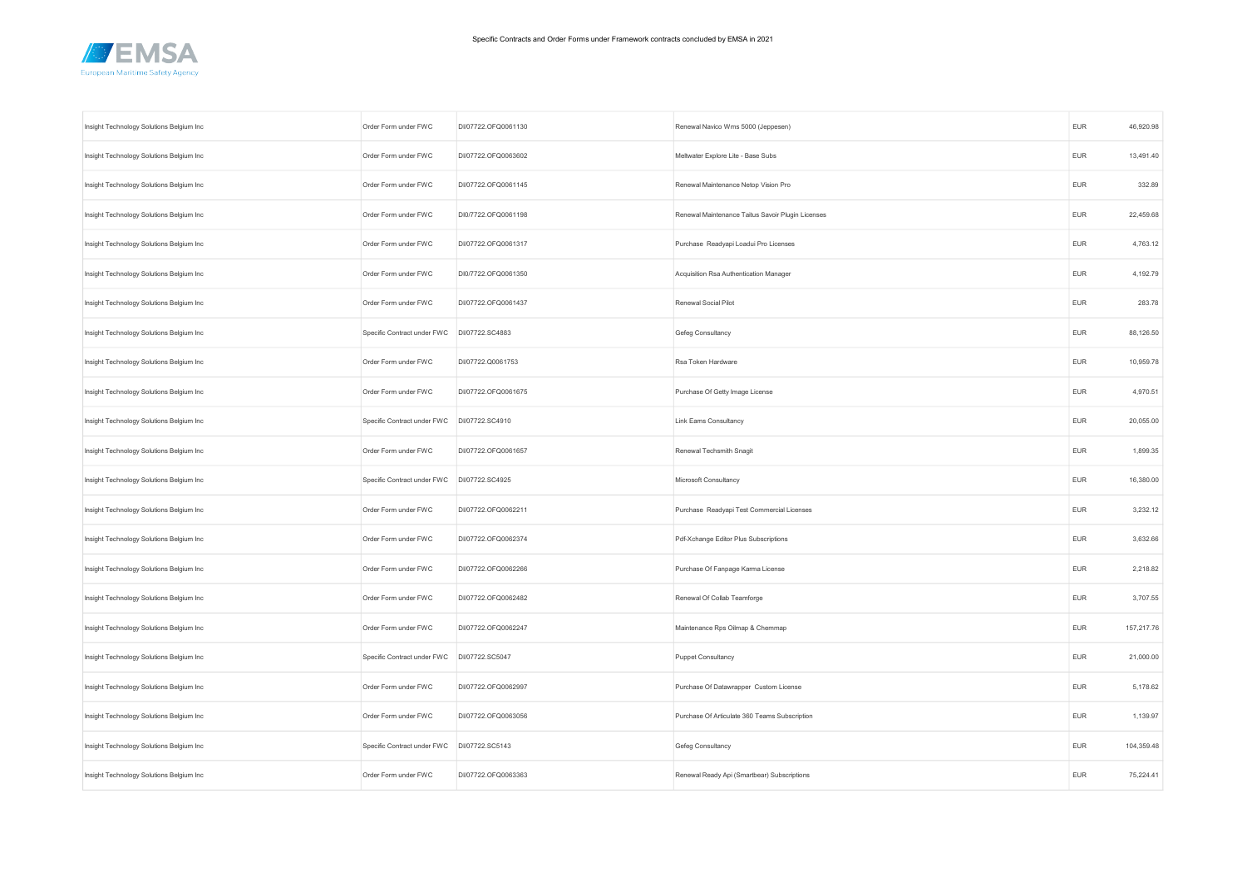

| Insight Technology Solutions Belgium Inc | Order Form under FWC        | DI/07722.OFQ0061130 | Renewal Navico Wms 5000 (Jeppesen)                | <b>EUR</b> | 46,920.98  |
|------------------------------------------|-----------------------------|---------------------|---------------------------------------------------|------------|------------|
| Insight Technology Solutions Belgium Inc | Order Form under FWC        | DI/07722.OFQ0063602 | Meltwater Explore Lite - Base Subs                | <b>EUR</b> | 13,491.40  |
| Insight Technology Solutions Belgium Inc | Order Form under FWC        | DI/07722.OFQ0061145 | Renewal Maintenance Netop Vision Pro              | <b>EUR</b> | 332.89     |
| Insight Technology Solutions Belgium Inc | Order Form under FWC        | DI0/7722.OFQ0061198 | Renewal Maintenance Taitus Savoir Plugin Licenses | <b>EUR</b> | 22,459.68  |
| Insight Technology Solutions Belgium Inc | Order Form under FWC        | DI/07722.OFQ0061317 | Purchase Readyapi Loadui Pro Licenses             | <b>EUR</b> | 4,763.12   |
| Insight Technology Solutions Belgium Inc | Order Form under FWC        | DI0/7722.OFQ0061350 | Acquisition Rsa Authentication Manager            | <b>EUR</b> | 4,192.79   |
| Insight Technology Solutions Belgium Inc | Order Form under FWC        | DI/07722.OFQ0061437 | Renewal Social Pilot                              | <b>EUR</b> | 283.78     |
| Insight Technology Solutions Belgium Inc | Specific Contract under FWC | DI/07722.SC4883     | Gefeg Consultancy                                 | <b>EUR</b> | 88,126.50  |
| Insight Technology Solutions Belgium Inc | Order Form under FWC        | DI/07722.Q0061753   | Rsa Token Hardware                                | <b>EUR</b> | 10,959.78  |
| Insight Technology Solutions Belgium Inc | Order Form under FWC        | DI/07722.OFQ0061675 | Purchase Of Getty Image License                   | <b>EUR</b> | 4,970.51   |
| Insight Technology Solutions Belgium Inc | Specific Contract under FWC | DI/07722.SC4910     | <b>Link Eams Consultancy</b>                      | EUR        | 20,055.00  |
| Insight Technology Solutions Belgium Inc | Order Form under FWC        | DI/07722.OFQ0061657 | Renewal Techsmith Snagit                          | <b>EUR</b> | 1,899.35   |
| Insight Technology Solutions Belgium Inc | Specific Contract under FWC | DI/07722.SC4925     | Microsoft Consultancy                             | <b>EUR</b> | 16,380.00  |
| Insight Technology Solutions Belgium Inc | Order Form under FWC        | DI/07722.OFQ0062211 | Purchase Readyapi Test Commercial Licenses        | <b>EUR</b> | 3,232.12   |
| Insight Technology Solutions Belgium Inc | Order Form under FWC        | DI/07722.OFQ0062374 | Pdf-Xchange Editor Plus Subscriptions             | <b>EUR</b> | 3,632.66   |
| Insight Technology Solutions Belgium Inc | Order Form under FWC        | DI/07722.OFQ0062266 | Purchase Of Fanpage Karma License                 | <b>EUR</b> | 2,218.82   |
| Insight Technology Solutions Belgium Inc | Order Form under FWC        | DI/07722.OFQ0062482 | Renewal Of Collab Teamforge                       | <b>EUR</b> | 3,707.55   |
| Insight Technology Solutions Belgium Inc | Order Form under FWC        | DI/07722.OFQ0062247 | Maintenance Rps Oilmap & Chemmap                  | EUR        | 157,217.76 |
| Insight Technology Solutions Belgium Inc | Specific Contract under FWC | DI/07722.SC5047     | <b>Puppet Consultancy</b>                         | <b>EUR</b> | 21,000.00  |
| Insight Technology Solutions Belgium Inc | Order Form under FWC        | DI/07722.OFQ0062997 | Purchase Of Datawrapper Custom License            | <b>EUR</b> | 5,178.62   |
| Insight Technology Solutions Belgium Inc | Order Form under FWC        | DI/07722.OFQ0063056 | Purchase Of Articulate 360 Teams Subscription     | <b>EUR</b> | 1,139.97   |
| Insight Technology Solutions Belgium Inc | Specific Contract under FWC | DI/07722.SC5143     | Gefeg Consultancy                                 | <b>EUR</b> | 104,359.48 |
| Insight Technology Solutions Belgium Inc | Order Form under FWC        | DI/07722.OFQ0063363 | Renewal Ready Api (Smartbear) Subscriptions       | <b>EUR</b> | 75,224.41  |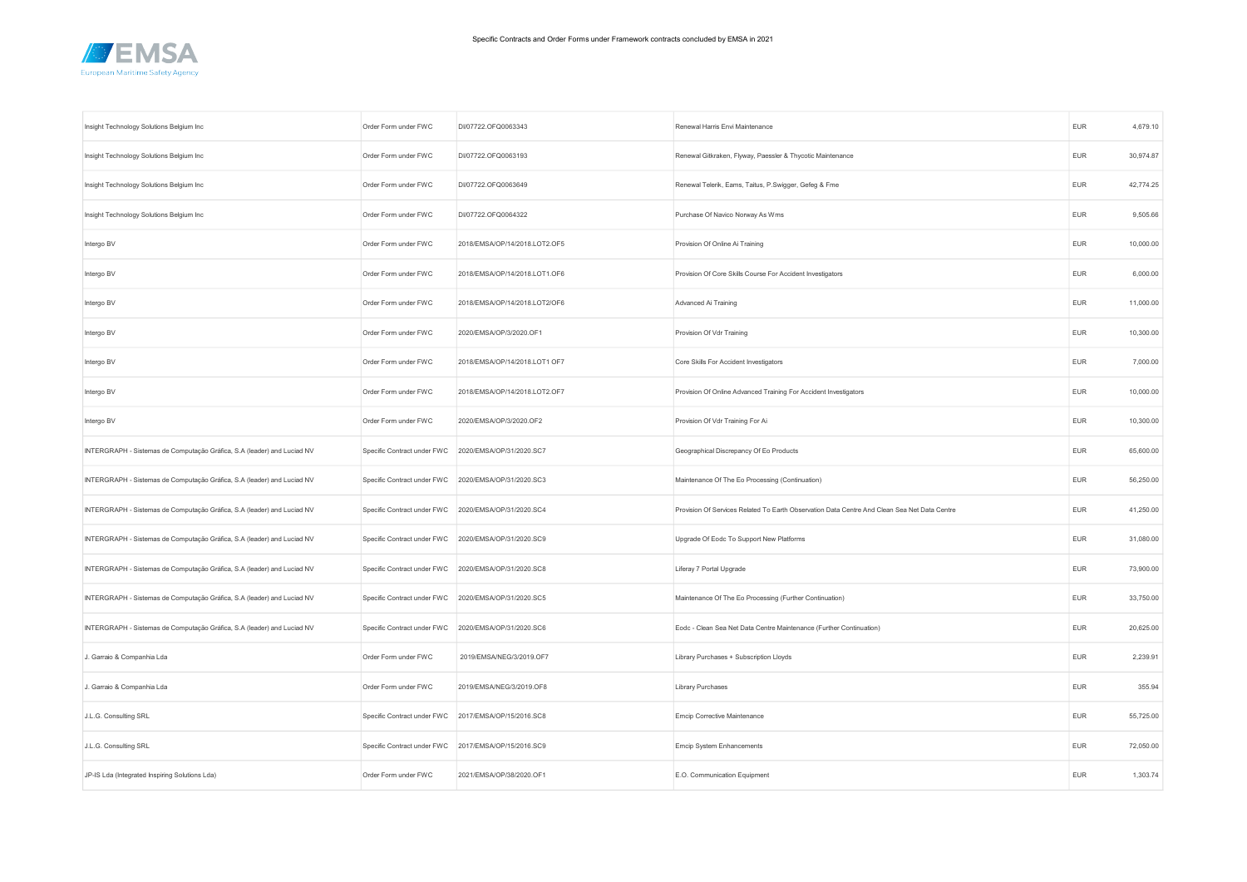

| Insight Technology Solutions Belgium Inc                                | Order Form under FWC                                 | DI/07722.OFQ0063343           | Renewal Harris Envi Maintenance                                                              | <b>EUR</b> | 4,679.10  |
|-------------------------------------------------------------------------|------------------------------------------------------|-------------------------------|----------------------------------------------------------------------------------------------|------------|-----------|
| Insight Technology Solutions Belgium Inc                                | Order Form under FWC                                 | DI/07722.OFQ0063193           | Renewal Gitkraken, Flyway, Paessler & Thycotic Maintenance                                   | <b>EUR</b> | 30,974.87 |
| Insight Technology Solutions Belgium Inc                                | Order Form under FWC                                 | DI/07722.OFQ0063649           | Renewal Telerik, Eams, Taitus, P.Swigger, Gefeg & Fme                                        | <b>EUR</b> | 42,774.25 |
| Insight Technology Solutions Belgium Inc                                | Order Form under FWC                                 | DI/07722.OFQ0064322           | Purchase Of Navico Norway As Wms                                                             | EUR        | 9,505.66  |
| Intergo BV                                                              | Order Form under FWC                                 | 2018/EMSA/OP/14/2018.LOT2.OF5 | Provision Of Online Ai Training                                                              | <b>EUR</b> | 10,000.00 |
| Intergo BV                                                              | Order Form under FWC                                 | 2018/EMSA/OP/14/2018.LOT1.OF6 | Provision Of Core Skills Course For Accident Investigators                                   | EUR        | 6,000.00  |
| Intergo BV                                                              | Order Form under FWC                                 | 2018/EMSA/OP/14/2018.LOT2/OF6 | Advanced Ai Training                                                                         | EUR        | 11,000.00 |
| Intergo BV                                                              | Order Form under FWC                                 | 2020/EMSA/OP/3/2020.OF1       | Provision Of Vdr Training                                                                    | <b>EUR</b> | 10,300.00 |
| Intergo BV                                                              | Order Form under FWC                                 | 2018/EMSA/OP/14/2018.LOT1 OF7 | Core Skills For Accident Investigators                                                       | <b>EUR</b> | 7,000.00  |
| Intergo BV                                                              | Order Form under FWC                                 | 2018/EMSA/OP/14/2018.LOT2.OF7 | Provision Of Online Advanced Training For Accident Investigators                             | <b>EUR</b> | 10,000.00 |
| Intergo BV                                                              | Order Form under FWC                                 | 2020/EMSA/OP/3/2020.OF2       | Provision Of Vdr Training For Ai                                                             | <b>EUR</b> | 10,300.00 |
| INTERGRAPH - Sistemas de Computação Gráfica, S.A (leader) and Luciad NV | Specific Contract under FWC                          | 2020/EMSA/OP/31/2020.SC7      | Geographical Discrepancy Of Eo Products                                                      | <b>EUR</b> | 65,600.00 |
| INTERGRAPH - Sistemas de Computação Gráfica, S.A (leader) and Luciad NV | Specific Contract under FWC                          | 2020/EMSA/OP/31/2020.SC3      | Maintenance Of The Eo Processing (Continuation)                                              | <b>EUR</b> | 56,250.00 |
| INTERGRAPH - Sistemas de Computação Gráfica, S.A (leader) and Luciad NV | Specific Contract under FWC 2020/EMSA/OP/31/2020.SC4 |                               | Provision Of Services Related To Earth Observation Data Centre And Clean Sea Net Data Centre | <b>EUR</b> | 41,250.00 |
| INTERGRAPH - Sistemas de Computação Gráfica, S.A (leader) and Luciad NV | Specific Contract under FWC 2020/EMSA/OP/31/2020.SC9 |                               | Upgrade Of Eodc To Support New Platforms                                                     | <b>EUR</b> | 31,080.00 |
| INTERGRAPH - Sistemas de Computação Gráfica, S.A (leader) and Luciad NV | Specific Contract under FWC                          | 2020/EMSA/OP/31/2020.SC8      | Liferay 7 Portal Upgrade                                                                     | <b>EUR</b> | 73,900.00 |
| INTERGRAPH - Sistemas de Computação Gráfica, S.A (leader) and Luciad NV | Specific Contract under FWC                          | 2020/EMSA/OP/31/2020.SC5      | Maintenance Of The Eo Processing (Further Continuation)                                      | <b>EUR</b> | 33,750.00 |
| INTERGRAPH - Sistemas de Computação Gráfica, S.A (leader) and Luciad NV | Specific Contract under FWC 2020/EMSA/OP/31/2020.SC6 |                               | Eodc - Clean Sea Net Data Centre Maintenance (Further Continuation)                          | <b>EUR</b> | 20,625.00 |
| J. Garraio & Companhia Lda                                              | Order Form under FWC                                 | 2019/EMSA/NEG/3/2019.OF7      | Library Purchases + Subscription Lloyds                                                      | <b>EUR</b> | 2,239.91  |
| J. Garraio & Companhia Lda                                              | Order Form under FWC                                 | 2019/EMSA/NEG/3/2019.OF8      | <b>Library Purchases</b>                                                                     | <b>EUR</b> | 355.94    |
| J.L.G. Consulting SRL                                                   | Specific Contract under FWC 2017/EMSA/OP/15/2016.SC8 |                               | Emcip Corrective Maintenance                                                                 | EUR        | 55,725.00 |
| J.L.G. Consulting SRL                                                   | Specific Contract under FWC 2017/EMSA/OP/15/2016.SC9 |                               | Emcip System Enhancements                                                                    | <b>EUR</b> | 72,050.00 |
| JP-IS Lda (Integrated Inspiring Solutions Lda)                          | Order Form under FWC                                 | 2021/EMSA/OP/38/2020.OF1      | E.O. Communication Equipment                                                                 | <b>EUR</b> | 1,303.74  |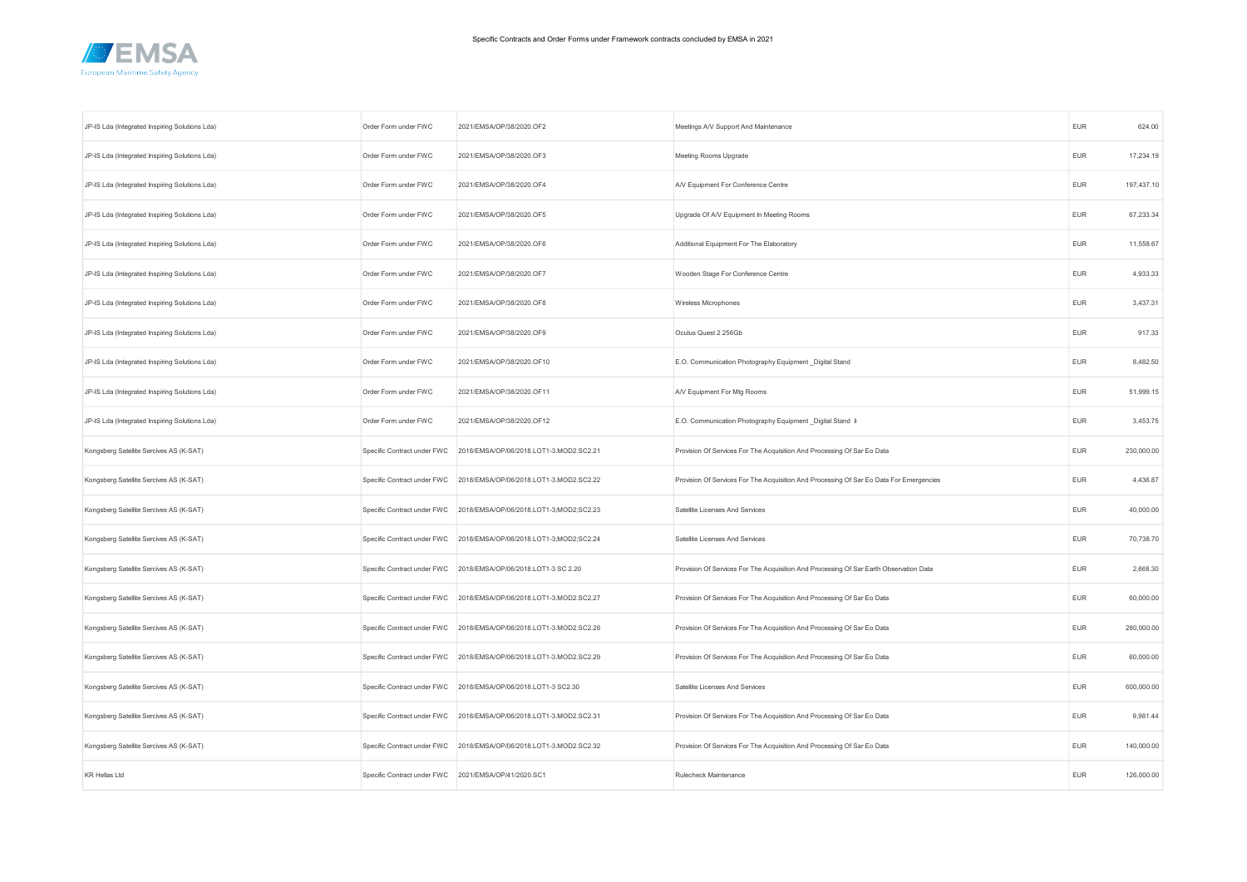

| JP-IS Lda (Integrated Inspiring Solutions Lda) | Order Form under FWC                                 | 2021/EMSA/OP/38/2020.OF2                                            | Meetings A/V Support And Maintenance                                                    | <b>EUR</b> | 624.00     |
|------------------------------------------------|------------------------------------------------------|---------------------------------------------------------------------|-----------------------------------------------------------------------------------------|------------|------------|
| JP-IS Lda (Integrated Inspiring Solutions Lda) | Order Form under FWC                                 | 2021/EMSA/OP/38/2020.OF3                                            | Meeting Rooms Upgrade                                                                   | <b>EUR</b> | 17,234.19  |
| JP-IS Lda (Integrated Inspiring Solutions Lda) | Order Form under FWC                                 | 2021/EMSA/OP/38/2020.OF4                                            | A/V Equipment For Conference Centre                                                     | <b>EUR</b> | 197,437.10 |
| JP-IS Lda (Integrated Inspiring Solutions Lda) | Order Form under FWC                                 | 2021/EMSA/OP/38/2020.OF5                                            | Upgrade Of A/V Equipment In Meeting Rooms                                               | <b>EUR</b> | 67,233.34  |
| JP-IS Lda (Integrated Inspiring Solutions Lda) | Order Form under FWC                                 | 2021/EMSA/OP/38/2020.OF6                                            | Additional Equipment For The Elaboratory                                                | <b>EUR</b> | 11,558.67  |
| JP-IS Lda (Integrated Inspiring Solutions Lda) | Order Form under FWC                                 | 2021/EMSA/OP/38/2020.OF7                                            | Wooden Stage For Conference Centre                                                      | EUR        | 4,933.33   |
| JP-IS Lda (Integrated Inspiring Solutions Lda) | Order Form under FWC                                 | 2021/EMSA/OP/38/2020.OF8                                            | Wireless Microphones                                                                    | <b>EUR</b> | 3,437.31   |
| JP-IS Lda (Integrated Inspiring Solutions Lda) | Order Form under FWC                                 | 2021/EMSA/OP/38/2020.OF9                                            | Oculus Quest 2 256Gb                                                                    | <b>EUR</b> | 917.33     |
| JP-IS Lda (Integrated Inspiring Solutions Lda) | Order Form under FWC                                 | 2021/EMSA/OP/38/2020.OF10                                           | E.O. Communication Photography Equipment _Digital Stand                                 | <b>EUR</b> | 8,482.50   |
| JP-IS Lda (Integrated Inspiring Solutions Lda) | Order Form under FWC                                 | 2021/EMSA/OP/38/2020.OF11                                           | A/V Equipment For Mtg Rooms                                                             | <b>EUR</b> | 51,999.15  |
| JP-IS Lda (Integrated Inspiring Solutions Lda) | Order Form under FWC                                 | 2021/EMSA/OP/38/2020.OF12                                           | E.O. Communication Photography Equipment _Digital Stand li                              | <b>EUR</b> | 3,453.75   |
| Kongsberg Satellite Sercives AS (K-SAT)        | Specific Contract under FWC                          | 2018/EMSA/OP/06/2018.LOT1-3.MOD2.SC2.21                             | Provision Of Services For The Acquisition And Processing Of Sar Eo Data                 | <b>EUR</b> | 230,000.00 |
| Kongsberg Satellite Sercives AS (K-SAT)        | Specific Contract under FWC                          | 2018/EMSA/OP/06/2018.LOT1-3.MOD2.SC2.22                             | Provision Of Services For The Acquisition And Processing Of Sar Eo Data For Emergencies | EUR        | 4,436.87   |
| Kongsberg Satellite Sercives AS (K-SAT)        | Specific Contract under FWC                          | 2018/EMSA/OP/06/2018.LOT1-3;MOD2;SC2.23                             | Satellite Licenses And Services                                                         | <b>EUR</b> | 40,000.00  |
| Kongsberg Satellite Sercives AS (K-SAT)        |                                                      | Specific Contract under FWC 2018/EMSA/OP/06/2018.LOT1-3;MOD2;SC2.24 | Satellite Licenses And Services                                                         | <b>EUR</b> | 70,738.70  |
| Kongsberg Satellite Sercives AS (K-SAT)        | Specific Contract under FWC                          | 2018/EMSA/OP/06/2018.LOT1-3 SC 2.20                                 | Provision Of Services For The Acquisition And Processing Of Sar Earth Observation Data  | <b>EUR</b> | 2,668.30   |
| Kongsberg Satellite Sercives AS (K-SAT)        | Specific Contract under FWC                          | 2018/EMSA/OP/06/2018.LOT1-3.MOD2.SC2.27                             | Provision Of Services For The Acquisition And Processing Of Sar Eo Data                 | <b>EUR</b> | 60,000.00  |
| Kongsberg Satellite Sercives AS (K-SAT)        |                                                      | Specific Contract under FWC 2018/EMSA/OP/06/2018.LOT1-3.MOD2.SC2.28 | Provision Of Services For The Acquisition And Processing Of Sar Eo Data                 | <b>EUR</b> | 280,000.00 |
| Kongsberg Satellite Sercives AS (K-SAT)        |                                                      | Specific Contract under FWC 2018/EMSA/OP/06/2018.LOT1-3.MOD2.SC2.29 | Provision Of Services For The Acquisition And Processing Of Sar Eo Data                 | EUR        | 60,000.00  |
| Kongsberg Satellite Sercives AS (K-SAT)        | Specific Contract under FWC                          | 2018/EMSA/OP/06/2018.LOT1-3 SC2.30                                  | Satellite Licenses And Services                                                         | <b>EUR</b> | 600,000.00 |
| Kongsberg Satellite Sercives AS (K-SAT)        |                                                      | Specific Contract under FWC 2018/EMSA/OP/06/2018.LOT1-3.MOD2.SC2.31 | Provision Of Services For The Acquisition And Processing Of Sar Eo Data                 | EUR        | 9,981.44   |
| Kongsberg Satellite Sercives AS (K-SAT)        |                                                      | Specific Contract under FWC 2018/EMSA/OP/06/2018.LOT1-3.MOD2.SC2.32 | Provision Of Services For The Acquisition And Processing Of Sar Eo Data                 | <b>EUR</b> | 140,000.00 |
| <b>KR Hellas Ltd</b>                           | Specific Contract under FWC 2021/EMSA/OP/41/2020.SC1 |                                                                     | Rulecheck Maintenance                                                                   | <b>EUR</b> | 126,000.00 |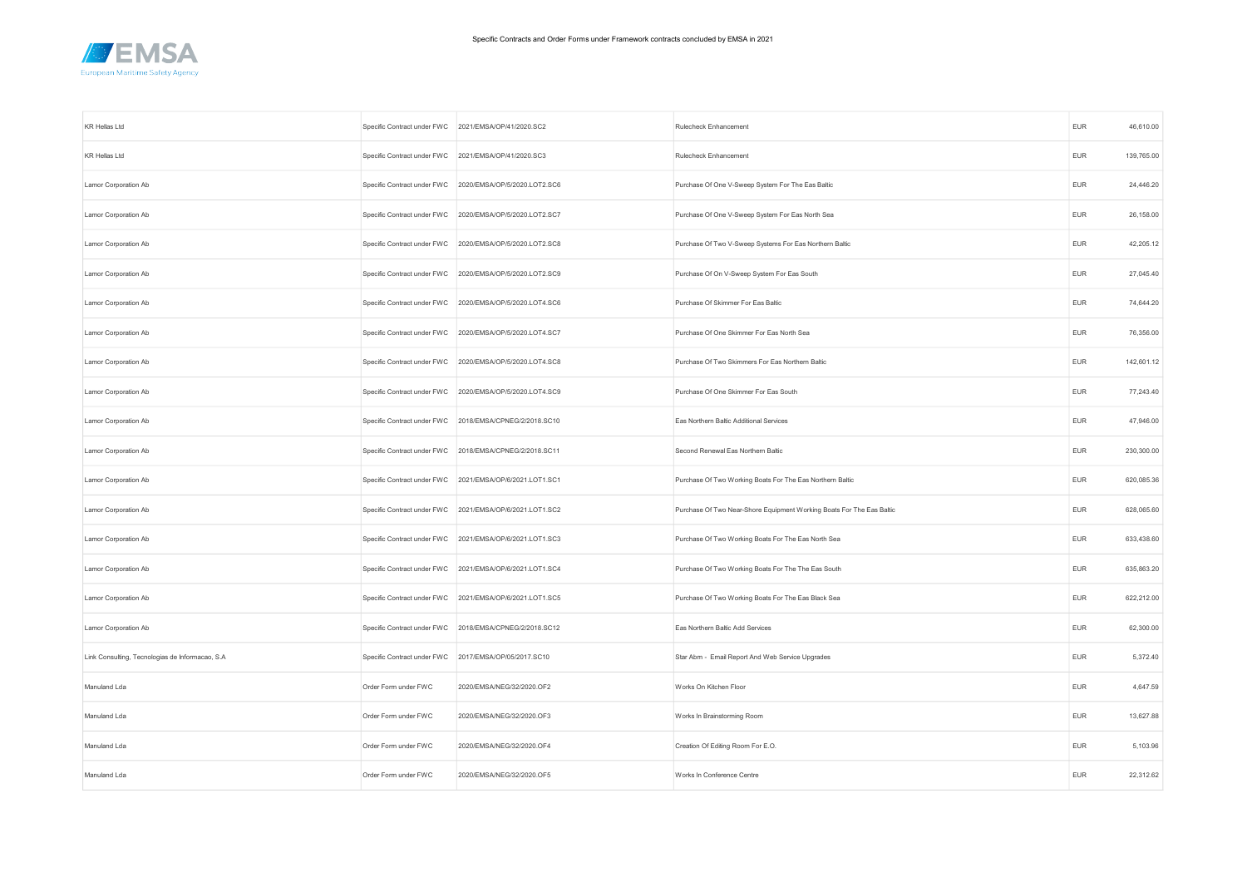

| <b>KR Hellas Ltd</b>                             | Specific Contract under FWC 2021/EMSA/OP/41/2020.SC2 |                                                          | Rulecheck Enhancement                                                 | <b>EUR</b> | 46,610.00  |
|--------------------------------------------------|------------------------------------------------------|----------------------------------------------------------|-----------------------------------------------------------------------|------------|------------|
| <b>KR Hellas Ltd</b>                             | Specific Contract under FWC 2021/EMSA/OP/41/2020.SC3 |                                                          | Rulecheck Enhancement                                                 | <b>EUR</b> | 139,765.00 |
| Lamor Corporation Ab                             |                                                      | Specific Contract under FWC 2020/EMSA/OP/5/2020.LOT2.SC6 | Purchase Of One V-Sweep System For The Eas Baltic                     | <b>EUR</b> | 24,446.20  |
| Lamor Corporation Ab                             |                                                      | Specific Contract under FWC 2020/EMSA/OP/5/2020.LOT2.SC7 | Purchase Of One V-Sweep System For Eas North Sea                      | EUR        | 26,158.00  |
| Lamor Corporation Ab                             |                                                      | Specific Contract under FWC 2020/EMSA/OP/5/2020.LOT2.SC8 | Purchase Of Two V-Sweep Systems For Eas Northern Baltic               | <b>EUR</b> | 42,205.12  |
| Lamor Corporation Ab                             |                                                      | Specific Contract under FWC 2020/EMSA/OP/5/2020.LOT2.SC9 | Purchase Of On V-Sweep System For Eas South                           | EUR        | 27,045.40  |
| Lamor Corporation Ab                             |                                                      | Specific Contract under FWC 2020/EMSA/OP/5/2020.LOT4.SC6 | Purchase Of Skimmer For Eas Baltic                                    | <b>EUR</b> | 74,644.20  |
| Lamor Corporation Ab                             |                                                      | Specific Contract under FWC 2020/EMSA/OP/5/2020.LOT4.SC7 | Purchase Of One Skimmer For Eas North Sea                             | <b>EUR</b> | 76,356.00  |
| Lamor Corporation Ab                             |                                                      | Specific Contract under FWC 2020/EMSA/OP/5/2020.LOT4.SC8 | Purchase Of Two Skimmers For Eas Northern Baltic                      | <b>EUR</b> | 142,601.12 |
| Lamor Corporation Ab                             |                                                      | Specific Contract under FWC 2020/EMSA/OP/5/2020.LOT4.SC9 | Purchase Of One Skimmer For Eas South                                 | <b>EUR</b> | 77,243.40  |
| Lamor Corporation Ab                             |                                                      | Specific Contract under FWC 2018/EMSA/CPNEG/2/2018.SC10  | Eas Northern Baltic Additional Services                               | <b>EUR</b> | 47,946.00  |
| Lamor Corporation Ab                             |                                                      | Specific Contract under FWC 2018/EMSA/CPNEG/2/2018.SC11  | Second Renewal Eas Northern Baltic                                    | <b>EUR</b> | 230,300.00 |
| Lamor Corporation Ab                             |                                                      | Specific Contract under FWC 2021/EMSA/OP/6/2021.LOT1.SC1 | Purchase Of Two Working Boats For The Eas Northern Baltic             | <b>EUR</b> | 620,085.36 |
| Lamor Corporation Ab                             |                                                      | Specific Contract under FWC 2021/EMSA/OP/6/2021.LOT1.SC2 | Purchase Of Two Near-Shore Equipment Working Boats For The Eas Baltic | <b>EUR</b> | 628,065.60 |
| Lamor Corporation Ab                             |                                                      | Specific Contract under FWC 2021/EMSA/OP/6/2021.LOT1.SC3 | Purchase Of Two Working Boats For The Eas North Sea                   | <b>EUR</b> | 633,438.60 |
| Lamor Corporation Ab                             |                                                      | Specific Contract under FWC 2021/EMSA/OP/6/2021.LOT1.SC4 | Purchase Of Two Working Boats For The The Eas South                   | <b>EUR</b> | 635,863.20 |
| Lamor Corporation Ab                             | Specific Contract under FWC                          | 2021/EMSA/OP/6/2021.LOT1.SC5                             | Purchase Of Two Working Boats For The Eas Black Sea                   | <b>EUR</b> | 622,212.00 |
| Lamor Corporation Ab                             |                                                      | Specific Contract under FWC 2018/EMSA/CPNEG/2/2018.SC12  | Eas Northern Baltic Add Services                                      | <b>EUR</b> | 62,300.00  |
| Link Consulting, Tecnologias de Informacao, S.A. |                                                      | Specific Contract under FWC 2017/EMSA/OP/05/2017.SC10    | Star Abm - Email Report And Web Service Upgrades                      | <b>EUR</b> | 5,372.40   |
| Manuland Lda                                     | Order Form under FWC                                 | 2020/EMSA/NEG/32/2020.OF2                                | Works On Kitchen Floor                                                | <b>EUR</b> | 4,647.59   |
| Manuland Lda                                     | Order Form under FWC                                 | 2020/EMSA/NEG/32/2020.OF3                                | Works In Brainstorming Room                                           | <b>EUR</b> | 13,627.88  |
| Manuland Lda                                     | Order Form under FWC                                 | 2020/EMSA/NEG/32/2020.OF4                                | Creation Of Editing Room For E.O.                                     | <b>EUR</b> | 5,103.96   |
| Manuland Lda                                     | Order Form under FWC                                 | 2020/EMSA/NEG/32/2020.OF5                                | Works In Conference Centre                                            | <b>EUR</b> | 22,312.62  |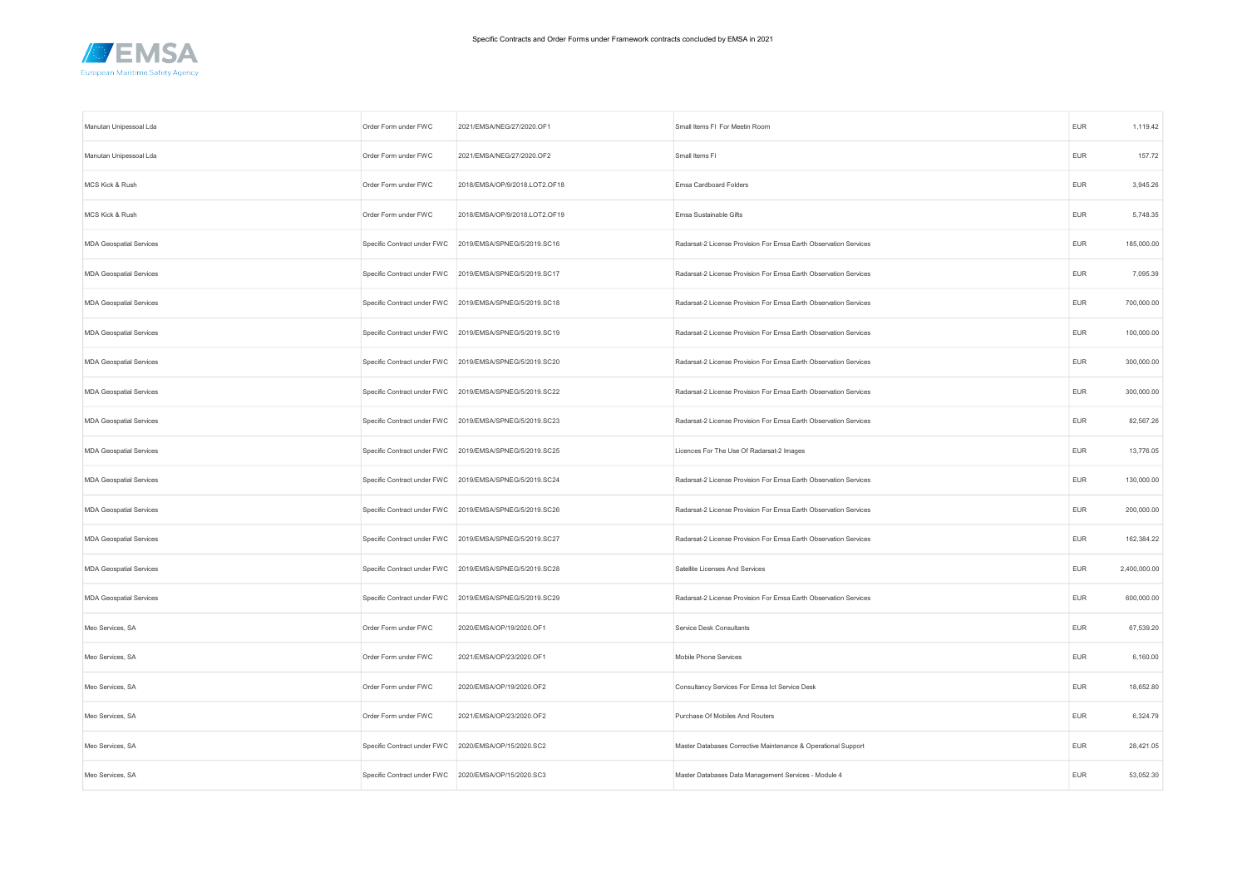

| Manutan Unipessoal Lda         | Order Form under FWC                                 | 2021/EMSA/NEG/27/2020.OF1                               | Small Items FI For Meetin Room                                   | <b>EUR</b> | 1,119.42     |
|--------------------------------|------------------------------------------------------|---------------------------------------------------------|------------------------------------------------------------------|------------|--------------|
| Manutan Unipessoal Lda         | Order Form under FWC                                 | 2021/EMSA/NEG/27/2020.OF2                               | Small Items FI                                                   | <b>EUR</b> | 157.72       |
| MCS Kick & Rush                | Order Form under FWC                                 | 2018/EMSA/OP/9/2018.LOT2.OF18                           | Emsa Cardboard Folders                                           | <b>EUR</b> | 3,945.26     |
| MCS Kick & Rush                | Order Form under FWC                                 | 2018/EMSA/OP/9/2018.LOT2.OF19                           | Emsa Sustainable Gifts                                           | EUR        | 5,748.35     |
| <b>MDA Geospatial Services</b> |                                                      | Specific Contract under FWC 2019/EMSA/SPNEG/5/2019.SC16 | Radarsat-2 License Provision For Emsa Earth Observation Services | EUR        | 185,000.00   |
| <b>MDA Geospatial Services</b> |                                                      | Specific Contract under FWC 2019/EMSA/SPNEG/5/2019.SC17 | Radarsat-2 License Provision For Emsa Earth Observation Services | EUR        | 7,095.39     |
| <b>MDA Geospatial Services</b> |                                                      | Specific Contract under FWC 2019/EMSA/SPNEG/5/2019.SC18 | Radarsat-2 License Provision For Emsa Earth Observation Services | EUR        | 700,000.00   |
| <b>MDA Geospatial Services</b> |                                                      | Specific Contract under FWC 2019/EMSA/SPNEG/5/2019.SC19 | Radarsat-2 License Provision For Emsa Earth Observation Services | EUR        | 100,000.00   |
| <b>MDA Geospatial Services</b> |                                                      | Specific Contract under FWC 2019/EMSA/SPNEG/5/2019.SC20 | Radarsat-2 License Provision For Emsa Earth Observation Services | EUR        | 300,000.00   |
| <b>MDA Geospatial Services</b> |                                                      | Specific Contract under FWC 2019/EMSA/SPNEG/5/2019.SC22 | Radarsat-2 License Provision For Emsa Earth Observation Services | EUR        | 300,000.00   |
| <b>MDA Geospatial Services</b> |                                                      | Specific Contract under FWC 2019/EMSA/SPNEG/5/2019.SC23 | Radarsat-2 License Provision For Emsa Earth Observation Services | <b>EUR</b> | 82,567.26    |
| <b>MDA Geospatial Services</b> |                                                      | Specific Contract under FWC 2019/EMSA/SPNEG/5/2019.SC25 | Licences For The Use Of Radarsat-2 Images                        | EUR        | 13,776.05    |
| <b>MDA Geospatial Services</b> |                                                      | Specific Contract under FWC 2019/EMSA/SPNEG/5/2019.SC24 | Radarsat-2 License Provision For Emsa Earth Observation Services | EUR        | 130,000.00   |
| <b>MDA Geospatial Services</b> |                                                      | Specific Contract under FWC 2019/EMSA/SPNEG/5/2019.SC26 | Radarsat-2 License Provision For Emsa Earth Observation Services | EUR        | 200,000.00   |
| <b>MDA Geospatial Services</b> |                                                      | Specific Contract under FWC 2019/EMSA/SPNEG/5/2019.SC27 | Radarsat-2 License Provision For Emsa Earth Observation Services | <b>EUR</b> | 162,384.22   |
| <b>MDA Geospatial Services</b> |                                                      | Specific Contract under FWC 2019/EMSA/SPNEG/5/2019.SC28 | Satellite Licenses And Services                                  | <b>EUR</b> | 2,400,000.00 |
| <b>MDA Geospatial Services</b> |                                                      | Specific Contract under FWC 2019/EMSA/SPNEG/5/2019.SC29 | Radarsat-2 License Provision For Emsa Earth Observation Services | <b>EUR</b> | 600,000.00   |
| Meo Services, SA               | Order Form under FWC                                 | 2020/EMSA/OP/19/2020.OF1                                | Service Desk Consultants                                         | <b>EUR</b> | 67,539.20    |
| Meo Services, SA               | Order Form under FWC                                 | 2021/EMSA/OP/23/2020.OF1                                | Mobile Phone Services                                            | <b>EUR</b> | 6,160.00     |
| Meo Services, SA               | Order Form under FWC                                 | 2020/EMSA/OP/19/2020.OF2                                | Consultancy Services For Emsa Ict Service Desk                   | <b>EUR</b> | 18,652.80    |
| Meo Services, SA               | Order Form under FWC                                 | 2021/EMSA/OP/23/2020.OF2                                | Purchase Of Mobiles And Routers                                  | <b>EUR</b> | 6,324.79     |
| Meo Services, SA               |                                                      | Specific Contract under FWC 2020/EMSA/OP/15/2020.SC2    | Master Databases Corrective Maintenance & Operational Support    | <b>EUR</b> | 28,421.05    |
| Meo Services, SA               | Specific Contract under FWC 2020/EMSA/OP/15/2020.SC3 |                                                         | Master Databases Data Management Services - Module 4             | <b>EUR</b> | 53,052.30    |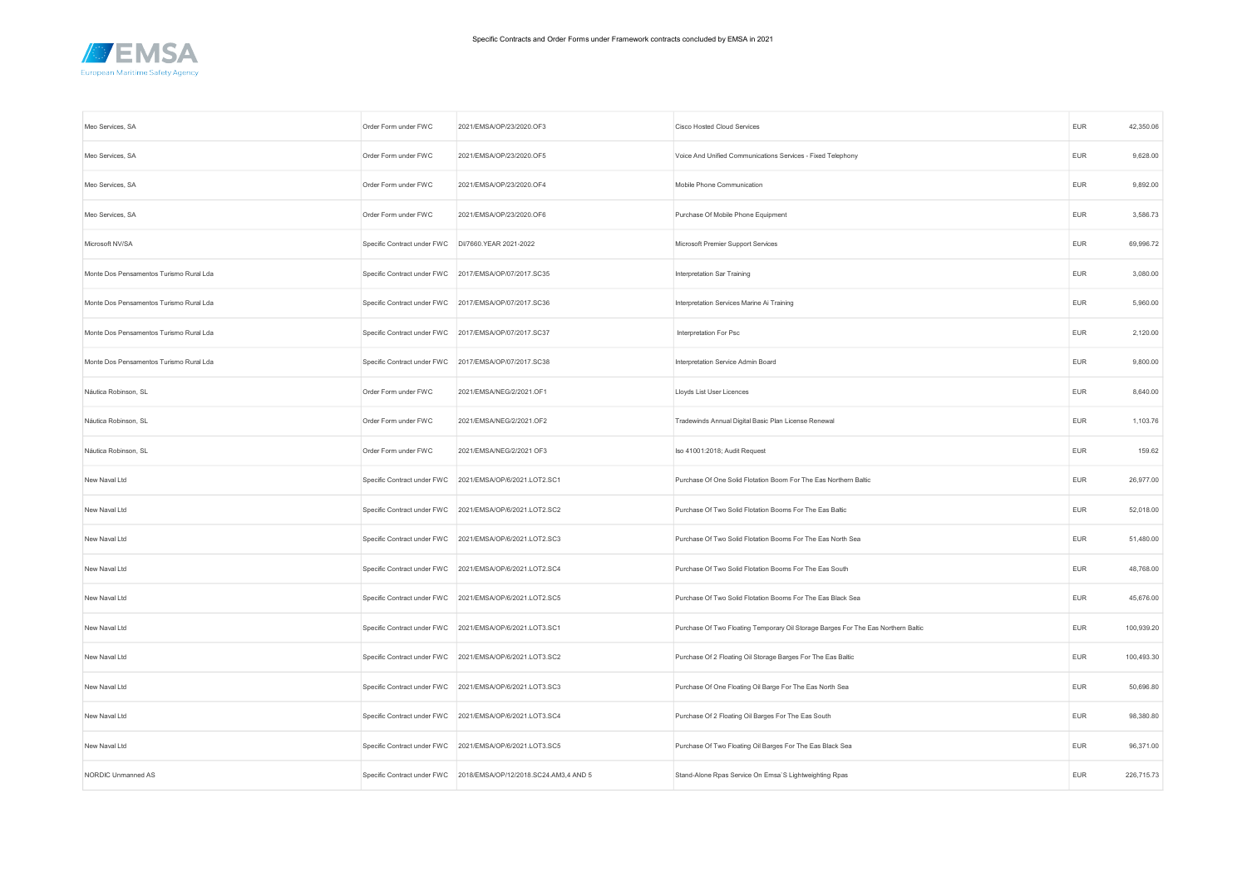

| Meo Services, SA                        | Order Form under FWC        | 2021/EMSA/OP/23/2020.OF3                                          | Cisco Hosted Cloud Services                                                       | <b>EUR</b> | 42,350.06  |
|-----------------------------------------|-----------------------------|-------------------------------------------------------------------|-----------------------------------------------------------------------------------|------------|------------|
| Meo Services, SA                        | Order Form under FWC        | 2021/EMSA/OP/23/2020.OF5                                          | Voice And Unified Communications Services - Fixed Telephony                       | <b>EUR</b> | 9,628.00   |
| Meo Services, SA                        | Order Form under FWC        | 2021/EMSA/OP/23/2020.OF4                                          | Mobile Phone Communication                                                        | <b>EUR</b> | 9,892.00   |
| Meo Services, SA                        | Order Form under FWC        | 2021/EMSA/OP/23/2020.OF6                                          | Purchase Of Mobile Phone Equipment                                                | <b>EUR</b> | 3,586.73   |
| Microsoft NV/SA                         | Specific Contract under FWC | DI/7660.YEAR 2021-2022                                            | Microsoft Premier Support Services                                                | <b>EUR</b> | 69,996.72  |
| Monte Dos Pensamentos Turismo Rural Lda | Specific Contract under FWC | 2017/EMSA/OP/07/2017.SC35                                         | Interpretation Sar Training                                                       | <b>EUR</b> | 3,080.00   |
| Monte Dos Pensamentos Turismo Rural Lda |                             | Specific Contract under FWC 2017/EMSA/OP/07/2017.SC36             | Interpretation Services Marine Ai Training                                        | <b>EUR</b> | 5,960.00   |
| Monte Dos Pensamentos Turismo Rural Lda |                             | Specific Contract under FWC 2017/EMSA/OP/07/2017.SC37             | Interpretation For Psc                                                            | <b>EUR</b> | 2,120.00   |
| Monte Dos Pensamentos Turismo Rural Lda | Specific Contract under FWC | 2017/EMSA/OP/07/2017.SC38                                         | Interpretation Service Admin Board                                                | <b>EUR</b> | 9,800.00   |
| Náutica Robinson, SL                    | Order Form under FWC        | 2021/EMSA/NEG/2/2021.OF1                                          | Lloyds List User Licences                                                         | <b>EUR</b> | 8,640.00   |
| Náutica Robinson, SL                    | Order Form under FWC        | 2021/EMSA/NEG/2/2021.OF2                                          | Tradewinds Annual Digital Basic Plan License Renewal                              | <b>EUR</b> | 1,103.76   |
| Náutica Robinson, SL                    | Order Form under FWC        | 2021/EMSA/NEG/2/2021 OF3                                          | Iso 41001:2018; Audit Request                                                     | <b>EUR</b> | 159.62     |
| New Naval Ltd                           | Specific Contract under FWC | 2021/EMSA/OP/6/2021.LOT2.SC1                                      | Purchase Of One Solid Flotation Boom For The Eas Northern Baltic                  | <b>EUR</b> | 26,977.00  |
| New Naval Ltd                           |                             | Specific Contract under FWC 2021/EMSA/OP/6/2021.LOT2.SC2          | Purchase Of Two Solid Flotation Booms For The Eas Baltic                          | <b>EUR</b> | 52,018.00  |
| New Naval Ltd                           |                             | Specific Contract under FWC 2021/EMSA/OP/6/2021.LOT2.SC3          | Purchase Of Two Solid Flotation Booms For The Eas North Sea                       | <b>EUR</b> | 51,480.00  |
| New Naval Ltd                           |                             | Specific Contract under FWC 2021/EMSA/OP/6/2021.LOT2.SC4          | Purchase Of Two Solid Flotation Booms For The Eas South                           | <b>EUR</b> | 48,768.00  |
| New Naval Ltd                           | Specific Contract under FWC | 2021/EMSA/OP/6/2021.LOT2.SC5                                      | Purchase Of Two Solid Flotation Booms For The Eas Black Sea                       | <b>EUR</b> | 45,676.00  |
| New Naval Ltd                           |                             | Specific Contract under FWC 2021/EMSA/OP/6/2021.LOT3.SC1          | Purchase Of Two Floating Temporary Oil Storage Barges For The Eas Northern Baltic | <b>EUR</b> | 100,939.20 |
| New Naval Ltd                           |                             | Specific Contract under FWC 2021/EMSA/OP/6/2021.LOT3.SC2          | Purchase Of 2 Floating Oil Storage Barges For The Eas Baltic                      | <b>EUR</b> | 100,493.30 |
| New Naval Ltd                           | Specific Contract under FWC | 2021/EMSA/OP/6/2021.LOT3.SC3                                      | Purchase Of One Floating Oil Barge For The Eas North Sea                          | <b>EUR</b> | 50,696.80  |
| New Naval Ltd                           |                             | Specific Contract under FWC 2021/EMSA/OP/6/2021.LOT3.SC4          | Purchase Of 2 Floating Oil Barges For The Eas South                               | <b>EUR</b> | 98,380.80  |
| New Naval Ltd                           |                             | Specific Contract under FWC 2021/EMSA/OP/6/2021.LOT3.SC5          | Purchase Of Two Floating Oil Barges For The Eas Black Sea                         | EUR        | 96,371.00  |
| NORDIC Unmanned AS                      |                             | Specific Contract under FWC 2018/EMSA/OP/12/2018.SC24.AM3,4 AND 5 | Stand-Alone Rpas Service On Emsa'S Lightweighting Rpas                            | <b>EUR</b> | 226,715.73 |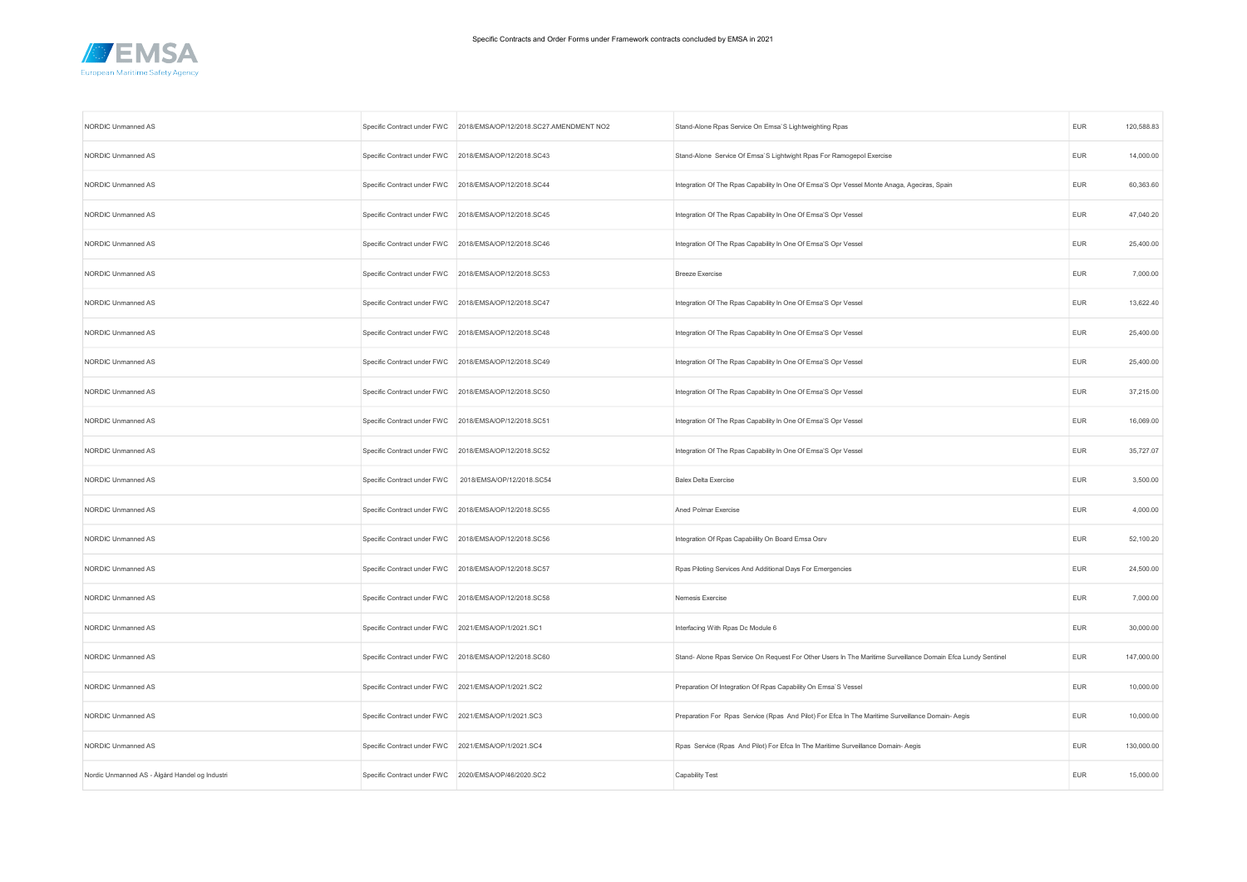

| NORDIC Unmanned AS                             |                                                      | Specific Contract under FWC 2018/EMSA/OP/12/2018.SC27.AMENDMENT NO2 | Stand-Alone Rpas Service On Emsa'S Lightweighting Rpas                                                       | <b>EUR</b> | 120,588.83 |
|------------------------------------------------|------------------------------------------------------|---------------------------------------------------------------------|--------------------------------------------------------------------------------------------------------------|------------|------------|
| NORDIC Unmanned AS                             |                                                      | Specific Contract under FWC 2018/EMSA/OP/12/2018.SC43               | Stand-Alone Service Of Emsa'S Lightwight Rpas For Ramogepol Exercise                                         | <b>EUR</b> | 14,000.00  |
| NORDIC Unmanned AS                             |                                                      | Specific Contract under FWC 2018/EMSA/OP/12/2018.SC44               | Integration Of The Rpas Capability In One Of Emsa'S Opr Vessel Monte Anaga, Ageciras, Spain                  | <b>EUR</b> | 60,363.60  |
| NORDIC Unmanned AS                             |                                                      | Specific Contract under FWC 2018/EMSA/OP/12/2018.SC45               | Integration Of The Rpas Capability In One Of Emsa'S Opr Vessel                                               | EUR        | 47,040.20  |
| NORDIC Unmanned AS                             |                                                      | Specific Contract under FWC 2018/EMSA/OP/12/2018.SC46               | Integration Of The Rpas Capability In One Of Emsa'S Opr Vessel                                               | <b>EUR</b> | 25,400.00  |
| NORDIC Unmanned AS                             |                                                      | Specific Contract under FWC 2018/EMSA/OP/12/2018.SC53               | <b>Breeze Exercise</b>                                                                                       | EUR        | 7,000.00   |
| NORDIC Unmanned AS                             |                                                      | Specific Contract under FWC 2018/EMSA/OP/12/2018.SC47               | Integration Of The Rpas Capability In One Of Emsa'S Opr Vessel                                               | <b>EUR</b> | 13,622.40  |
| NORDIC Unmanned AS                             |                                                      | Specific Contract under FWC 2018/EMSA/OP/12/2018.SC48               | Integration Of The Rpas Capability In One Of Emsa'S Opr Vessel                                               | <b>EUR</b> | 25,400.00  |
| NORDIC Unmanned AS                             |                                                      | Specific Contract under FWC 2018/EMSA/OP/12/2018.SC49               | Integration Of The Rpas Capability In One Of Emsa'S Opr Vessel                                               | EUR        | 25,400.00  |
| NORDIC Unmanned AS                             |                                                      | Specific Contract under FWC 2018/EMSA/OP/12/2018.SC50               | Integration Of The Rpas Capability In One Of Emsa'S Opr Vessel                                               | <b>EUR</b> | 37,215.00  |
| NORDIC Unmanned AS                             |                                                      | Specific Contract under FWC 2018/EMSA/OP/12/2018.SC51               | Integration Of The Rpas Capability In One Of Emsa'S Opr Vessel                                               | <b>EUR</b> | 16,069.00  |
| NORDIC Unmanned AS                             |                                                      | Specific Contract under FWC 2018/EMSA/OP/12/2018.SC52               | Integration Of The Rpas Capability In One Of Emsa'S Opr Vessel                                               | <b>EUR</b> | 35,727.07  |
| NORDIC Unmanned AS                             | Specific Contract under FWC                          | 2018/EMSA/OP/12/2018.SC54                                           | <b>Balex Delta Exercise</b>                                                                                  | EUR        | 3,500.00   |
| NORDIC Unmanned AS                             |                                                      | Specific Contract under FWC 2018/EMSA/OP/12/2018.SC55               | Aned Polmar Exercise                                                                                         | <b>EUR</b> | 4,000.00   |
| NORDIC Unmanned AS                             |                                                      | Specific Contract under FWC 2018/EMSA/OP/12/2018.SC56               | Integration Of Rpas Capability On Board Emsa Osrv                                                            | <b>EUR</b> | 52,100.20  |
| NORDIC Unmanned AS                             |                                                      | Specific Contract under FWC 2018/EMSA/OP/12/2018.SC57               | Rpas Piloting Services And Additional Days For Emergencies                                                   | <b>EUR</b> | 24,500.00  |
| NORDIC Unmanned AS                             |                                                      | Specific Contract under FWC 2018/EMSA/OP/12/2018.SC58               | Nemesis Exercise                                                                                             | EUR        | 7,000.00   |
| NORDIC Unmanned AS                             | Specific Contract under FWC 2021/EMSA/OP/1/2021.SC1  |                                                                     | Interfacing With Rpas Dc Module 6                                                                            | <b>EUR</b> | 30,000.00  |
| NORDIC Unmanned AS                             |                                                      | Specific Contract under FWC 2018/EMSA/OP/12/2018.SC60               | Stand- Alone Rpas Service On Request For Other Users In The Maritime Surveillance Domain Efca Lundy Sentinel | <b>EUR</b> | 147,000.00 |
| NORDIC Unmanned AS                             | Specific Contract under FWC 2021/EMSA/OP/1/2021.SC2  |                                                                     | Preparation Of Integration Of Rpas Capability On Emsa'S Vessel                                               | <b>EUR</b> | 10,000.00  |
| NORDIC Unmanned AS                             | Specific Contract under FWC 2021/EMSA/OP/1/2021.SC3  |                                                                     | Preparation For Rpas Service (Rpas And Pilot) For Efca In The Maritime Surveillance Domain-Aegis             | EUR        | 10,000.00  |
| NORDIC Unmanned AS                             | Specific Contract under FWC 2021/EMSA/OP/1/2021.SC4  |                                                                     | Rpas Service (Rpas And Pilot) For Efca In The Maritime Surveillance Domain- Aegis                            | EUR        | 130,000.00 |
| Nordic Unmanned AS - Ålgård Handel og Industri | Specific Contract under FWC 2020/EMSA/OP/46/2020.SC2 |                                                                     | Capability Test                                                                                              | <b>EUR</b> | 15,000.00  |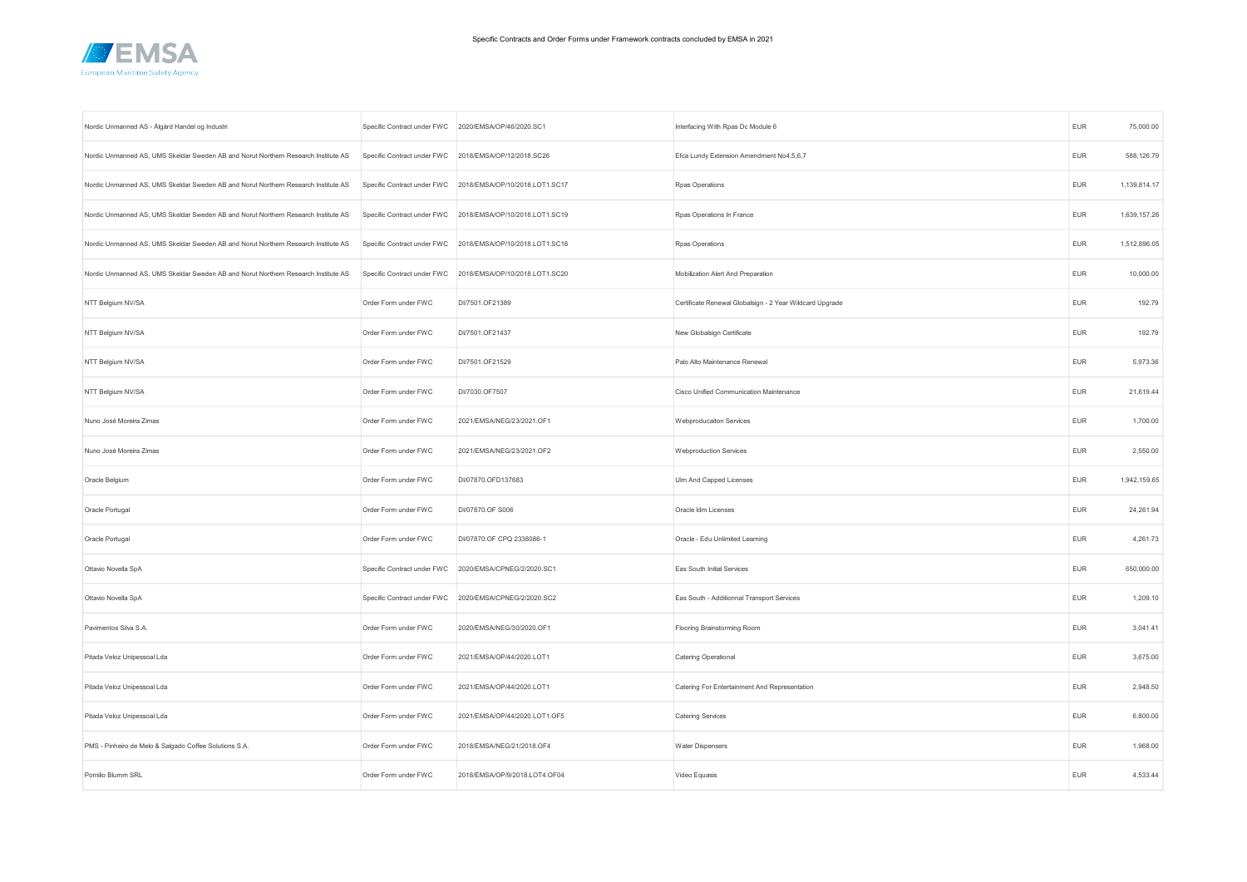

| Nordic Unmanned AS - Ålgård Handel og Industri                                     | Specific Contract under FWC 2020/EMSA/OP/46/2020.SC1 |                                                            | Interfacing With Rpas Dc Module 6                        | <b>EUR</b> | 75,000.00    |
|------------------------------------------------------------------------------------|------------------------------------------------------|------------------------------------------------------------|----------------------------------------------------------|------------|--------------|
| Nordic Unmanned AS, UMS Skeldar Sweden AB and Norut Northern Research Institute AS |                                                      | Specific Contract under FWC 2018/EMSA/OP/12/2018.SC26      | Efca Lundy Extension Amendment No4,5,6,7                 | <b>EUR</b> | 588,126.79   |
| Nordic Unmanned AS, UMS Skeldar Sweden AB and Norut Northern Research Institute AS |                                                      | Specific Contract under FWC 2018/EMSA/OP/10/2018.LOT1.SC17 | Rpas Operations                                          | <b>EUR</b> | 1,139,814.17 |
| Nordic Unmanned AS, UMS Skeldar Sweden AB and Norut Northern Research Institute AS |                                                      | Specific Contract under FWC 2018/EMSA/OP/10/2018.LOT1.SC19 | Rpas Operations In France                                | <b>EUR</b> | 1,639,157.26 |
| Nordic Unmanned AS, UMS Skeldar Sweden AB and Norut Northern Research Institute AS |                                                      | Specific Contract under FWC 2018/EMSA/OP/10/2018.LOT1.SC18 | Rpas Operations                                          | <b>EUR</b> | 1,512,896.05 |
| Nordic Unmanned AS, UMS Skeldar Sweden AB and Norut Northern Research Institute AS |                                                      | Specific Contract under FWC 2018/EMSA/OP/10/2018.LOT1.SC20 | Mobilization Alert And Preparation                       | <b>EUR</b> | 10,000.00    |
| NTT Belgium NV/SA                                                                  | Order Form under FWC                                 | DI/7501.OF21389                                            | Certificate Renewal Globalsign - 2 Year Wildcard Upgrade | <b>EUR</b> | 192.79       |
| NTT Belgium NV/SA                                                                  | Order Form under FWC                                 | DI/7501.OF21437                                            | New Globalsign Certificate                               | <b>EUR</b> | 192.79       |
| NTT Belgium NV/SA                                                                  | Order Form under FWC                                 | DI/7501.OF21529                                            | Palo Alto Maintenance Renewal                            | <b>EUR</b> | 5,973.36     |
| NTT Belgium NV/SA                                                                  | Order Form under FWC                                 | DI/7030.OF7507                                             | Cisco Unified Communication Maintenance                  | <b>EUR</b> | 21,619.44    |
| Nuno José Moreira Zimas                                                            | Order Form under FWC                                 | 2021/EMSA/NEG/23/2021.OF1                                  | Webproducaiton Services                                  | <b>EUR</b> | 1,700.00     |
| Nuno José Moreira Zimas                                                            | Order Form under FWC                                 | 2021/EMSA/NEG/23/2021.OF2                                  | <b>Webproduction Services</b>                            | EUR        | 2,550.00     |
| Oracle Belgium                                                                     | Order Form under FWC                                 | DI/07870.OFD137683                                         | Ulm And Capped Licenses                                  | EUR        | 1,942,159.65 |
| Oracle Portugal                                                                    | Order Form under FWC                                 | DI/07870.OF S006                                           | Oracle Idm Licenses                                      | EUR        | 24,261.94    |
| Oracle Portugal                                                                    | Order Form under FWC                                 | DI/07870.OF CPQ 2338086-1                                  | Oracle - Edu Unlimited Learning                          | EUR        | 4,261.73     |
| Ottavio Novella SpA                                                                | Specific Contract under FWC                          | 2020/EMSA/CPNEG/2/2020.SC1                                 | Eas South Initial Services                               | <b>EUR</b> | 650,000.00   |
| Ottavio Novella SpA                                                                |                                                      | Specific Contract under FWC 2020/EMSA/CPNEG/2/2020.SC2     | Eas South - Additionnal Transport Services               | <b>EUR</b> | 1,209.10     |
| Pavimentos Silva S.A.                                                              | Order Form under FWC                                 | 2020/EMSA/NEG/30/2020.OF1                                  | Flooring Brainstorming Room                              | EUR        | 3,041.41     |
| Pitada Veloz Unipessoal Lda                                                        | Order Form under FWC                                 | 2021/EMSA/OP/44/2020.LOT1                                  | Catering Operational                                     | <b>EUR</b> | 3,675.00     |
| Pitada Veloz Unipessoal Lda                                                        | Order Form under FWC                                 | 2021/EMSA/OP/44/2020.LOT1                                  | Catering For Entertainment And Representation            | <b>EUR</b> | 2,948.50     |
| Pitada Veloz Unipessoal Lda                                                        | Order Form under FWC                                 | 2021/EMSA/OP/44/2020.LOT1.OF5                              | Catering Services                                        | <b>EUR</b> | 6,800.00     |
| PMS - Pinheiro de Melo & Salgado Coffee Solutions S.A.                             | Order Form under FWC                                 | 2018/EMSA/NEG/21/2018.OF4                                  | Water Dispensers                                         | <b>EUR</b> | 1,968.00     |
| Pomilio Blumm SRL                                                                  | Order Form under FWC                                 | 2018/EMSA/OP/9/2018.LOT4.OF04                              | Video Equasis                                            | <b>EUR</b> | 4,533.44     |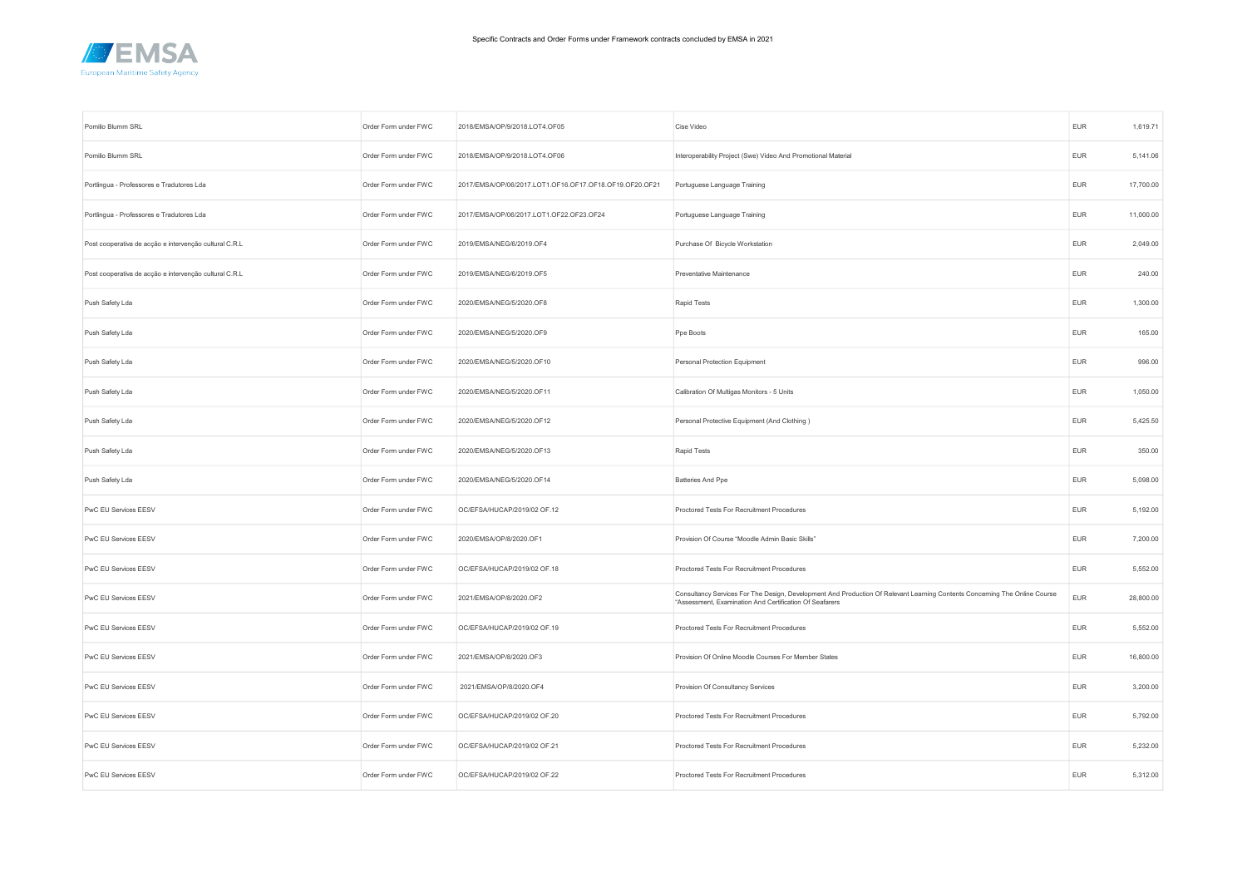

| Pomilio Blumm SRL                                      | Order Form under FWC | 2018/EMSA/OP/9/2018.LOT4.OF05                           | Cise Video                                                                                                                                                                            | <b>EUR</b> | 1,619.71  |
|--------------------------------------------------------|----------------------|---------------------------------------------------------|---------------------------------------------------------------------------------------------------------------------------------------------------------------------------------------|------------|-----------|
| Pomilio Blumm SRL                                      | Order Form under FWC | 2018/EMSA/OP/9/2018.LOT4.OF06                           | Interoperability Project (Swe) Video And Promotional Material                                                                                                                         | <b>EUR</b> | 5,141.06  |
| Portlingua - Professores e Tradutores Lda              | Order Form under FWC | 2017/EMSA/OP/06/2017.LOT1.OF16.OF17.OF18.OF19.OF20.OF21 | Portuguese Language Training                                                                                                                                                          | <b>EUR</b> | 17,700.00 |
| Portlingua - Professores e Tradutores Lda              | Order Form under FWC | 2017/EMSA/OP/06/2017.LOT1.OF22.OF23.OF24                | Portuguese Language Training                                                                                                                                                          | <b>EUR</b> | 11,000.00 |
| Post cooperativa de acção e intervenção cultural C.R.L | Order Form under FWC | 2019/EMSA/NEG/6/2019.OF4                                | Purchase Of Bicycle Workstation                                                                                                                                                       | <b>EUR</b> | 2,049.00  |
| Post cooperativa de acção e intervenção cultural C.R.L | Order Form under FWC | 2019/EMSA/NEG/6/2019.OF5                                | Preventative Maintenance                                                                                                                                                              | <b>EUR</b> | 240.00    |
| Push Safety Lda                                        | Order Form under FWC | 2020/EMSA/NEG/5/2020.OF8                                | Rapid Tests                                                                                                                                                                           | <b>EUR</b> | 1,300.00  |
| Push Safety Lda                                        | Order Form under FWC | 2020/EMSA/NEG/5/2020.OF9                                | Ppe Boots                                                                                                                                                                             | <b>EUR</b> | 165.00    |
| Push Safety Lda                                        | Order Form under FWC | 2020/EMSA/NEG/5/2020.OF10                               | Personal Protection Equipment                                                                                                                                                         | <b>EUR</b> | 996.00    |
| Push Safety Lda                                        | Order Form under FWC | 2020/EMSA/NEG/5/2020.OF11                               | Calibration Of Multigas Monitors - 5 Units                                                                                                                                            | <b>EUR</b> | 1,050.00  |
| Push Safety Lda                                        | Order Form under FWC | 2020/EMSA/NEG/5/2020.OF12                               | Personal Protective Equipment (And Clothing)                                                                                                                                          | <b>EUR</b> | 5,425.50  |
| Push Safety Lda                                        | Order Form under FWC | 2020/EMSA/NEG/5/2020.OF13                               | Rapid Tests                                                                                                                                                                           | <b>EUR</b> | 350.00    |
| Push Safety Lda                                        | Order Form under FWC | 2020/EMSA/NEG/5/2020.OF14                               | Batteries And Ppe                                                                                                                                                                     | <b>EUR</b> | 5,098.00  |
| PwC EU Services EESV                                   | Order Form under FWC | OC/EFSA/HUCAP/2019/02 OF.12                             | Proctored Tests For Recruitment Procedures                                                                                                                                            | <b>EUR</b> | 5,192.00  |
| PwC EU Services EESV                                   | Order Form under FWC | 2020/EMSA/OP/8/2020.OF1                                 | Provision Of Course "Moodle Admin Basic Skills"                                                                                                                                       | EUR        | 7,200.00  |
| PwC EU Services EESV                                   | Order Form under FWC | OC/EFSA/HUCAP/2019/02 OF.18                             | Proctored Tests For Recruitment Procedures                                                                                                                                            | <b>EUR</b> | 5,552.00  |
| PwC EU Services EESV                                   | Order Form under FWC | 2021/EMSA/OP/8/2020.OF2                                 | Consultancy Services For The Design, Development And Production Of Relevant Learning Contents Concerning The Online Course<br>"Assessment, Examination And Certification Of Seafarers | <b>EUR</b> | 28,800.00 |
| PwC EU Services EESV                                   | Order Form under FWC | OC/EFSA/HUCAP/2019/02 OF.19                             | Proctored Tests For Recruitment Procedures                                                                                                                                            | <b>EUR</b> | 5,552.00  |
| PwC EU Services EESV                                   | Order Form under FWC | 2021/EMSA/OP/8/2020.OF3                                 | Provision Of Online Moodle Courses For Member States                                                                                                                                  | <b>EUR</b> | 16,800.00 |
| PwC EU Services EESV                                   | Order Form under FWC | 2021/EMSA/OP/8/2020.OF4                                 | Provision Of Consultancy Services                                                                                                                                                     | <b>EUR</b> | 3,200.00  |
| PwC EU Services EESV                                   | Order Form under FWC | OC/EFSA/HUCAP/2019/02 OF.20                             | Proctored Tests For Recruitment Procedures                                                                                                                                            | <b>EUR</b> | 5,792.00  |
| PwC EU Services EESV                                   | Order Form under FWC | OC/EFSA/HUCAP/2019/02 OF.21                             | Proctored Tests For Recruitment Procedures                                                                                                                                            | <b>EUR</b> | 5,232.00  |
| PwC EU Services EESV                                   | Order Form under FWC | OC/EFSA/HUCAP/2019/02 OF.22                             | Proctored Tests For Recruitment Procedures                                                                                                                                            | <b>EUR</b> | 5,312.00  |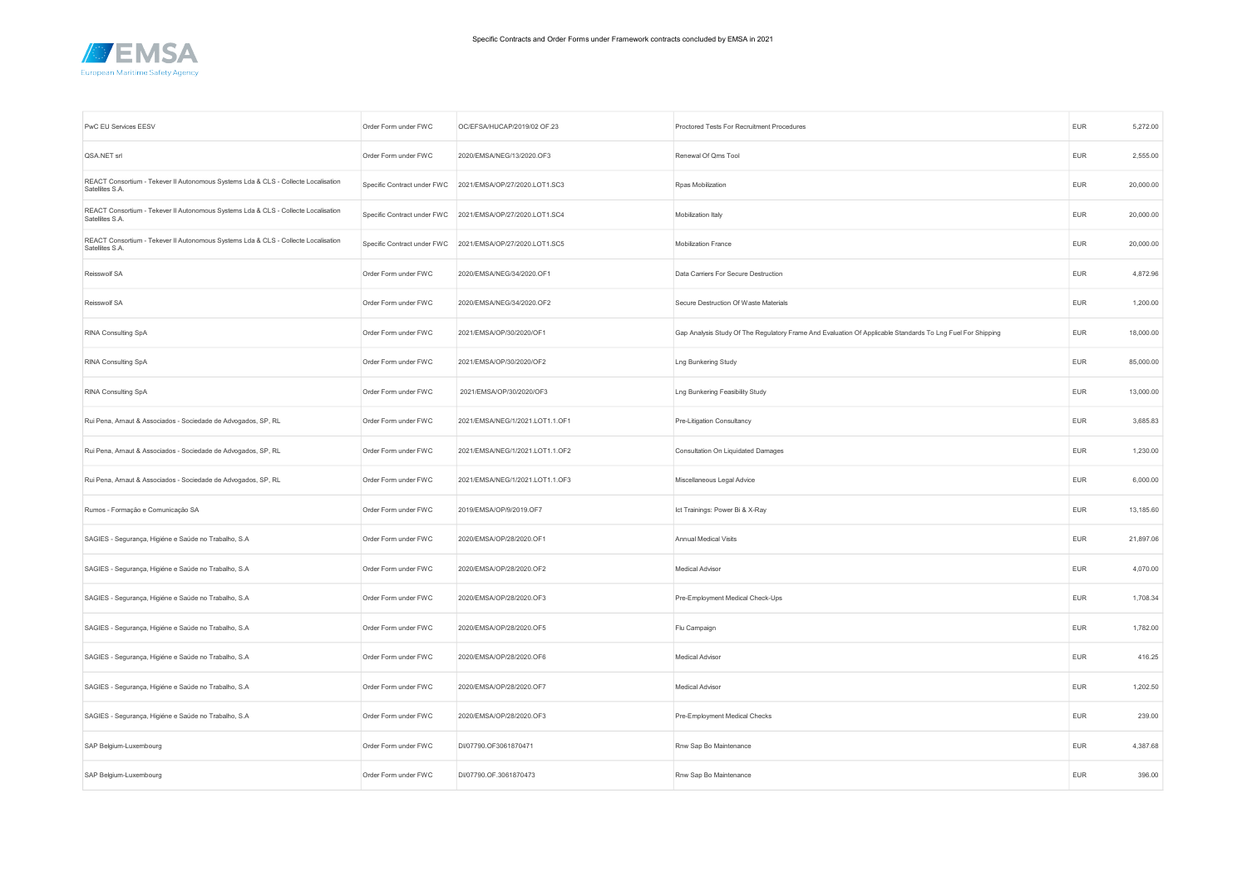

| PwC EU Services EESV                                                                                  | Order Form under FWC        | OC/EFSA/HUCAP/2019/02 OF.23     | Proctored Tests For Recruitment Procedures                                                                 | <b>EUR</b> | 5,272.00  |
|-------------------------------------------------------------------------------------------------------|-----------------------------|---------------------------------|------------------------------------------------------------------------------------------------------------|------------|-----------|
| QSA.NET srl                                                                                           | Order Form under FWC        | 2020/EMSA/NEG/13/2020.OF3       | Renewal Of Qms Tool                                                                                        | <b>EUR</b> | 2,555.00  |
| REACT Consortium - Tekever II Autonomous Systems Lda & CLS - Collecte Localisation<br>Satellites S.A. | Specific Contract under FWC | 2021/EMSA/OP/27/2020.LOT1.SC3   | Rpas Mobilization                                                                                          | <b>EUR</b> | 20,000.00 |
| REACT Consortium - Tekever II Autonomous Systems Lda & CLS - Collecte Localisation<br>Satellites S.A. | Specific Contract under FWC | 2021/EMSA/OP/27/2020.LOT1.SC4   | Mobilization Italy                                                                                         | <b>EUR</b> | 20,000.00 |
| REACT Consortium - Tekever II Autonomous Systems Lda & CLS - Collecte Localisation<br>Satellites S.A. | Specific Contract under FWC | 2021/EMSA/OP/27/2020.LOT1.SC5   | Mobilization France                                                                                        | <b>EUR</b> | 20,000.00 |
| Reisswolf SA                                                                                          | Order Form under FWC        | 2020/EMSA/NEG/34/2020.OF1       | Data Carriers For Secure Destruction                                                                       | <b>EUR</b> | 4,872.96  |
| Reisswolf SA                                                                                          | Order Form under FWC        | 2020/EMSA/NEG/34/2020.OF2       | Secure Destruction Of Waste Materials                                                                      | <b>EUR</b> | 1,200.00  |
| RINA Consulting SpA                                                                                   | Order Form under FWC        | 2021/EMSA/OP/30/2020/OF1        | Gap Analysis Study Of The Regulatory Frame And Evaluation Of Applicable Standards To Lng Fuel For Shipping | <b>EUR</b> | 18,000.00 |
| RINA Consulting SpA                                                                                   | Order Form under FWC        | 2021/EMSA/OP/30/2020/OF2        | Lng Bunkering Study                                                                                        | EUR        | 85,000.00 |
| RINA Consulting SpA                                                                                   | Order Form under FWC        | 2021/EMSA/OP/30/2020/OF3        | Lng Bunkering Feasibility Study                                                                            | <b>EUR</b> | 13,000.00 |
| Rui Pena, Arnaut & Associados - Sociedade de Advogados, SP, RL                                        | Order Form under FWC        | 2021/EMSA/NEG/1/2021.LOT1.1.OF1 | Pre-Litigation Consultancy                                                                                 | <b>EUR</b> | 3,685.83  |
| Rui Pena, Arnaut & Associados - Sociedade de Advogados, SP, RL                                        | Order Form under FWC        | 2021/EMSA/NEG/1/2021.LOT1.1.OF2 | Consultation On Liquidated Damages                                                                         | <b>EUR</b> | 1,230.00  |
| Rui Pena, Arnaut & Associados - Sociedade de Advogados, SP, RL                                        | Order Form under FWC        | 2021/EMSA/NEG/1/2021.LOT1.1.OF3 | Miscellaneous Legal Advice                                                                                 | <b>EUR</b> | 6,000.00  |
| Rumos - Formação e Comunicação SA                                                                     | Order Form under FWC        | 2019/EMSA/OP/9/2019.OF7         | Ict Trainings: Power Bi & X-Ray                                                                            | <b>EUR</b> | 13,185.60 |
| SAGIES - Segurança, Higiéne e Saúde no Trabalho, S.A                                                  | Order Form under FWC        | 2020/EMSA/OP/28/2020.OF1        | Annual Medical Visits                                                                                      | EUR        | 21,897.06 |
| SAGIES - Segurança, Higiéne e Saúde no Trabalho, S.A                                                  | Order Form under FWC        | 2020/EMSA/OP/28/2020.OF2        | <b>Medical Advisor</b>                                                                                     | <b>EUR</b> | 4,070.00  |
| SAGIES - Segurança, Higiéne e Saúde no Trabalho, S.A                                                  | Order Form under FWC        | 2020/EMSA/OP/28/2020.OF3        | Pre-Employment Medical Check-Ups                                                                           | <b>EUR</b> | 1,708.34  |
| SAGIES - Segurança, Higiéne e Saúde no Trabalho, S.A                                                  | Order Form under FWC        | 2020/EMSA/OP/28/2020.OF5        | Flu Campaign                                                                                               | <b>EUR</b> | 1,782.00  |
| SAGIES - Segurança, Higiéne e Saúde no Trabalho, S.A                                                  | Order Form under FWC        | 2020/EMSA/OP/28/2020.OF6        | <b>Medical Advisor</b>                                                                                     | <b>EUR</b> | 416.25    |
| SAGIES - Segurança, Higiéne e Saúde no Trabalho, S.A                                                  | Order Form under FWC        | 2020/EMSA/OP/28/2020.OF7        | Medical Advisor                                                                                            | <b>EUR</b> | 1,202.50  |
| SAGIES - Segurança, Higiéne e Saúde no Trabalho, S.A                                                  | Order Form under FWC        | 2020/EMSA/OP/28/2020.OF3        | Pre-Employment Medical Checks                                                                              | <b>EUR</b> | 239.00    |
| SAP Belgium-Luxembourg                                                                                | Order Form under FWC        | DI/07790.OF3061870471           | Rnw Sap Bo Maintenance                                                                                     | <b>EUR</b> | 4,387.68  |
| SAP Belgium-Luxembourg                                                                                | Order Form under FWC        | DI/07790.OF.3061870473          | Rnw Sap Bo Maintenance                                                                                     | <b>EUR</b> | 396.00    |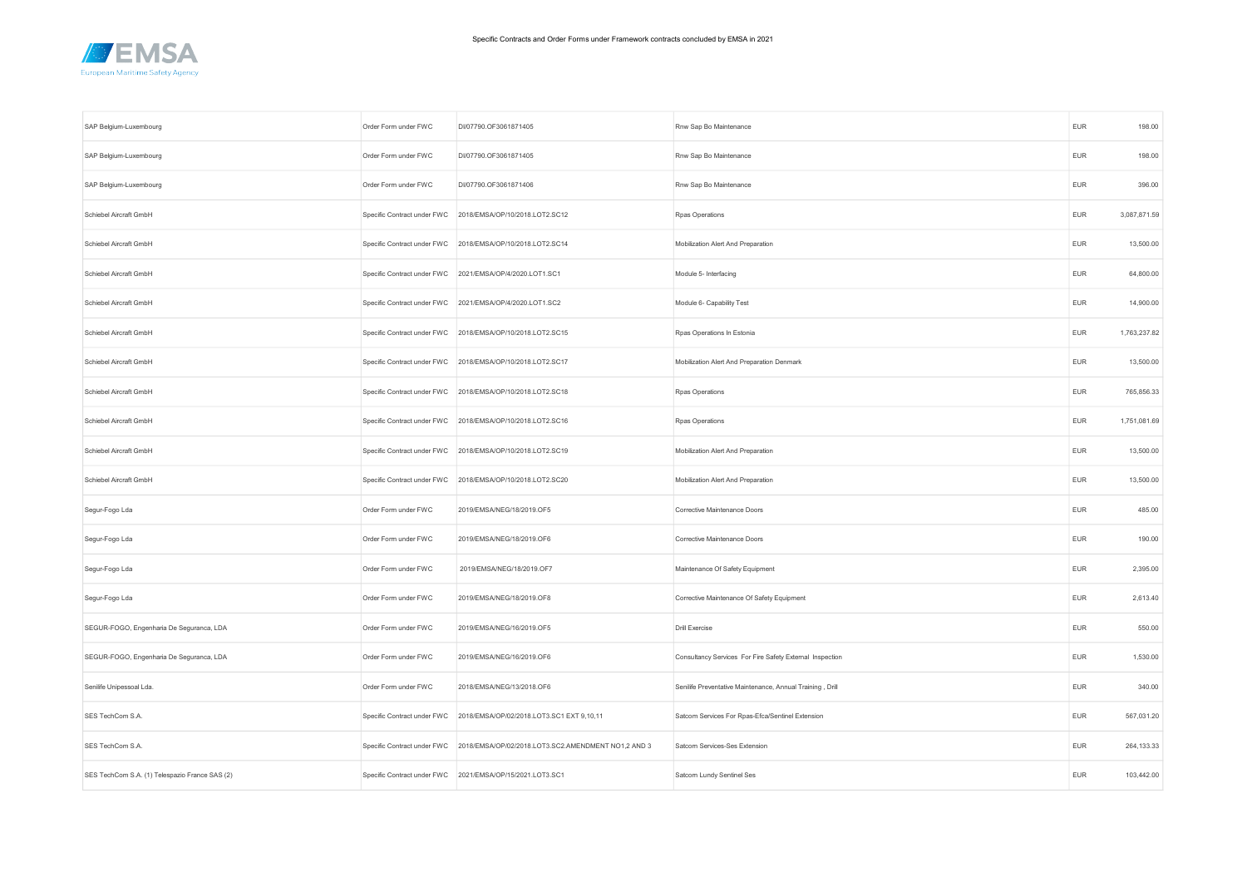

| SAP Belgium-Luxembourg                         | Order Form under FWC        | DI/07790.OF3061871405                                                           | Rnw Sap Bo Maintenance                                    | <b>EUR</b> | 198.00       |
|------------------------------------------------|-----------------------------|---------------------------------------------------------------------------------|-----------------------------------------------------------|------------|--------------|
| SAP Belgium-Luxembourg                         | Order Form under FWC        | DI/07790.OF3061871405                                                           | Rnw Sap Bo Maintenance                                    | <b>EUR</b> | 198.00       |
| SAP Belgium-Luxembourg                         | Order Form under FWC        | DI/07790.OF3061871406                                                           | Rnw Sap Bo Maintenance                                    | <b>EUR</b> | 396.00       |
| Schiebel Aircraft GmbH                         |                             | Specific Contract under FWC 2018/EMSA/OP/10/2018.LOT2.SC12                      | Rpas Operations                                           | EUR        | 3,087,871.59 |
| Schiebel Aircraft GmbH                         |                             | Specific Contract under FWC 2018/EMSA/OP/10/2018.LOT2.SC14                      | Mobilization Alert And Preparation                        | <b>EUR</b> | 13,500.00    |
| Schiebel Aircraft GmbH                         | Specific Contract under FWC | 2021/EMSA/OP/4/2020.LOT1.SC1                                                    | Module 5- Interfacing                                     | <b>EUR</b> | 64,800.00    |
| Schiebel Aircraft GmbH                         |                             | Specific Contract under FWC 2021/EMSA/OP/4/2020.LOT1.SC2                        | Module 6- Capability Test                                 | <b>EUR</b> | 14,900.00    |
| Schiebel Aircraft GmbH                         |                             | Specific Contract under FWC 2018/EMSA/OP/10/2018.LOT2.SC15                      | Rpas Operations In Estonia                                | <b>EUR</b> | 1,763,237.82 |
| Schiebel Aircraft GmbH                         |                             | Specific Contract under FWC 2018/EMSA/OP/10/2018.LOT2.SC17                      | Mobilization Alert And Preparation Denmark                | <b>EUR</b> | 13,500.00    |
| Schiebel Aircraft GmbH                         |                             | Specific Contract under FWC 2018/EMSA/OP/10/2018.LOT2.SC18                      | Rpas Operations                                           | <b>EUR</b> | 765,856.33   |
| Schiebel Aircraft GmbH                         |                             | Specific Contract under FWC 2018/EMSA/OP/10/2018.LOT2.SC16                      | Rpas Operations                                           | EUR        | 1,751,081.69 |
| Schiebel Aircraft GmbH                         |                             | Specific Contract under FWC 2018/EMSA/OP/10/2018.LOT2.SC19                      | Mobilization Alert And Preparation                        | <b>EUR</b> | 13,500.00    |
| Schiebel Aircraft GmbH                         | Specific Contract under FWC | 2018/EMSA/OP/10/2018.LOT2.SC20                                                  | Mobilization Alert And Preparation                        | EUR        | 13,500.00    |
| Segur-Fogo Lda                                 | Order Form under FWC        | 2019/EMSA/NEG/18/2019.OF5                                                       | Corrective Maintenance Doors                              | <b>EUR</b> | 485.00       |
| Segur-Fogo Lda                                 | Order Form under FWC        | 2019/EMSA/NEG/18/2019.OF6                                                       | Corrective Maintenance Doors                              | EUR        | 190.00       |
| Segur-Fogo Lda                                 | Order Form under FWC        | 2019/EMSA/NEG/18/2019.OF7                                                       | Maintenance Of Safety Equipment                           | <b>EUR</b> | 2,395.00     |
| Segur-Fogo Lda                                 | Order Form under FWC        | 2019/EMSA/NEG/18/2019.OF8                                                       | Corrective Maintenance Of Safety Equipment                | EUR        | 2,613.40     |
| SEGUR-FOGO, Engenharia De Seguranca, LDA       | Order Form under FWC        | 2019/EMSA/NEG/16/2019.OF5                                                       | <b>Drill Exercise</b>                                     | <b>EUR</b> | 550.00       |
| SEGUR-FOGO, Engenharia De Seguranca, LDA       | Order Form under FWC        | 2019/EMSA/NEG/16/2019.OF6                                                       | Consultancy Services For Fire Safety External Inspection  | <b>EUR</b> | 1,530.00     |
| Senilife Unipessoal Lda.                       | Order Form under FWC        | 2018/EMSA/NEG/13/2018.OF6                                                       | Senilife Preventative Maintenance, Annual Training, Drill | <b>EUR</b> | 340.00       |
| SES TechCom S.A.                               |                             | Specific Contract under FWC 2018/EMSA/OP/02/2018.LOT3.SC1 EXT 9,10,11           | Satcom Services For Rpas-Efca/Sentinel Extension          | <b>EUR</b> | 567,031.20   |
| SES TechCom S.A.                               |                             | Specific Contract under FWC 2018/EMSA/OP/02/2018.LOT3.SC2.AMENDMENT NO1,2 AND 3 | Satcom Services-Ses Extension                             | <b>EUR</b> | 264,133.33   |
| SES TechCom S.A. (1) Telespazio France SAS (2) |                             | Specific Contract under FWC 2021/EMSA/OP/15/2021.LOT3.SC1                       | Satcom Lundy Sentinel Ses                                 | <b>EUR</b> | 103,442.00   |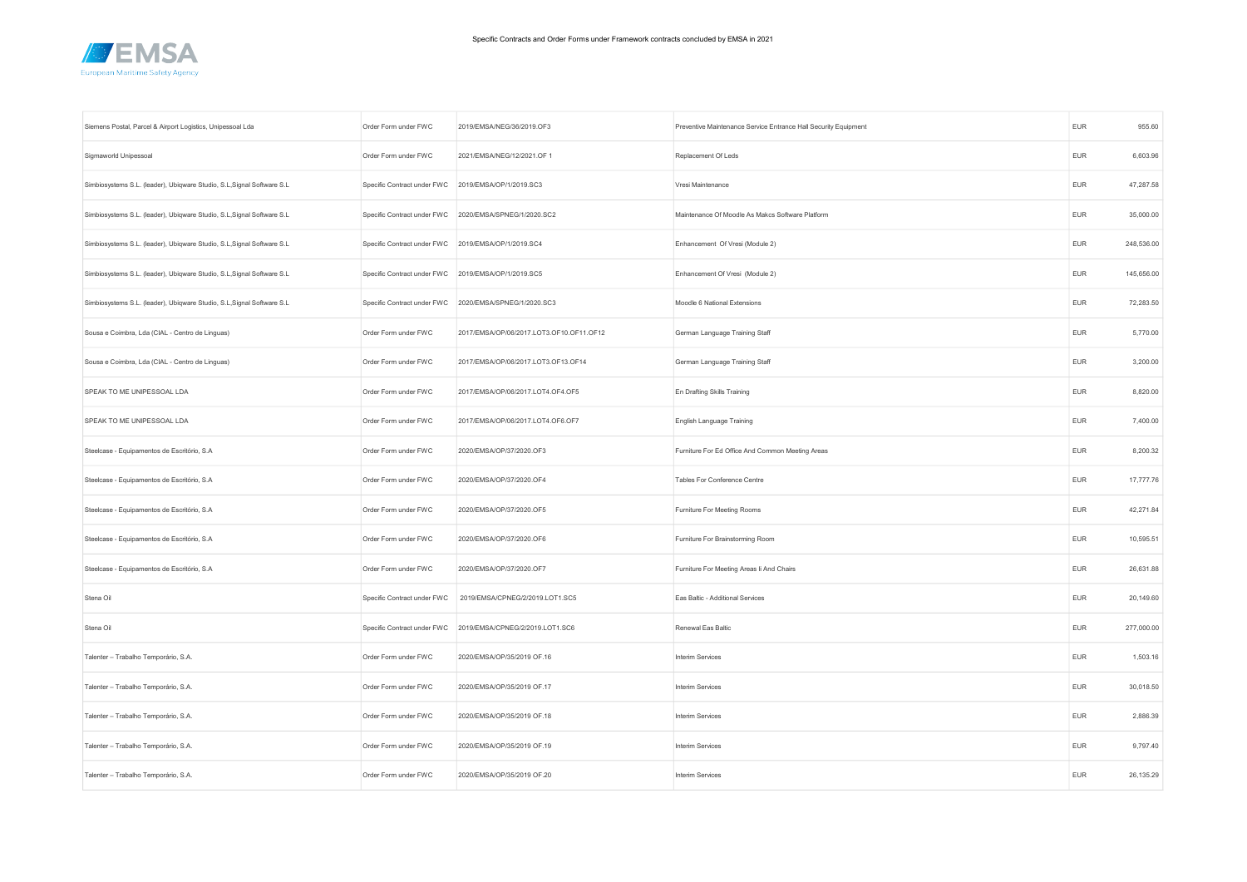

| Siemens Postal, Parcel & Airport Logistics, Unipessoal Lda              | Order Form under FWC        | 2019/EMSA/NEG/36/2019.OF3                              | Preventive Maintenance Service Entrance Hall Security Equipment | <b>EUR</b> | 955.60     |
|-------------------------------------------------------------------------|-----------------------------|--------------------------------------------------------|-----------------------------------------------------------------|------------|------------|
| Sigmaworld Unipessoal                                                   | Order Form under FWC        | 2021/EMSA/NEG/12/2021.OF 1                             | Replacement Of Leds                                             | <b>EUR</b> | 6,603.96   |
| Simbiosystems S.L. (leader), Ubiqware Studio, S.L, Signal Software S.L. | Specific Contract under FWC | 2019/EMSA/OP/1/2019.SC3                                | Vresi Maintenance                                               | <b>EUR</b> | 47,287.58  |
| Simbiosystems S.L. (leader), Ubiqware Studio, S.L, Signal Software S.L. |                             | Specific Contract under FWC 2020/EMSA/SPNEG/1/2020.SC2 | Maintenance Of Moodle As Makcs Software Platform                | <b>EUR</b> | 35,000.00  |
| Simbiosystems S.L. (leader), Ubiqware Studio, S.L, Signal Software S.L. | Specific Contract under FWC | 2019/EMSA/OP/1/2019.SC4                                | Enhancement Of Vresi (Module 2)                                 | <b>EUR</b> | 248,536.00 |
| Simbiosystems S.L. (leader), Ubiqware Studio, S.L, Signal Software S.L. | Specific Contract under FWC | 2019/EMSA/OP/1/2019.SC5                                | Enhancement Of Vresi (Module 2)                                 | <b>EUR</b> | 145,656.00 |
| Simbiosystems S.L. (leader), Ubiqware Studio, S.L, Signal Software S.L. | Specific Contract under FWC | 2020/EMSA/SPNEG/1/2020.SC3                             | Moodle 6 National Extensions                                    | <b>EUR</b> | 72,283.50  |
| Sousa e Coimbra, Lda (CIAL - Centro de Linguas)                         | Order Form under FWC        | 2017/EMSA/OP/06/2017.LOT3.OF10.OF11.OF12               | German Language Training Staff                                  | <b>EUR</b> | 5,770.00   |
| Sousa e Coimbra, Lda (CIAL - Centro de Linguas)                         | Order Form under FWC        | 2017/EMSA/OP/06/2017.LOT3.OF13.OF14                    | German Language Training Staff                                  | <b>EUR</b> | 3,200.00   |
| SPEAK TO ME UNIPESSOAL LDA                                              | Order Form under FWC        | 2017/EMSA/OP/06/2017.LOT4.OF4.OF5                      | En Drafting Skills Training                                     | <b>EUR</b> | 8,820.00   |
| SPEAK TO ME UNIPESSOAL LDA                                              | Order Form under FWC        | 2017/EMSA/OP/06/2017.LOT4.OF6.OF7                      | English Language Training                                       | <b>EUR</b> | 7,400.00   |
| Steelcase - Equipamentos de Escritório, S.A                             | Order Form under FWC        | 2020/EMSA/OP/37/2020.OF3                               | Furniture For Ed Office And Common Meeting Areas                | EUR        | 8,200.32   |
| Steelcase - Equipamentos de Escritório, S.A                             | Order Form under FWC        | 2020/EMSA/OP/37/2020.OF4                               | Tables For Conference Centre                                    | <b>EUR</b> | 17,777.76  |
| Steelcase - Equipamentos de Escritório, S.A                             | Order Form under FWC        | 2020/EMSA/OP/37/2020.OF5                               | Furniture For Meeting Rooms                                     | <b>EUR</b> | 42,271.84  |
| Steelcase - Equipamentos de Escritório, S.A                             | Order Form under FWC        | 2020/EMSA/OP/37/2020.OF6                               | Furniture For Brainstorming Room                                | EUR        | 10,595.51  |
| Steelcase - Equipamentos de Escritório, S.A                             | Order Form under FWC        | 2020/EMSA/OP/37/2020.OF7                               | Furniture For Meeting Areas Ii And Chairs                       | <b>EUR</b> | 26,631.88  |
| Stena Oil                                                               | Specific Contract under FWC | 2019/EMSA/CPNEG/2/2019.LOT1.SC5                        | Eas Baltic - Additional Services                                | <b>EUR</b> | 20,149.60  |
| Stena Oil                                                               | Specific Contract under FWC | 2019/EMSA/CPNEG/2/2019.LOT1.SC6                        | Renewal Eas Baltic                                              | <b>EUR</b> | 277,000.00 |
| Talenter - Trabalho Temporário, S.A.                                    | Order Form under FWC        | 2020/EMSA/OP/35/2019 OF.16                             | Interim Services                                                | <b>EUR</b> | 1,503.16   |
| Talenter - Trabalho Temporário, S.A.                                    | Order Form under FWC        | 2020/EMSA/OP/35/2019 OF.17                             | Interim Services                                                | <b>EUR</b> | 30,018.50  |
| Talenter - Trabalho Temporário, S.A.                                    | Order Form under FWC        | 2020/EMSA/OP/35/2019 OF.18                             | Interim Services                                                | <b>EUR</b> | 2,886.39   |
| Talenter - Trabalho Temporário, S.A.                                    | Order Form under FWC        | 2020/EMSA/OP/35/2019 OF.19                             | Interim Services                                                | <b>EUR</b> | 9,797.40   |
| Talenter - Trabalho Temporário, S.A.                                    | Order Form under FWC        | 2020/EMSA/OP/35/2019 OF.20                             | Interim Services                                                | <b>EUR</b> | 26,135.29  |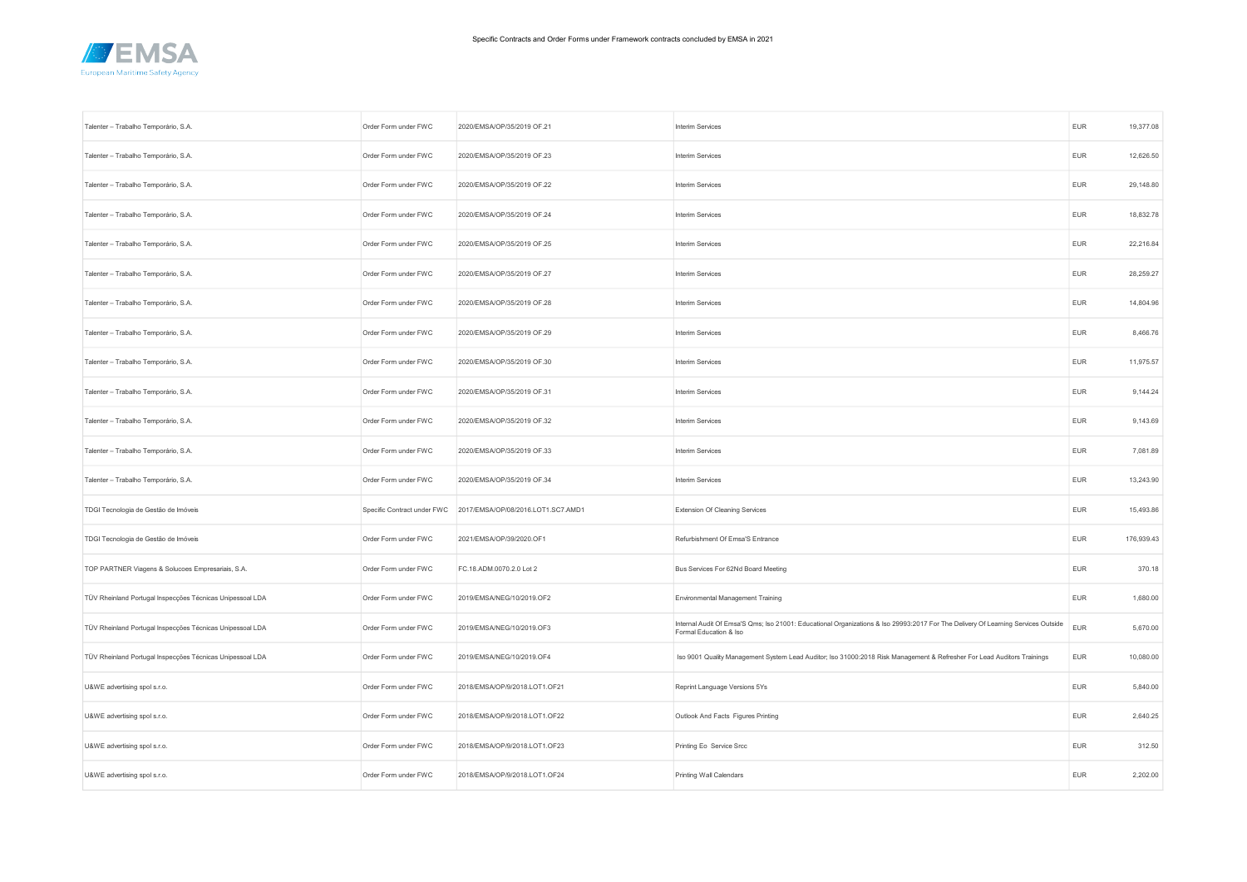

| Talenter - Trabalho Temporário, S.A.                      | Order Form under FWC        | 2020/EMSA/OP/35/2019 OF.21         | Interim Services                                                                                                                                            | <b>EUR</b> | 19,377.08  |
|-----------------------------------------------------------|-----------------------------|------------------------------------|-------------------------------------------------------------------------------------------------------------------------------------------------------------|------------|------------|
| Talenter - Trabalho Temporário, S.A.                      | Order Form under FWC        | 2020/EMSA/OP/35/2019 OF.23         | Interim Services                                                                                                                                            | <b>EUR</b> | 12,626.50  |
| Talenter - Trabalho Temporário, S.A.                      | Order Form under FWC        | 2020/EMSA/OP/35/2019 OF.22         | Interim Services                                                                                                                                            | <b>EUR</b> | 29,148.80  |
| Talenter - Trabalho Temporário, S.A.                      | Order Form under FWC        | 2020/EMSA/OP/35/2019 OF.24         | Interim Services                                                                                                                                            | <b>EUR</b> | 18,832.78  |
| Talenter - Trabalho Temporário, S.A.                      | Order Form under FWC        | 2020/EMSA/OP/35/2019 OF.25         | Interim Services                                                                                                                                            | <b>EUR</b> | 22,216.84  |
| Talenter - Trabalho Temporário, S.A.                      | Order Form under FWC        | 2020/EMSA/OP/35/2019 OF.27         | Interim Services                                                                                                                                            | <b>EUR</b> | 28,259.27  |
| Talenter - Trabalho Temporário, S.A.                      | Order Form under FWC        | 2020/EMSA/OP/35/2019 OF.28         | Interim Services                                                                                                                                            | <b>EUR</b> | 14,804.96  |
| Talenter - Trabalho Temporário, S.A.                      | Order Form under FWC        | 2020/EMSA/OP/35/2019 OF.29         | Interim Services                                                                                                                                            | <b>EUR</b> | 8,466.76   |
| Talenter - Trabalho Temporário, S.A.                      | Order Form under FWC        | 2020/EMSA/OP/35/2019 OF.30         | Interim Services                                                                                                                                            | <b>EUR</b> | 11,975.57  |
| Talenter - Trabalho Temporário, S.A.                      | Order Form under FWC        | 2020/EMSA/OP/35/2019 OF.31         | Interim Services                                                                                                                                            | <b>EUR</b> | 9,144.24   |
| Talenter - Trabalho Temporário, S.A.                      | Order Form under FWC        | 2020/EMSA/OP/35/2019 OF.32         | Interim Services                                                                                                                                            | <b>EUR</b> | 9,143.69   |
| Talenter - Trabalho Temporário, S.A.                      | Order Form under FWC        | 2020/EMSA/OP/35/2019 OF.33         | Interim Services                                                                                                                                            | <b>EUR</b> | 7,081.89   |
| Talenter - Trabalho Temporário, S.A.                      | Order Form under FWC        | 2020/EMSA/OP/35/2019 OF.34         | Interim Services                                                                                                                                            | <b>EUR</b> | 13,243.90  |
| TDGI Tecnologia de Gestão de Imóveis                      | Specific Contract under FWC | 2017/EMSA/OP/08/2016.LOT1.SC7.AMD1 | <b>Extension Of Cleaning Services</b>                                                                                                                       | <b>EUR</b> | 15,493.86  |
| TDGI Tecnologia de Gestão de Imóveis                      | Order Form under FWC        | 2021/EMSA/OP/39/2020.OF1           | Refurbishment Of Emsa'S Entrance                                                                                                                            | <b>EUR</b> | 176,939.43 |
| TOP PARTNER Viagens & Solucoes Empresariais, S.A.         | Order Form under FWC        | FC.18.ADM.0070.2.0 Lot 2           | Bus Services For 62Nd Board Meeting                                                                                                                         | <b>EUR</b> | 370.18     |
| TÜV Rheinland Portugal Inspecções Técnicas Unipessoal LDA | Order Form under FWC        | 2019/EMSA/NEG/10/2019.OF2          | Environmental Management Training                                                                                                                           | <b>EUR</b> | 1,680.00   |
| TÜV Rheinland Portugal Inspecções Técnicas Unipessoal LDA | Order Form under FWC        | 2019/EMSA/NEG/10/2019.OF3          | Internal Audit Of Emsa'S Qms; Iso 21001: Educational Organizations & Iso 29993:2017 For The Delivery Of Learning Services Outside<br>Formal Education & Iso | <b>EUR</b> | 5,670.00   |
| TÜV Rheinland Portugal Inspecções Técnicas Unipessoal LDA | Order Form under FWC        | 2019/EMSA/NEG/10/2019.OF4          | Iso 9001 Quality Management System Lead Auditor; Iso 31000:2018 Risk Management & Refresher For Lead Auditors Trainings                                     | <b>EUR</b> | 10,080.00  |
| U&WE advertising spol s.r.o.                              | Order Form under FWC        | 2018/EMSA/OP/9/2018.LOT1.OF21      | Reprint Language Versions 5Ys                                                                                                                               | <b>EUR</b> | 5,840.00   |
| U&WE advertising spol s.r.o.                              | Order Form under FWC        | 2018/EMSA/OP/9/2018.LOT1.OF22      | Outlook And Facts Figures Printing                                                                                                                          | <b>EUR</b> | 2,640.25   |
| U&WE advertising spol s.r.o.                              | Order Form under FWC        | 2018/EMSA/OP/9/2018.LOT1.OF23      | Printing Eo Service Srcc                                                                                                                                    | <b>EUR</b> | 312.50     |
| U&WE advertising spol s.r.o.                              | Order Form under FWC        | 2018/EMSA/OP/9/2018.LOT1.OF24      | Printing Wall Calendars                                                                                                                                     | <b>EUR</b> | 2,202.00   |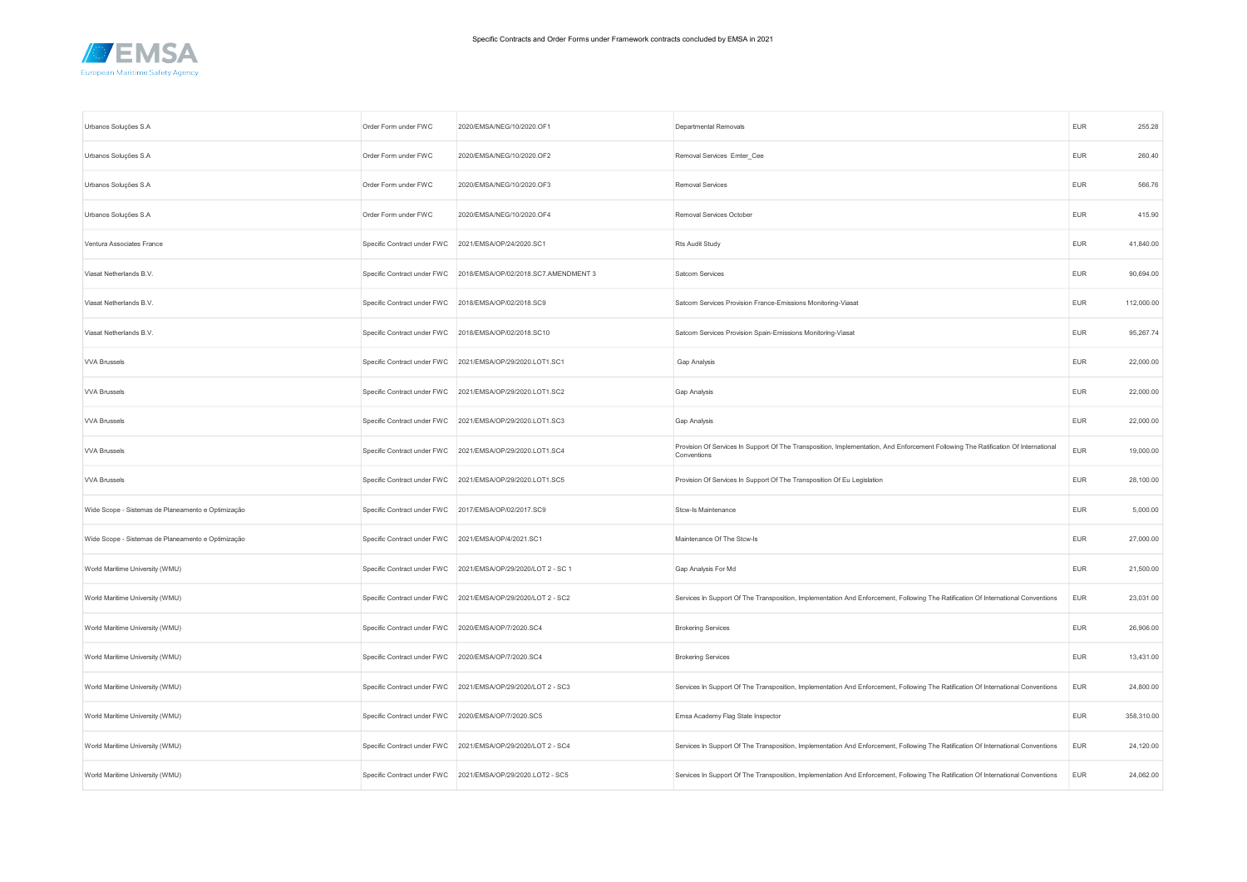

| Urbanos Soluções S.A                               | Order Form under FWC                                 | 2020/EMSA/NEG/10/2020.OF1                                        | Departmental Removals                                                                                                                             | <b>EUR</b> | 255.28     |
|----------------------------------------------------|------------------------------------------------------|------------------------------------------------------------------|---------------------------------------------------------------------------------------------------------------------------------------------------|------------|------------|
| Urbanos Soluções S.A                               | Order Form under FWC                                 | 2020/EMSA/NEG/10/2020.OF2                                        | Removal Services Emter_Cee                                                                                                                        | <b>EUR</b> | 260.40     |
| Urbanos Soluções S.A                               | Order Form under FWC                                 | 2020/EMSA/NEG/10/2020.OF3                                        | Removal Services                                                                                                                                  | <b>EUR</b> | 566.76     |
| Urbanos Soluções S.A                               | Order Form under FWC                                 | 2020/EMSA/NEG/10/2020.OF4                                        | Removal Services October                                                                                                                          | <b>EUR</b> | 415.90     |
| Ventura Associates France                          | Specific Contract under FWC 2021/EMSA/OP/24/2020.SC1 |                                                                  | Rts Audit Study                                                                                                                                   | <b>EUR</b> | 41,840.00  |
| Viasat Netherlands B.V.                            |                                                      | Specific Contract under FWC 2018/EMSA/OP/02/2018.SC7.AMENDMENT 3 | Satcom Services                                                                                                                                   | <b>EUR</b> | 90,694.00  |
| Viasat Netherlands B.V.                            | Specific Contract under FWC 2018/EMSA/OP/02/2018.SC9 |                                                                  | Satcom Services Provision France-Emissions Monitoring-Viasat                                                                                      | <b>EUR</b> | 112,000.00 |
| Viasat Netherlands B.V.                            |                                                      | Specific Contract under FWC 2018/EMSA/OP/02/2018.SC10            | Satcom Services Provision Spain-Emissions Monitoring-Viasat                                                                                       | <b>EUR</b> | 95,267.74  |
| <b>VVA Brussels</b>                                |                                                      | Specific Contract under FWC 2021/EMSA/OP/29/2020.LOT1.SC1        | Gap Analysis                                                                                                                                      | <b>EUR</b> | 22,000.00  |
| <b>VVA Brussels</b>                                |                                                      | Specific Contract under FWC 2021/EMSA/OP/29/2020.LOT1.SC2        | Gap Analysis                                                                                                                                      | <b>EUR</b> | 22,000.00  |
| <b>VVA Brussels</b>                                |                                                      | Specific Contract under FWC 2021/EMSA/OP/29/2020.LOT1.SC3        | Gap Analysis                                                                                                                                      | <b>EUR</b> | 22,000.00  |
| <b>VVA Brussels</b>                                |                                                      | Specific Contract under FWC 2021/EMSA/OP/29/2020.LOT1.SC4        | Provision Of Services In Support Of The Transposition, Implementation, And Enforcement Following The Ratification Of International<br>Conventions | <b>EUR</b> | 19,000.00  |
| <b>VVA Brussels</b>                                |                                                      | Specific Contract under FWC 2021/EMSA/OP/29/2020.LOT1.SC5        | Provision Of Services In Support Of The Transposition Of Eu Legislation                                                                           | <b>EUR</b> | 28,100.00  |
| Wide Scope - Sistemas de Planeamento e Optimização | Specific Contract under FWC 2017/EMSA/OP/02/2017.SC9 |                                                                  | Stcw-Is Maintenance                                                                                                                               | <b>EUR</b> | 5,000.00   |
| Wide Scope - Sistemas de Planeamento e Optimização | Specific Contract under FWC 2021/EMSA/OP/4/2021.SC1  |                                                                  | Maintenance Of The Stcw-Is                                                                                                                        | <b>EUR</b> | 27,000.00  |
| World Maritime University (WMU)                    |                                                      | Specific Contract under FWC 2021/EMSA/OP/29/2020/LOT 2 - SC 1    | Gap Analysis For Md                                                                                                                               | <b>EUR</b> | 21,500.00  |
| World Maritime University (WMU)                    |                                                      | Specific Contract under FWC 2021/EMSA/OP/29/2020/LOT 2 - SC2     | Services In Support Of The Transposition, Implementation And Enforcement, Following The Ratification Of International Conventions                 | EUR        | 23,031.00  |
| World Maritime University (WMU)                    | Specific Contract under FWC 2020/EMSA/OP/7/2020.SC4  |                                                                  | <b>Brokering Services</b>                                                                                                                         | <b>EUR</b> | 26,906.00  |
| World Maritime University (WMU)                    | Specific Contract under FWC 2020/EMSA/OP/7/2020.SC4  |                                                                  | <b>Brokering Services</b>                                                                                                                         | <b>EUR</b> | 13,431.00  |
| World Maritime University (WMU)                    |                                                      | Specific Contract under FWC 2021/EMSA/OP/29/2020/LOT 2 - SC3     | Services In Support Of The Transposition, Implementation And Enforcement, Following The Ratification Of International Conventions                 | <b>EUR</b> | 24,800.00  |
| World Maritime University (WMU)                    | Specific Contract under FWC 2020/EMSA/OP/7/2020.SC5  |                                                                  | Emsa Academy Flag State Inspector                                                                                                                 | <b>EUR</b> | 358,310.00 |
| World Maritime University (WMU)                    |                                                      | Specific Contract under FWC 2021/EMSA/OP/29/2020/LOT 2 - SC4     | Services In Support Of The Transposition, Implementation And Enforcement, Following The Ratification Of International Conventions                 | <b>EUR</b> | 24,120.00  |
| World Maritime University (WMU)                    |                                                      | Specific Contract under FWC 2021/EMSA/OP/29/2020.LOT2 - SC5      | Services In Support Of The Transposition, Implementation And Enforcement, Following The Ratification Of International Conventions                 | <b>EUR</b> | 24,062.00  |